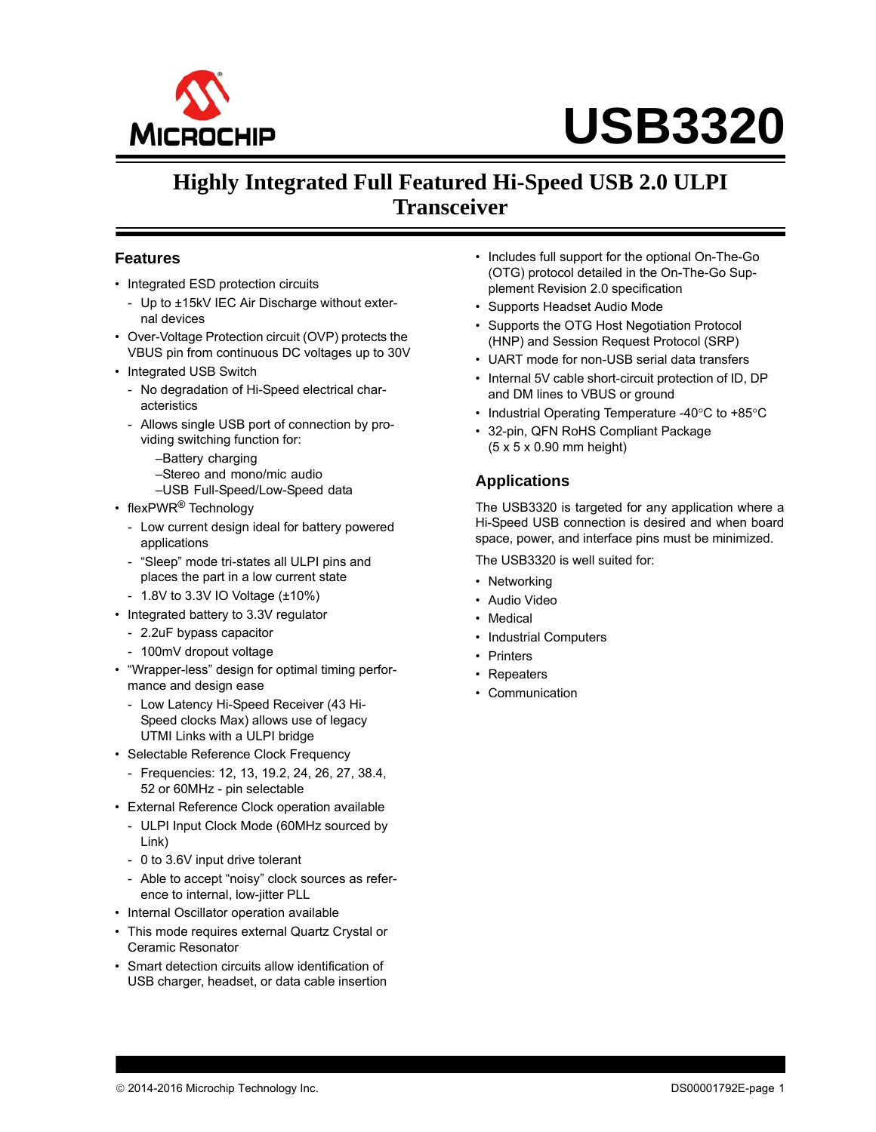

# **USB3320**

## **Highly Integrated Full Featured Hi-Speed USB 2.0 ULPI Transceiver**

#### **Features**

- Integrated ESD protection circuits
	- Up to ±15kV IEC Air Discharge without external devices
- Over-Voltage Protection circuit (OVP) protects the VBUS pin from continuous DC voltages up to 30V
- Integrated USB Switch
	- No degradation of Hi-Speed electrical characteristics
	- Allows single USB port of connection by providing switching function for:
		- –Battery charging
		- –Stereo and mono/mic audio
		- –USB Full-Speed/Low-Speed data
- flexPWR® Technology
	- Low current design ideal for battery powered applications
	- "Sleep" mode tri-states all ULPI pins and places the part in a low current state
	- 1.8V to 3.3V IO Voltage  $(\pm 10\%)$
- Integrated battery to 3.3V regulator
	- 2.2uF bypass capacitor
	- 100mV dropout voltage
- "Wrapper-less" design for optimal timing performance and design ease
	- Low Latency Hi-Speed Receiver (43 Hi-Speed clocks Max) allows use of legacy UTMI Links with a ULPI bridge
- Selectable Reference Clock Frequency
	- Frequencies: 12, 13, 19.2, 24, 26, 27, 38.4, 52 or 60MHz - pin selectable
- External Reference Clock operation available
	- ULPI Input Clock Mode (60MHz sourced by Link)
	- 0 to 3.6V input drive tolerant
	- Able to accept "noisy" clock sources as reference to internal, low-jitter PLL
- Internal Oscillator operation available
- This mode requires external Quartz Crystal or Ceramic Resonator
- Smart detection circuits allow identification of USB charger, headset, or data cable insertion
- Includes full support for the optional On-The-Go (OTG) protocol detailed in the On-The-Go Supplement Revision 2.0 specification
- Supports Headset Audio Mode
- Supports the OTG Host Negotiation Protocol (HNP) and Session Request Protocol (SRP)
- UART mode for non-USB serial data transfers
- Internal 5V cable short-circuit protection of ID, DP and DM lines to VBUS or ground
- Industrial Operating Temperature -40 $\degree$ C to +85 $\degree$ C
- 32-pin, QFN RoHS Compliant Package (5 x 5 x 0.90 mm height)

## **Applications**

The USB3320 is targeted for any application where a Hi-Speed USB connection is desired and when board space, power, and interface pins must be minimized.

The USB3320 is well suited for:

- Networking
- Audio Video
- Medical
- Industrial Computers
- Printers
- Repeaters
- Communication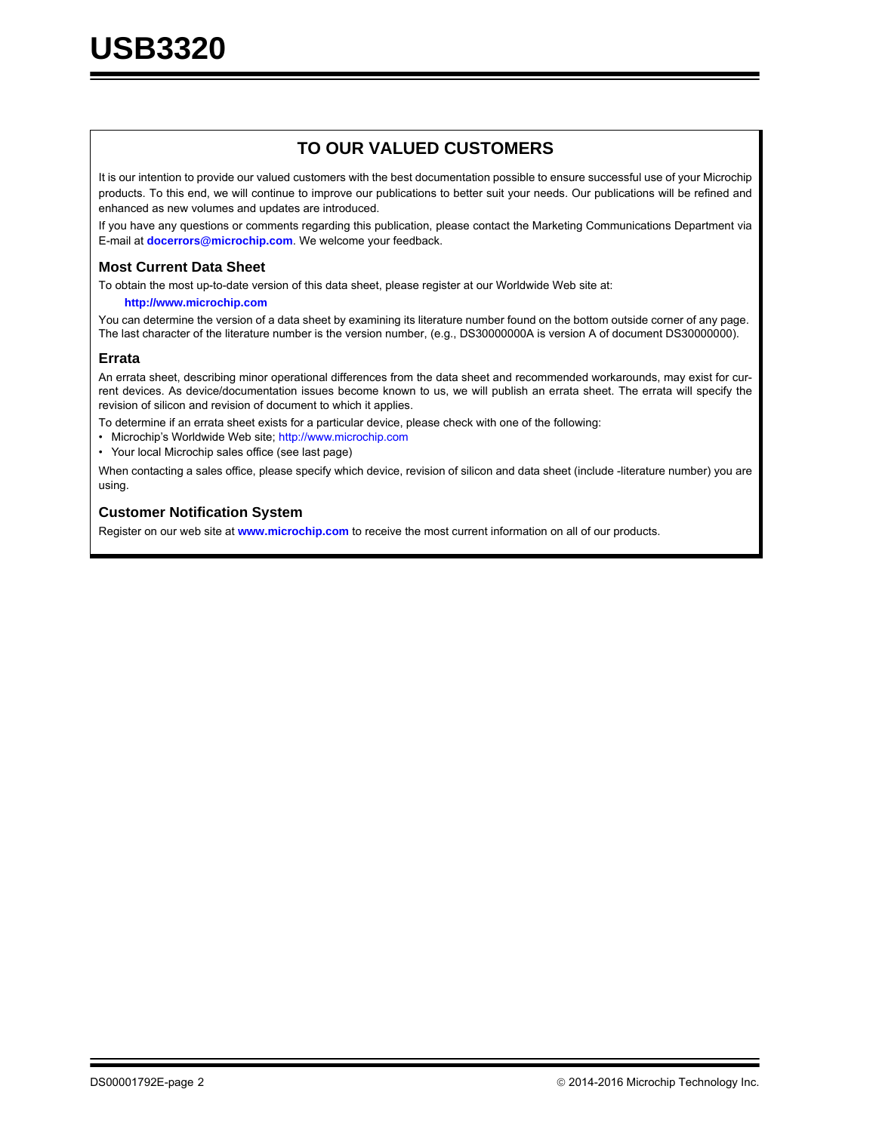## **TO OUR VALUED CUSTOMERS**

It is our intention to provide our valued customers with the best documentation possible to ensure successful use of your Microchip products. To this end, we will continue to improve our publications to better suit your needs. Our publications will be refined and enhanced as new volumes and updates are introduced.

If you have any questions or comments regarding this publication, please contact the Marketing Communications Department via E-mail at **[docerrors@microchip.com](mailto:docerrors@microchip.com)**. We welcome your feedback.

#### **Most Current Data Sheet**

To obtain the most up-to-date version of this data sheet, please register at our Worldwide Web site at:

#### **http://www.microchip.com**

You can determine the version of a data sheet by examining its literature number found on the bottom outside corner of any page. The last character of the literature number is the version number, (e.g., DS30000000A is version A of document DS30000000).

#### **Errata**

An errata sheet, describing minor operational differences from the data sheet and recommended workarounds, may exist for current devices. As device/documentation issues become known to us, we will publish an errata sheet. The errata will specify the revision of silicon and revision of document to which it applies.

To determine if an errata sheet exists for a particular device, please check with one of the following:

• [Microchip's Worldwide Web site; h](http://www.microchip.com)ttp://www.microchip.com

• Your local Microchip sales office (see last page)

When contacting a sales office, please specify which device, revision of silicon and data sheet (include -literature number) you are using.

#### **Customer Notification System**

Register on our web site at **[www.microchip.com](http://www.microchip.com)** to receive the most current information on all of our products.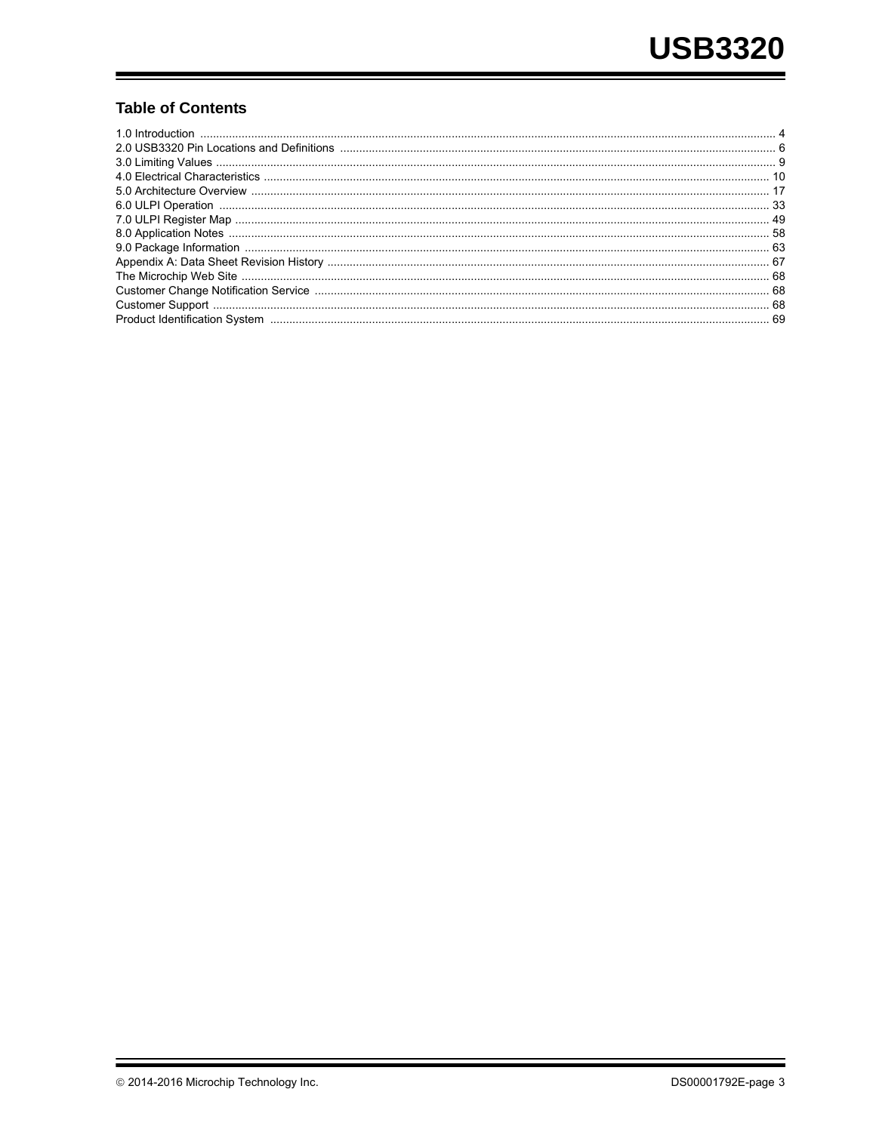## **Table of Contents**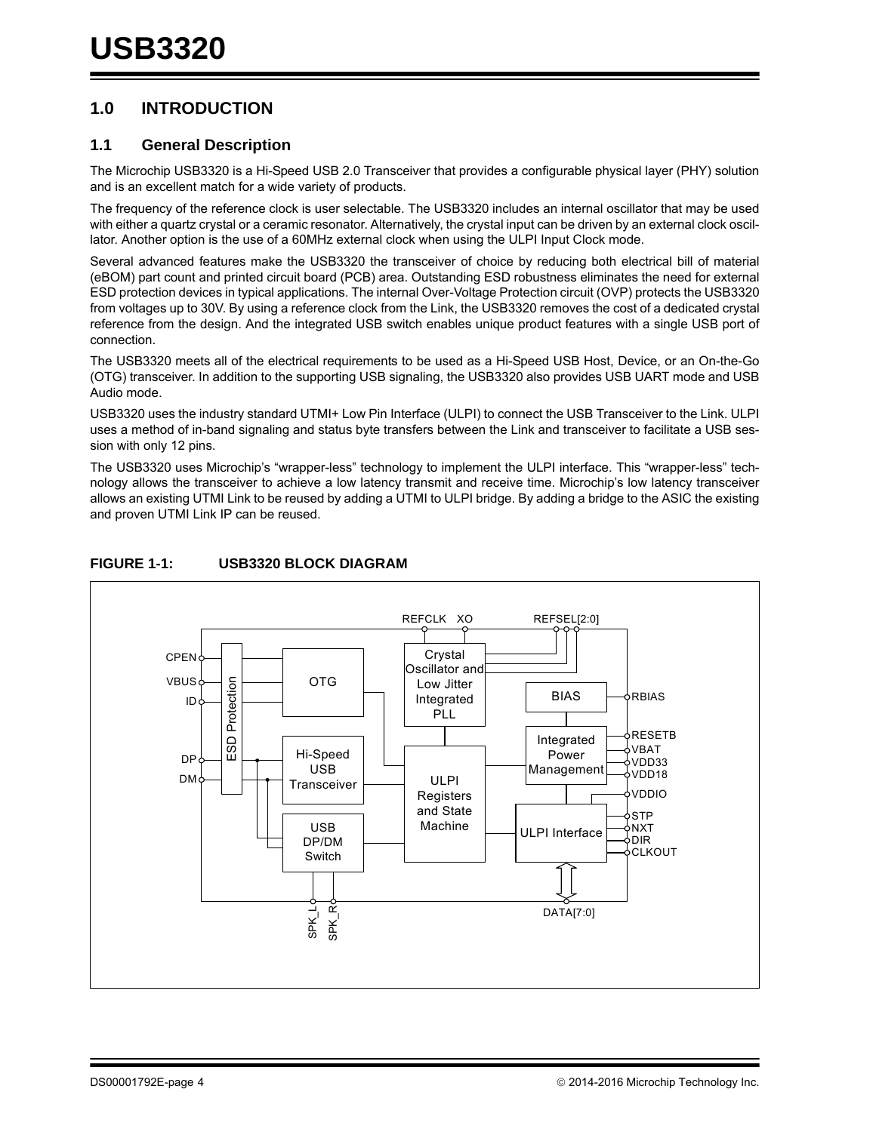## <span id="page-3-0"></span>**1.0 INTRODUCTION**

#### **1.1 General Description**

The Microchip USB3320 is a Hi-Speed USB 2.0 Transceiver that provides a configurable physical layer (PHY) solution and is an excellent match for a wide variety of products.

The frequency of the reference clock is user selectable. The USB3320 includes an internal oscillator that may be used with either a quartz crystal or a ceramic resonator. Alternatively, the crystal input can be driven by an external clock oscillator. Another option is the use of a 60MHz external clock when using the ULPI Input Clock mode.

Several advanced features make the USB3320 the transceiver of choice by reducing both electrical bill of material (eBOM) part count and printed circuit board (PCB) area. Outstanding ESD robustness eliminates the need for external ESD protection devices in typical applications. The internal Over-Voltage Protection circuit (OVP) protects the USB3320 from voltages up to 30V. By using a reference clock from the Link, the USB3320 removes the cost of a dedicated crystal reference from the design. And the integrated USB switch enables unique product features with a single USB port of connection.

The USB3320 meets all of the electrical requirements to be used as a Hi-Speed USB Host, Device, or an On-the-Go (OTG) transceiver. In addition to the supporting USB signaling, the USB3320 also provides USB UART mode and USB Audio mode.

USB3320 uses the industry standard UTMI+ Low Pin Interface (ULPI) to connect the USB Transceiver to the Link. ULPI uses a method of in-band signaling and status byte transfers between the Link and transceiver to facilitate a USB session with only 12 pins.

The USB3320 uses Microchip's "wrapper-less" technology to implement the ULPI interface. This "wrapper-less" technology allows the transceiver to achieve a low latency transmit and receive time. Microchip's low latency transceiver allows an existing UTMI Link to be reused by adding a UTMI to ULPI bridge. By adding a bridge to the ASIC the existing and proven UTMI Link IP can be reused.



#### **FIGURE 1-1: USB3320 BLOCK DIAGRAM**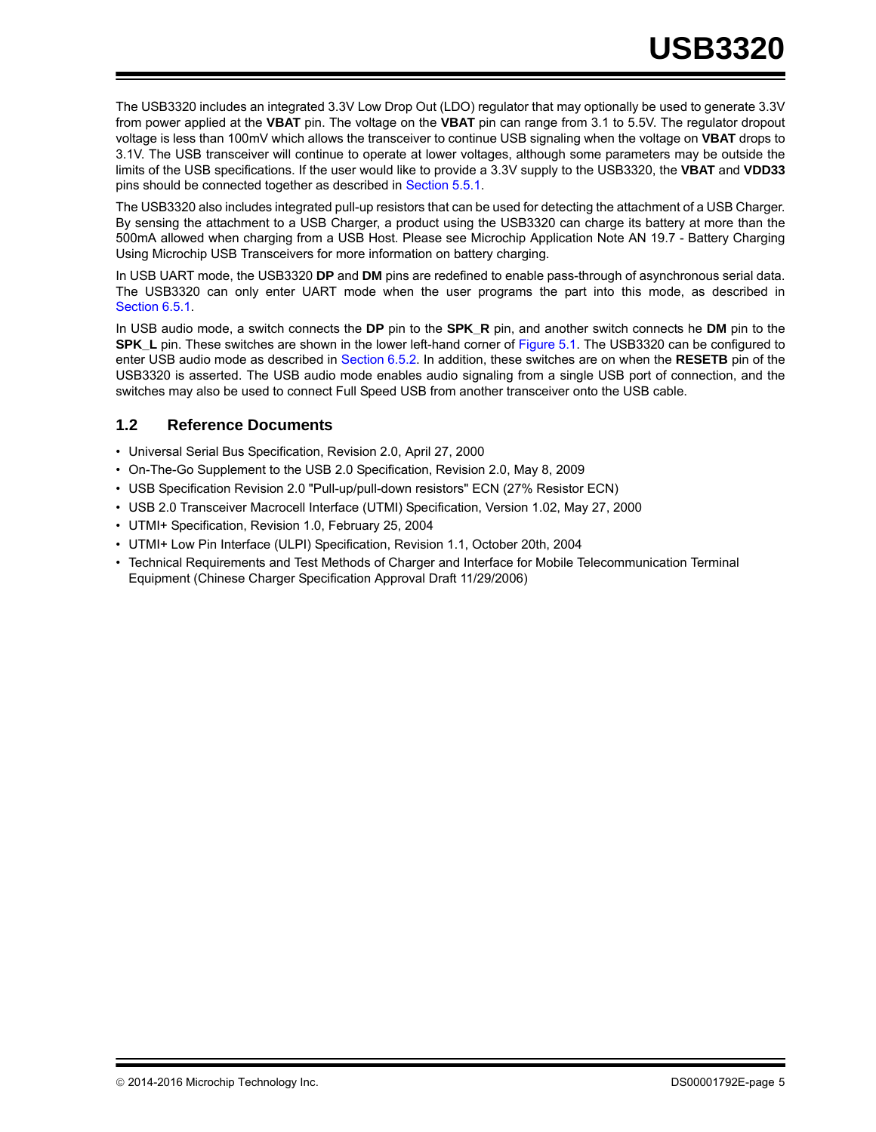The USB3320 includes an integrated 3.3V Low Drop Out (LDO) regulator that may optionally be used to generate 3.3V from power applied at the **VBAT** pin. The voltage on the **VBAT** pin can range from 3.1 to 5.5V. The regulator dropout voltage is less than 100mV which allows the transceiver to continue USB signaling when the voltage on **VBAT** drops to 3.1V. The USB transceiver will continue to operate at lower voltages, although some parameters may be outside the limits of the USB specifications. If the user would like to provide a 3.3V supply to the USB3320, the **VBAT** and **VDD33** pins should be connected together as described in [Section 5.5.1](#page-21-0).

The USB3320 also includes integrated pull-up resistors that can be used for detecting the attachment of a USB Charger. By sensing the attachment to a USB Charger, a product using the USB3320 can charge its battery at more than the 500mA allowed when charging from a USB Host. Please see Microchip Application Note AN 19.7 - Battery Charging Using Microchip USB Transceivers for more information on battery charging.

In USB UART mode, the USB3320 **DP** and **DM** pins are redefined to enable pass-through of asynchronous serial data. The USB3320 can only enter UART mode when the user programs the part into this mode, as described in [Section 6.5.1](#page-45-0).

In USB audio mode, a switch connects the **DP** pin to the **SPK\_R** pin, and another switch connects he **DM** pin to the **SPK\_L** pin. These switches are shown in the lower left-hand corner of [Figure 5.1](#page-16-1). The USB3320 can be configured to enter USB audio mode as described in [Section 6.5.2](#page-46-0). In addition, these switches are on when the **RESETB** pin of the USB3320 is asserted. The USB audio mode enables audio signaling from a single USB port of connection, and the switches may also be used to connect Full Speed USB from another transceiver onto the USB cable.

#### **1.2 Reference Documents**

- Universal Serial Bus Specification, Revision 2.0, April 27, 2000
- On-The-Go Supplement to the USB 2.0 Specification, Revision 2.0, May 8, 2009
- USB Specification Revision 2.0 "Pull-up/pull-down resistors" ECN (27% Resistor ECN)
- USB 2.0 Transceiver Macrocell Interface (UTMI) Specification, Version 1.02, May 27, 2000
- UTMI+ Specification, Revision 1.0, February 25, 2004
- UTMI+ Low Pin Interface (ULPI) Specification, Revision 1.1, October 20th, 2004
- Technical Requirements and Test Methods of Charger and Interface for Mobile Telecommunication Terminal Equipment (Chinese Charger Specification Approval Draft 11/29/2006)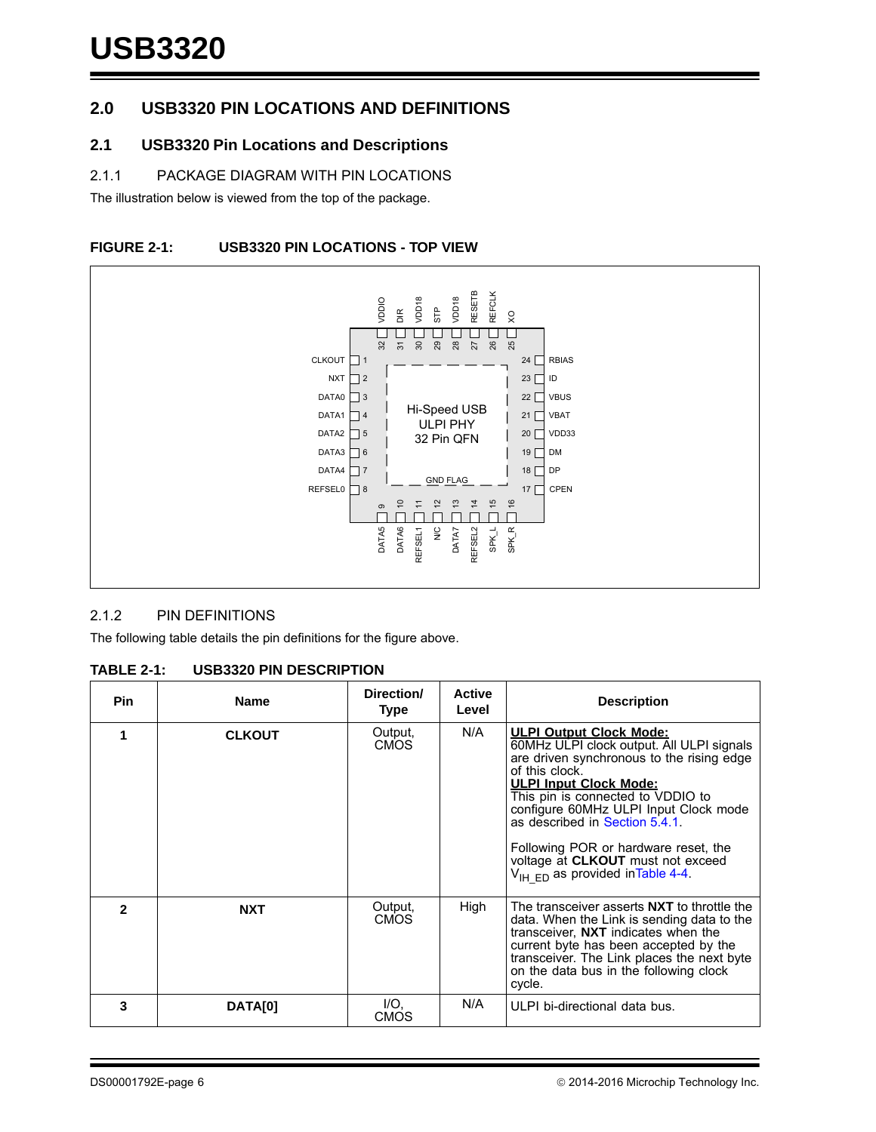## **USB3320**

## <span id="page-5-0"></span>**2.0 USB3320 PIN LOCATIONS AND DEFINITIONS**

#### **2.1 USB3320 Pin Locations and Descriptions**

#### 2.1.1 PACKAGE DIAGRAM WITH PIN LOCATIONS

The illustration below is viewed from the top of the package.

#### **FIGURE 2-1: USB3320 PIN LOCATIONS - TOP VIEW**



#### 2.1.2 PIN DEFINITIONS

The following table details the pin definitions for the figure above.

#### **TABLE 2-1: USB3320 PIN DESCRIPTION**

| <b>Pin</b> | <b>Name</b>   | Direction/<br>Type     | <b>Active</b><br>Level | <b>Description</b>                                                                                                                                                                                                                                                                                                                                                                                                          |
|------------|---------------|------------------------|------------------------|-----------------------------------------------------------------------------------------------------------------------------------------------------------------------------------------------------------------------------------------------------------------------------------------------------------------------------------------------------------------------------------------------------------------------------|
|            | <b>CLKOUT</b> | Output,<br><b>CMOS</b> | N/A                    | <b>ULPI Output Clock Mode:</b><br>60MHz ULPI clock output. All ULPI signals<br>are driven synchronous to the rising edge<br>of this clock.<br><b>ULPI Input Clock Mode:</b><br>This pin is connected to VDDIO to<br>configure 60MHz ULPI Input Clock mode<br>as described in Section 5.4.1.<br>Following POR or hardware reset, the<br>voltage at CLKOUT must not exceed<br>$V_{\text{IH}}$ $E_D$ as provided in Table 4-4. |
| 2          | <b>NXT</b>    | Output,<br><b>CMOS</b> | High                   | The transceiver asserts NXT to throttle the<br>data. When the Link is sending data to the<br>transceiver, NXT indicates when the<br>current byte has been accepted by the<br>transceiver. The Link places the next byte<br>on the data bus in the following clock<br>cycle.                                                                                                                                                 |
| 3          | DATA[0]       | $IO$<br>CMOS           | N/A                    | ULPI bi-directional data bus.                                                                                                                                                                                                                                                                                                                                                                                               |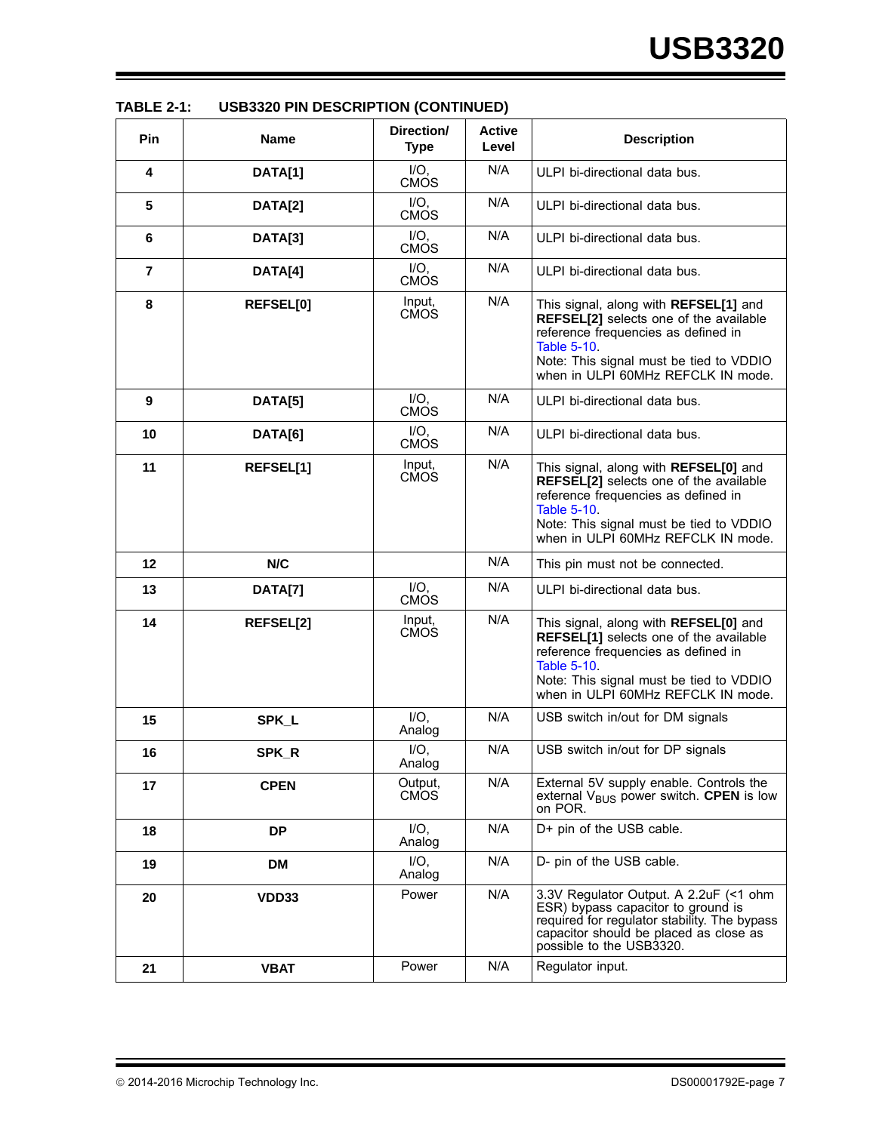| IADLL 4-I.              | <b>USBSSZU FIN DESCRIF HON (CONTINUED)</b> |                           |                        |                                                                                                                                                                                                                                      |
|-------------------------|--------------------------------------------|---------------------------|------------------------|--------------------------------------------------------------------------------------------------------------------------------------------------------------------------------------------------------------------------------------|
| Pin                     | <b>Name</b>                                | Direction/<br><b>Type</b> | <b>Active</b><br>Level | <b>Description</b>                                                                                                                                                                                                                   |
| 4                       | DATA[1]                                    | $I/O$ ,<br>CMOS           | N/A                    | ULPI bi-directional data bus.                                                                                                                                                                                                        |
| 5                       | DATA[2]                                    | $IVO$<br><b>CMOS</b>      | N/A                    | ULPI bi-directional data bus.                                                                                                                                                                                                        |
| 6                       | DATA[3]                                    | $I/O$ ,<br><b>CMOS</b>    | N/A                    | ULPI bi-directional data bus.                                                                                                                                                                                                        |
| $\overline{\mathbf{r}}$ | DATA[4]                                    | $IIO1$<br>CMOS            | N/A                    | ULPI bi-directional data bus.                                                                                                                                                                                                        |
| 8                       | REFSEL[0]                                  | Input,<br><b>CMOS</b>     | N/A                    | This signal, along with REFSEL[1] and<br>REFSEL[2] selects one of the available<br>reference frequencies as defined in<br>Table 5-10.<br>Note: This signal must be tied to VDDIO<br>when in ULPI 60MHz REFCLK IN mode.               |
| 9                       | DATA[5]                                    | $I/O$ ,<br><b>CMOS</b>    | N/A                    | ULPI bi-directional data bus.                                                                                                                                                                                                        |
| 10                      | DATA[6]                                    | $IIO$ ,<br><b>CMOS</b>    | N/A                    | ULPI bi-directional data bus.                                                                                                                                                                                                        |
| 11                      | REFSEL[1]                                  | Input,<br><b>CMOS</b>     | N/A                    | This signal, along with REFSEL[0] and<br>REFSEL[2] selects one of the available<br>reference frequencies as defined in<br><b>Table 5-10.</b><br>Note: This signal must be tied to VDDIO<br>when in ULPI 60MHz REFCLK IN mode.        |
| $12 \,$                 | N/C                                        |                           | N/A                    | This pin must not be connected.                                                                                                                                                                                                      |
| 13                      | DATA[7]                                    | $I/O$ ,<br><b>CMOS</b>    | N/A                    | ULPI bi-directional data bus.                                                                                                                                                                                                        |
| 14                      | <b>REFSEL[2]</b>                           | Input,<br><b>CMOS</b>     | N/A                    | This signal, along with REFSEL[0] and<br><b>REFSEL[1]</b> selects one of the available<br>reference frequencies as defined in<br><b>Table 5-10.</b><br>Note: This signal must be tied to VDDIO<br>when in ULPI 60MHz REFCLK IN mode. |
| 15                      | SPK_L                                      | $I/O$ ,<br>Analog         | N/A                    | USB switch in/out for DM signals                                                                                                                                                                                                     |
| 16                      | SPK_R                                      | I/O,<br>Analog            | N/A                    | USB switch in/out for DP signals                                                                                                                                                                                                     |
| 17                      | <b>CPEN</b>                                | Output,<br><b>CMOS</b>    | N/A                    | External 5V supply enable. Controls the<br>external $V_{BUS}$ power switch. CPEN is low<br>on POR.                                                                                                                                   |
| 18                      | <b>DP</b>                                  | $IVO$<br>Analog           | N/A                    | D+ pin of the USB cable.                                                                                                                                                                                                             |
| 19                      | <b>DM</b>                                  | $IVO$<br>Analog           | N/A                    | D- pin of the USB cable.                                                                                                                                                                                                             |
| 20                      | VDD33                                      | Power                     | N/A                    | 3.3V Regulator Output. A 2.2uF (<1 ohm<br>ESR) bypass capacitor to ground is<br>required for regulator stability. The bypass<br>capacitor should be placed as close as<br>possible to the USB3320.                                   |
| 21                      | <b>VBAT</b>                                | Power                     | N/A                    | Regulator input.                                                                                                                                                                                                                     |

**TABLE 2-1: USB3320 PIN DESCRIPTION (CONTINUED)**

Ξ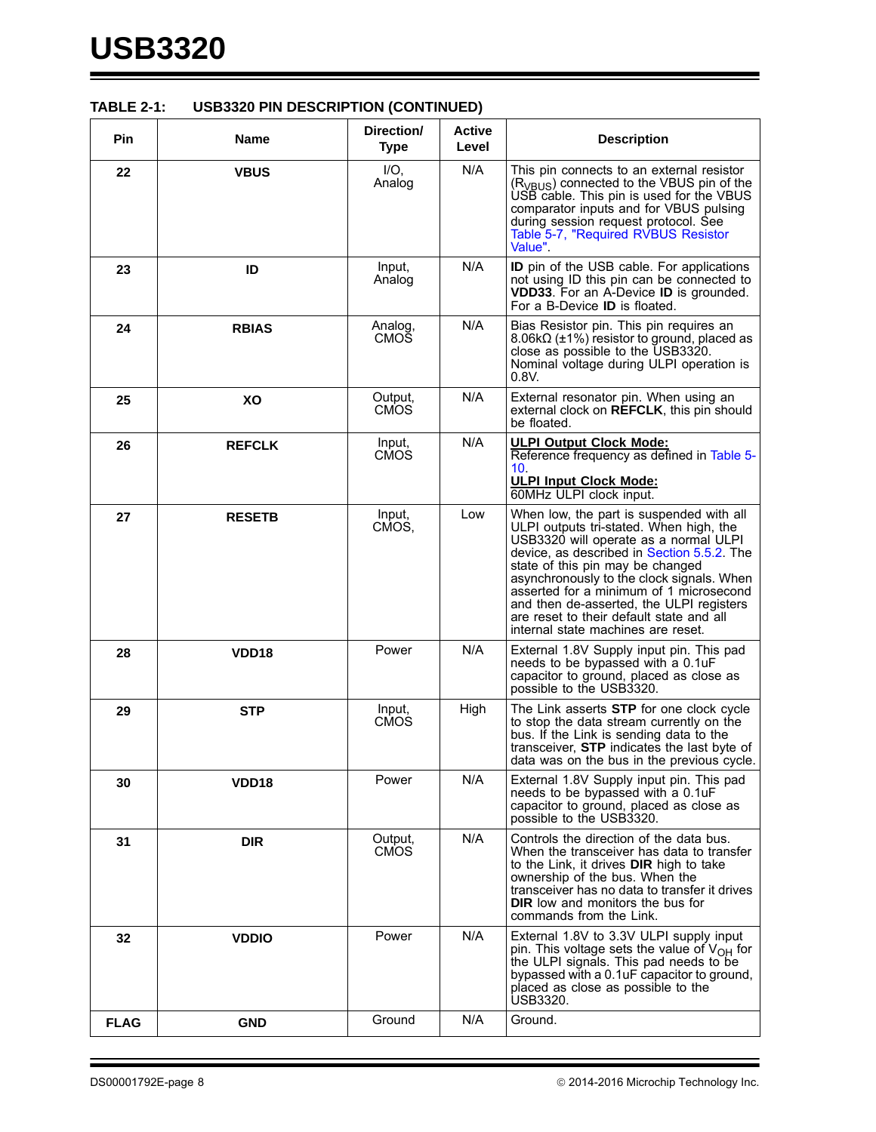## **USB3320**

| Pin         | <b>Name</b>       | Direction/<br><b>Type</b> | Active<br>Level | <b>Description</b>                                                                                                                                                                                                                                                                                                                                                                                                                   |
|-------------|-------------------|---------------------------|-----------------|--------------------------------------------------------------------------------------------------------------------------------------------------------------------------------------------------------------------------------------------------------------------------------------------------------------------------------------------------------------------------------------------------------------------------------------|
| 22          | <b>VBUS</b>       | $I/O$ ,<br>Analog         | N/A             | This pin connects to an external resistor<br>(R <sub>VBUS</sub> ) connected to the VBUS pin of the<br>USB cable. This pin is used for the VBUS<br>comparator inputs and for VBUS pulsing<br>during session request protocol. See<br>Table 5-7, "Required RVBUS Resistor<br>Value".                                                                                                                                                   |
| 23          | ID                | Input,<br>Analog          | N/A             | ID pin of the USB cable. For applications<br>not using ID this pin can be connected to<br><b>VDD33.</b> For an A-Device <b>ID</b> is grounded.<br>For a B-Device <b>ID</b> is floated.                                                                                                                                                                                                                                               |
| 24          | <b>RBIAS</b>      | Analog,<br><b>CMOS</b>    | N/A             | Bias Resistor pin. This pin requires an<br>$8.06 \times \Omega$ (±1%) resistor to ground, placed as<br>close as possible to the USB3320.<br>Nominal voltage during ULPI operation is<br>0.8V.                                                                                                                                                                                                                                        |
| 25          | XO                | Output,<br><b>CMOS</b>    | N/A             | External resonator pin. When using an<br>external clock on REFCLK, this pin should<br>be floated.                                                                                                                                                                                                                                                                                                                                    |
| 26          | <b>REFCLK</b>     | Input,<br><b>CMOS</b>     | N/A             | <b>ULPI Output Clock Mode:</b><br>Reference frequency as defined in Table 5-<br>10.<br><b>ULPI Input Clock Mode:</b><br>60MHz ULPI clock input.                                                                                                                                                                                                                                                                                      |
| 27          | <b>RESETB</b>     | Input,<br>CMOS,           | Low             | When low, the part is suspended with all<br>ULPI outputs tri-stated. When high, the<br>USB3320 will operate as a normal ULPI<br>device, as described in Section 5.5.2. The<br>state of this pin may be changed<br>asynchronously to the clock signals. When<br>asserted for a minimum of 1 microsecond<br>and then de-asserted, the ULPI registers<br>are reset to their default state and all<br>internal state machines are reset. |
| 28          | VDD <sub>18</sub> | Power                     | N/A             | External 1.8V Supply input pin. This pad<br>needs to be bypassed with a 0.1uF<br>capacitor to ground, placed as close as<br>possible to the USB3320.                                                                                                                                                                                                                                                                                 |
| 29          | <b>STP</b>        | Input,<br><b>CMOS</b>     | High            | The Link asserts STP for one clock cycle<br>to stop the data stream currently on the<br>bus. If the Link is sending data to the<br>transceiver, STP indicates the last byte of<br>data was on the bus in the previous cycle.                                                                                                                                                                                                         |
| 30          | VDD <sub>18</sub> | Power                     | N/A             | External 1.8V Supply input pin. This pad<br>needs to be bypassed with a 0.1uF<br>capacitor to ground, placed as close as<br>possible to the USB3320.                                                                                                                                                                                                                                                                                 |
| 31          | <b>DIR</b>        | Output,<br><b>CMOS</b>    | N/A             | Controls the direction of the data bus.<br>When the transceiver has data to transfer<br>to the Link, it drives DIR high to take<br>ownership of the bus. When the<br>transceiver has no data to transfer it drives<br>DIR low and monitors the bus for<br>commands from the Link.                                                                                                                                                    |
| 32          | <b>VDDIO</b>      | Power                     | N/A             | External 1.8V to 3.3V ULPI supply input<br>pin. This voltage sets the value of $V_{OH}$ for<br>the ULPI signals. This pad needs to be<br>bypassed with a 0.1uF capacitor to ground,<br>placed as close as possible to the<br><b>USB3320.</b>                                                                                                                                                                                         |
| <b>FLAG</b> | <b>GND</b>        | Ground                    | N/A             | Ground.                                                                                                                                                                                                                                                                                                                                                                                                                              |

#### **TABLE 2-1: USB3320 PIN DESCRIPTION (CONTINUED)**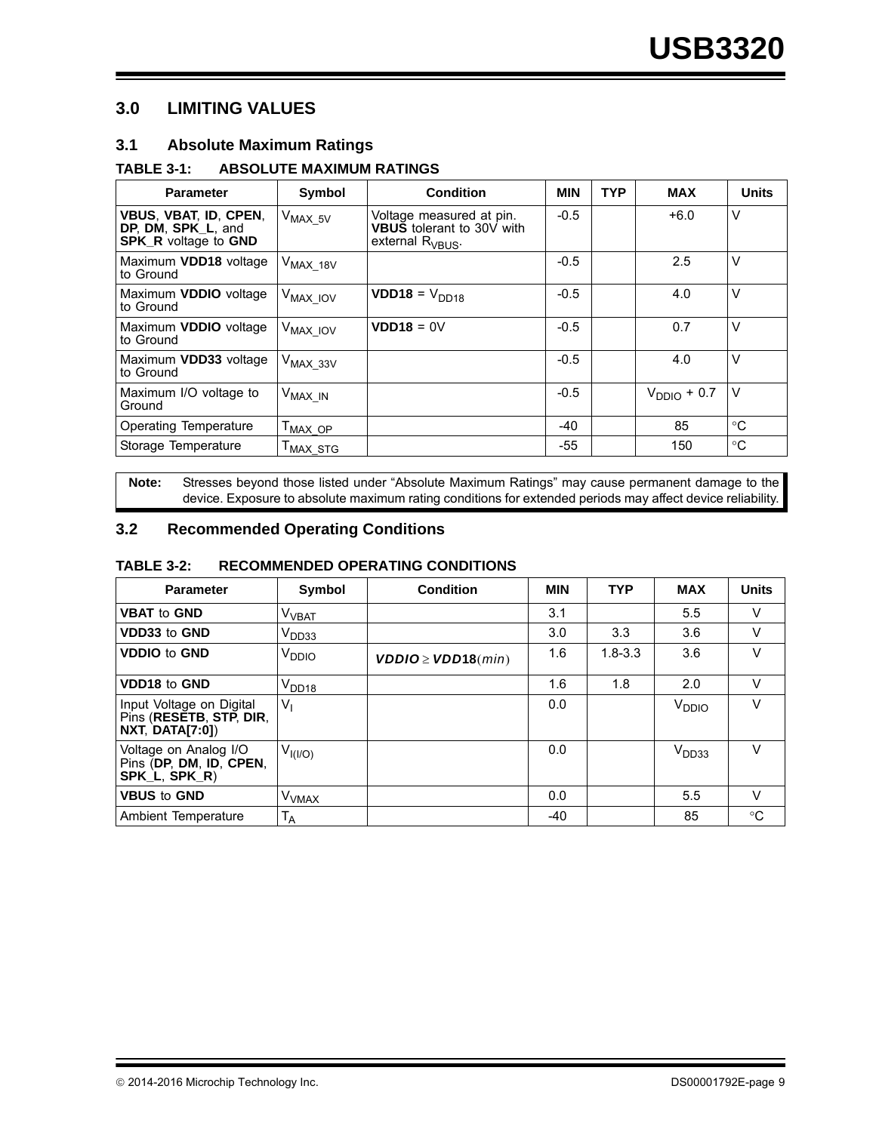## <span id="page-8-0"></span>**3.0 LIMITING VALUES**

#### **3.1 Absolute Maximum Ratings**

#### **TABLE 3-1: ABSOLUTE MAXIMUM RATINGS**

| <b>Parameter</b>                                                           | Symbol               | <b>Condition</b>                                                                             | <b>MIN</b> | <b>TYP</b> | <b>MAX</b>       | Units       |
|----------------------------------------------------------------------------|----------------------|----------------------------------------------------------------------------------------------|------------|------------|------------------|-------------|
| VBUS, VBAT, ID, CPEN,<br>DP, DM, SPK L, and<br><b>SPK R voltage to GND</b> | $V_{MAX_5V}$         | Voltage measured at pin.<br><b>VBUS</b> tolerant to 30V with<br>external R <sub>VBUS</sub> . | $-0.5$     |            | $+6.0$           | $\vee$      |
| Maximum VDD18 voltage<br>to Ground                                         | $V_{MAX_18V}$        |                                                                                              | $-0.5$     |            | 2.5              | $\vee$      |
| Maximum VDDIO voltage<br>to Ground                                         | V <sub>MAX_IOV</sub> | <b>VDD18</b> = $V_{DD18}$                                                                    | $-0.5$     |            | 4.0              | ν           |
| Maximum VDDIO voltage<br>to Ground                                         | V <sub>MAX_IOV</sub> | $VDD18 = 0V$                                                                                 | $-0.5$     |            | 0.7              | ν           |
| Maximum VDD33 voltage<br>to Ground                                         | $V_{MAX_33V}$        |                                                                                              | $-0.5$     |            | 4.0              | v           |
| Maximum I/O voltage to<br>Ground                                           | $V_{MAX\_IN}$        |                                                                                              | $-0.5$     |            | $V_{DDIO}$ + 0.7 | $\vee$      |
| Operating Temperature                                                      | $T_{MAX\_OP}$        |                                                                                              | $-40$      |            | 85               | $^{\circ}C$ |
| Storage Temperature                                                        | MAX STG              |                                                                                              | -55        |            | 150              | °C          |

**Note:** Stresses beyond those listed under "Absolute Maximum Ratings" may cause permanent damage to the device. Exposure to absolute maximum rating conditions for extended periods may affect device reliability.

#### **3.2 Recommended Operating Conditions**

#### <span id="page-8-1"></span>**TABLE 3-2: RECOMMENDED OPERATING CONDITIONS**

| <b>Parameter</b>                                                              | Symbol                  | <b>Condition</b>       | MIN   | <b>TYP</b>  | <b>MAX</b>        | <b>Units</b> |
|-------------------------------------------------------------------------------|-------------------------|------------------------|-------|-------------|-------------------|--------------|
| <b>VBAT to GND</b>                                                            | $V_{VBAT}$              |                        | 3.1   |             | 5.5               | V            |
| VDD33 to GND                                                                  | V <sub>DD33</sub>       |                        | 3.0   | 3.3         | 3.6               | $\vee$       |
| <b>VDDIO</b> to GND                                                           | V <sub>DDIO</sub>       | $VDDIO \ge VDD18(min)$ | 1.6   | $1.8 - 3.3$ | 3.6               | $\vee$       |
| VDD18 to GND                                                                  | $V_{DD18}$              |                        | 1.6   | 1.8         | 2.0               | V            |
| Input Voltage on Digital<br>Pins (RESETB, STP, DIR,<br><b>NXT, DATA[7:0])</b> | $V_{1}$                 |                        | 0.0   |             | V <sub>DDIO</sub> | v            |
| Voltage on Analog I/O<br>Pins (DP, DM, ID, CPEN,<br>SPK L. SPK R)             | $V_{I(I/O)}$            |                        | 0.0   |             | V <sub>DD33</sub> | v            |
| <b>VBUS to GND</b>                                                            | <b>V<sub>VMAX</sub></b> |                        | 0.0   |             | 5.5               | V            |
| Ambient Temperature                                                           | $T_A$                   |                        | $-40$ |             | 85                | $^{\circ}C$  |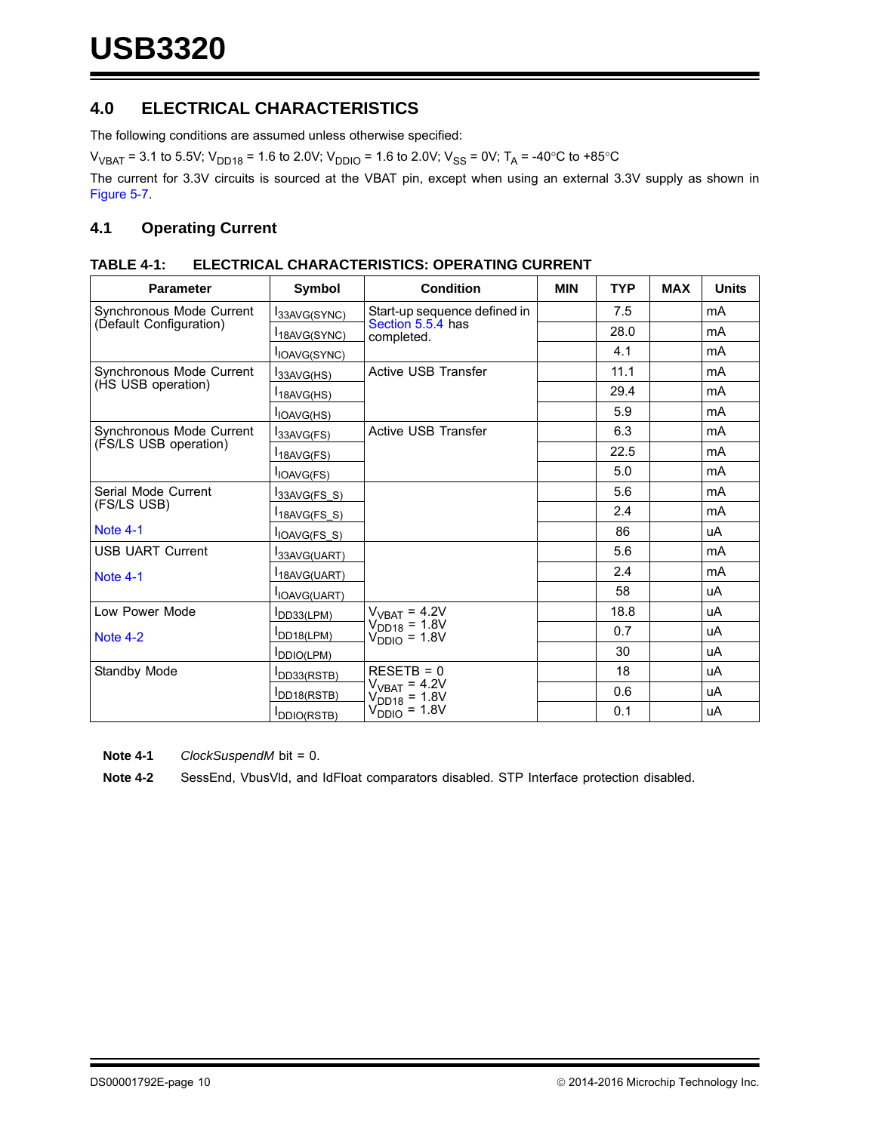## <span id="page-9-0"></span>**4.0 ELECTRICAL CHARACTERISTICS**

The following conditions are assumed unless otherwise specified:

 $V_{VBAT}$  = 3.1 to 5.5V;  $V_{DD18}$  = 1.6 to 2.0V;  $V_{DDIO}$  = 1.6 to 2.0V;  $V_{SS}$  = 0V; T<sub>A</sub> = -40°C to +85°C

The current for 3.3V circuits is sourced at the VBAT pin, except when using an external 3.3V supply as shown in [Figure 5-7.](#page-22-0)

## **4.1 Operating Current**

| <b>Parameter</b>         | Symbol                 | <b>Condition</b>                       | <b>MIN</b> | <b>TYP</b> | <b>MAX</b> | <b>Units</b> |
|--------------------------|------------------------|----------------------------------------|------------|------------|------------|--------------|
| Synchronous Mode Current | 133AVG(SYNC)           | Start-up sequence defined in           |            | 7.5        |            | mA           |
| (Default Configuration)  | 18AVG(SYNC)            | Section 5.5.4 has<br>completed.        |            | 28.0       |            | mA           |
|                          | IOAVG(SYNC)            |                                        |            | 4.1        |            | mA           |
| Synchronous Mode Current | I <sub>33AVG(HS)</sub> | <b>Active USB Transfer</b>             |            | 11.1       |            | mA           |
| (HS USB operation)       | <sup>1</sup> 18AVG(HS) |                                        |            | 29.4       |            | mA           |
|                          | <b>I</b> IOAVG(HS)     |                                        |            | 5.9        |            | mA           |
| Synchronous Mode Current | 133AVG(FS)             | Active USB Transfer                    |            | 6.3        |            | mA           |
| (FS/LS USB operation)    | 18AVG(FS)              |                                        |            | 22.5       |            | mA           |
|                          | IOAVG(FS)              |                                        |            | 5.0        |            | mA           |
| Serial Mode Current      | 33AVG(FS S)            |                                        |            | 5.6        |            | mA           |
| (FS/LS USB)              | 18AVG(FS S)            |                                        |            | 2.4        |            | mA           |
| <b>Note 4-1</b>          | <b>IOAVG(FS S)</b>     |                                        |            | 86         |            | uA           |
| <b>USB UART Current</b>  | 133AVG(UART)           |                                        |            | 5.6        |            | mA           |
| <b>Note 4-1</b>          | 18AVG(UART)            |                                        |            | 2.4        |            | mA           |
|                          | <b>IOAVG(UART)</b>     |                                        |            | 58         |            | uA           |
| Low Power Mode           | <b>IDD33(LPM)</b>      | $V_{VBAT} = 4.2V$<br>$V_{DD18} = 1.8V$ |            | 18.8       |            | uA           |
| Note 4-2                 | DD18(LPM)              | $V_{\text{DDIO}} = 1.8V$               |            | 0.7        |            | uA           |
|                          | <b>I</b> DDIO(LPM)     |                                        |            | 30         |            | uA           |
| Standby Mode             | <b>IDD33(RSTB)</b>     | $RESETB = 0$                           |            | 18         |            | uA           |
|                          | <b>IDD18(RSTB)</b>     | $V_{VBAT} = 4.2V$<br>$V_{DD18} = 1.8V$ |            | 0.6        |            | uA           |
|                          | <b>IDDIO(RSTB)</b>     | $VDDIO = 1.8V$                         |            | 0.1        |            | uA           |

<span id="page-9-3"></span>

| TABLE 4-1: | ELECTRICAL CHARACTERISTICS: OPERATING CURRENT |
|------------|-----------------------------------------------|
|------------|-----------------------------------------------|

<span id="page-9-1"></span>**Note 4-1** *ClockSuspendM* bit = 0.

<span id="page-9-2"></span>**Note 4-2** SessEnd, VbusVld, and IdFloat comparators disabled. STP Interface protection disabled.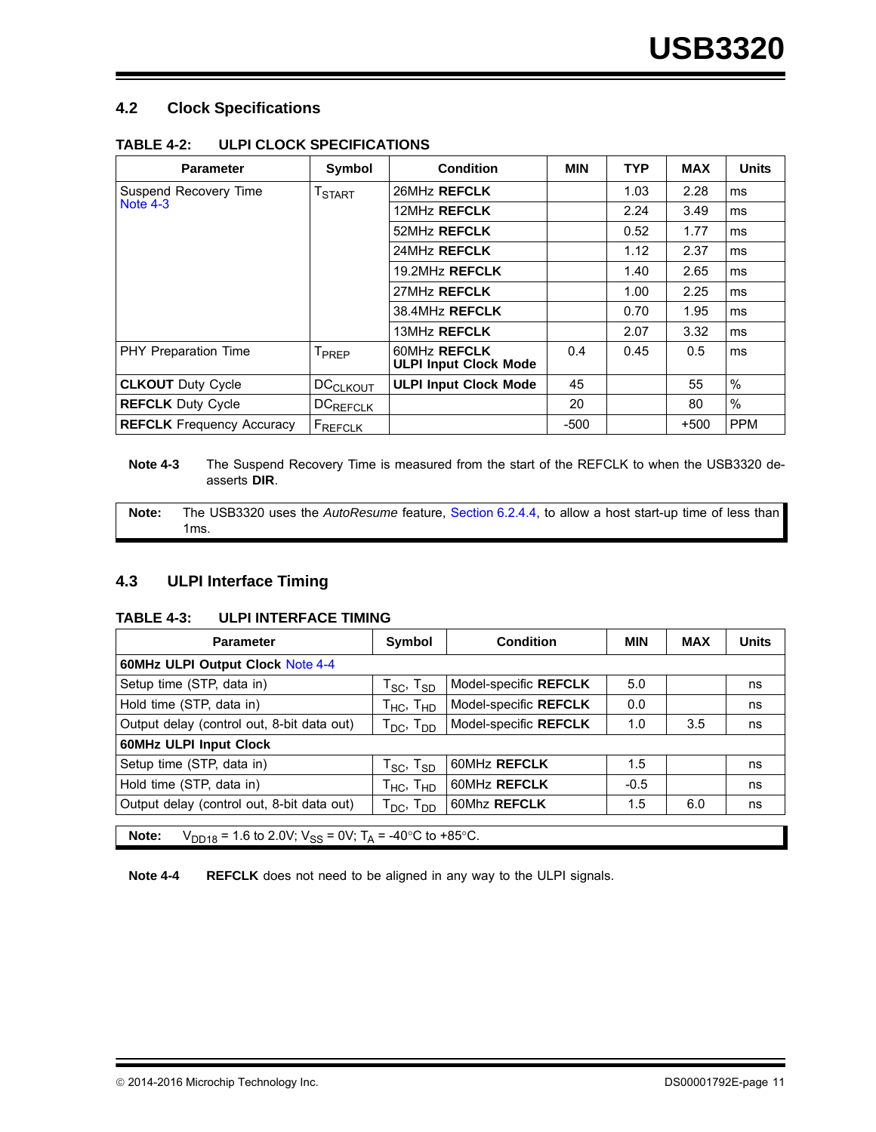## **4.2 Clock Specifications**

| <b>Parameter</b>                 | Symbol                   | <b>Condition</b>                             | <b>MIN</b> | <b>TYP</b> | MAX    | <b>Units</b> |
|----------------------------------|--------------------------|----------------------------------------------|------------|------------|--------|--------------|
| Suspend Recovery Time            | <sup>I</sup> START       | 26MHz REFCLK                                 |            | 1.03       | 2.28   | ms           |
| Note $4-3$                       |                          | 12MHz REFCLK                                 |            | 2.24       | 3.49   | ms           |
|                                  |                          | 52MHz REFCLK                                 |            | 0.52       | 1.77   | ms           |
|                                  |                          | 24MHz REFCLK                                 |            | 1.12       | 2.37   | ms           |
|                                  |                          | 19.2MHz REFCLK                               |            | 1.40       | 2.65   | ms           |
|                                  |                          | 27MHz REFCLK                                 |            | 1.00       | 2.25   | ms           |
|                                  |                          | 38.4MHz REFCLK                               |            | 0.70       | 1.95   | ms           |
|                                  |                          | <b>13MHz REFCLK</b>                          |            | 2.07       | 3.32   | ms           |
| <b>PHY Preparation Time</b>      | <b>T</b> <sub>PREP</sub> | 60MHz REFCLK<br><b>ULPI Input Clock Mode</b> | 0.4        | 0.45       | 0.5    | ms           |
| <b>CLKOUT</b> Duty Cycle         | <b>DCCLKOUT</b>          | <b>ULPI Input Clock Mode</b>                 | 45         |            | 55     | $\%$         |
| <b>REFCLK</b> Duty Cycle         | <b>DCREFCLK</b>          |                                              | 20         |            | 80     | $\%$         |
| <b>REFCLK</b> Frequency Accuracy | F <sub>REFCLK</sub>      |                                              | $-500$     |            | $+500$ | <b>PPM</b>   |

#### <span id="page-10-2"></span>**TABLE 4-2: ULPI CLOCK SPECIFICATIONS**

#### <span id="page-10-0"></span>**Note 4-3** The Suspend Recovery Time is measured from the start of the REFCLK to when the USB3320 deasserts **DIR**.

| Note: | The USB3320 uses the AutoResume feature, Section 6.2.4.4, to allow a host start-up time of less than |
|-------|------------------------------------------------------------------------------------------------------|
|       | 1 <sub>ms</sub>                                                                                      |

## **4.3 ULPI Interface Timing**

#### <span id="page-10-3"></span>**TABLE 4-3: ULPI INTERFACE TIMING**

| <b>Parameter</b>                                                                                 | Symbol                                                  | <b>Condition</b>      | <b>MIN</b> | <b>MAX</b> | <b>Units</b> |  |  |  |
|--------------------------------------------------------------------------------------------------|---------------------------------------------------------|-----------------------|------------|------------|--------------|--|--|--|
| 60MHz ULPI Output Clock Note 4-4                                                                 |                                                         |                       |            |            |              |  |  |  |
| Setup time (STP, data in)                                                                        | $\mathsf{T}_{\mathsf{SC}}$ , $\mathsf{T}_{\mathsf{SD}}$ | Model-specific REFCLK | 5.0        |            | ns           |  |  |  |
| Hold time (STP, data in)                                                                         | T <sub>HC</sub> , T <sub>HD</sub>                       | Model-specific REFCLK | 0.0        |            | ns           |  |  |  |
| Output delay (control out, 8-bit data out)                                                       | $T_{DC}$ , $T_{DD}$                                     | Model-specific REFCLK | 1.0        | 3.5        | ns           |  |  |  |
| <b>60MHz ULPI Input Clock</b>                                                                    |                                                         |                       |            |            |              |  |  |  |
| Setup time (STP, data in)                                                                        | T <sub>SC</sub> , T <sub>SD</sub>                       | 60MHz REFCLK          | $1.5\,$    |            | ns           |  |  |  |
| Hold time (STP, data in)                                                                         | T <sub>HC</sub> , T <sub>HD</sub>                       | <b>60MHz REFCLK</b>   | $-0.5$     |            | ns           |  |  |  |
| Output delay (control out, 8-bit data out)                                                       | $T_{DC}$ , $T_{DD}$                                     | 60Mhz REFCLK          | $1.5\,$    | 6.0        | ns           |  |  |  |
|                                                                                                  |                                                         |                       |            |            |              |  |  |  |
| Note:<br>$V_{\text{DD18}}$ = 1.6 to 2.0V; $V_{\text{SS}}$ = 0V; T <sub>A</sub> = -40°C to +85°C. |                                                         |                       |            |            |              |  |  |  |

<span id="page-10-1"></span>**Note 4-4 REFCLK** does not need to be aligned in any way to the ULPI signals.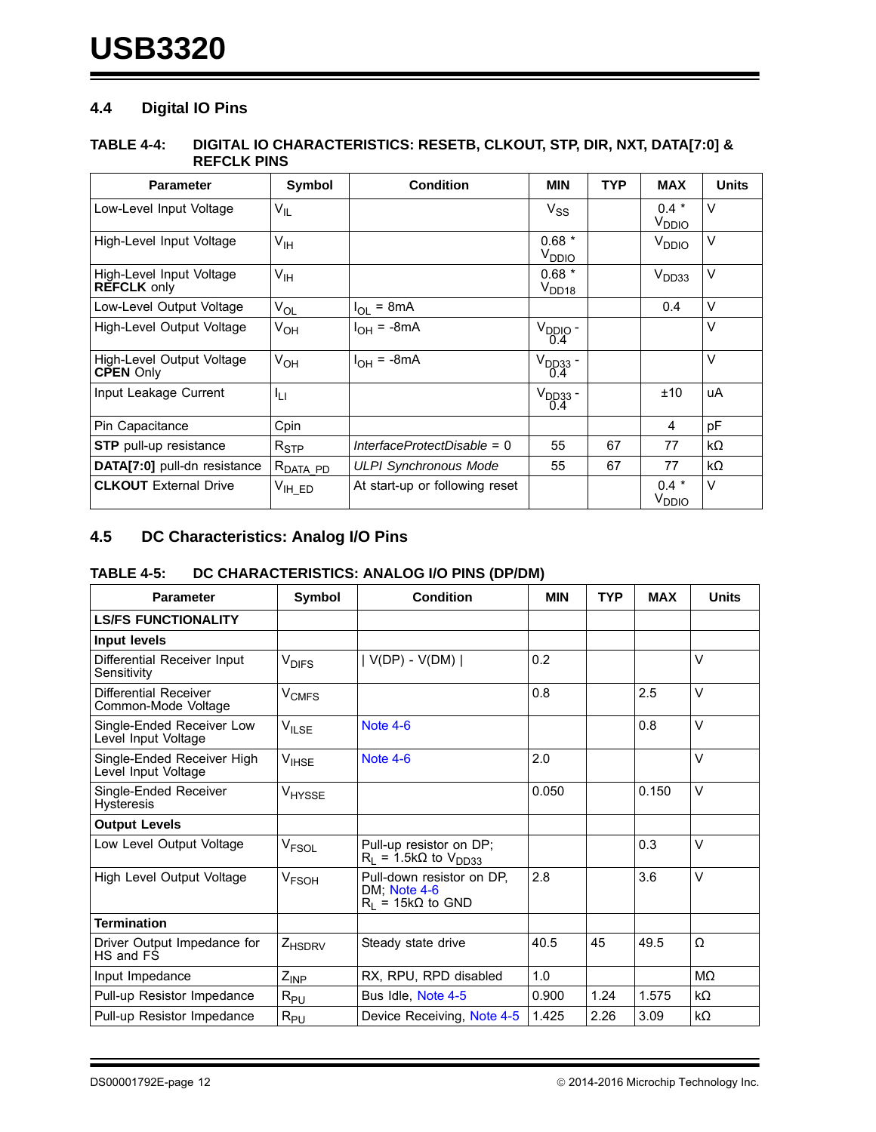## **4.4 Digital IO Pins**

#### <span id="page-11-0"></span>**TABLE 4-4: DIGITAL IO CHARACTERISTICS: RESETB, CLKOUT, STP, DIR, NXT, DATA[7:0] & REFCLK PINS**

| <b>Parameter</b>                               | Symbol                | <b>Condition</b>               | <b>MIN</b>                   | <b>TYP</b> | <b>MAX</b>                   | <b>Units</b> |
|------------------------------------------------|-----------------------|--------------------------------|------------------------------|------------|------------------------------|--------------|
| Low-Level Input Voltage                        | $V_{IL}$              |                                | $V_{SS}$                     |            | $0.4 *$<br>V <sub>DDIO</sub> | V            |
| High-Level Input Voltage                       | $V_{IH}$              |                                | $0.68*$<br>V <sub>DDIO</sub> |            | V <sub>DDIO</sub>            | V            |
| High-Level Input Voltage<br><b>REFCLK only</b> | $V_{IH}$              |                                | $0.68*$<br>$V_{DD18}$        |            | V <sub>DD33</sub>            | $\vee$       |
| Low-Level Output Voltage                       | $V_{OL}$              | $I_{OL}$ = 8mA                 |                              |            | 0.4                          | V            |
| High-Level Output Voltage                      | $V_{OH}$              | $I_{OH}$ = -8mA                | V <sub>DDIO</sub> -<br>0.4   |            |                              | $\vee$       |
| High-Level Output Voltage<br><b>CPEN Only</b>  | $V_{OH}$              | $I_{OH}$ = -8mA                | $V_{DD33} - 0.4$             |            |                              | $\vee$       |
| Input Leakage Current                          | կ լ                   |                                | V <sub>DD33</sub> -<br>0.4   |            | ±10                          | uA           |
| Pin Capacitance                                | Cpin                  |                                |                              |            | 4                            | pF           |
| <b>STP</b> pull-up resistance                  | $R_{\mathrm{STP}}$    | InterfaceProtectDisable = 0    | 55                           | 67         | 77                           | kΩ           |
| DATA[7:0] pull-dn resistance                   | $R_{\text{DATA\_PD}}$ | ULPI Synchronous Mode          | 55                           | 67         | 77                           | $k\Omega$    |
| <b>CLKOUT</b> External Drive                   | $V_{IH\_ED}$          | At start-up or following reset |                              |            | $0.4 *$<br>V <sub>DDIO</sub> | $\vee$       |

## **4.5 DC Characteristics: Analog I/O Pins**

## <span id="page-11-1"></span>**TABLE 4-5: DC CHARACTERISTICS: ANALOG I/O PINS (DP/DM)**

| <b>Parameter</b>                                  | Symbol                  | Condition                                                             | <b>MIN</b> | <b>TYP</b> | <b>MAX</b> | <b>Units</b> |
|---------------------------------------------------|-------------------------|-----------------------------------------------------------------------|------------|------------|------------|--------------|
| <b>LS/FS FUNCTIONALITY</b>                        |                         |                                                                       |            |            |            |              |
| Input levels                                      |                         |                                                                       |            |            |            |              |
| Differential Receiver Input<br>Sensitivity        | <b>V<sub>DIFS</sub></b> | $V(DP) - V(DM)$                                                       | 0.2        |            |            | $\vee$       |
| Differential Receiver<br>Common-Mode Voltage      | $V_{CMFS}$              |                                                                       | 0.8        |            | 2.5        | $\vee$       |
| Single-Ended Receiver Low<br>Level Input Voltage  | $V_{ILSE}$              | Note 4-6                                                              |            |            | 0.8        | $\vee$       |
| Single-Ended Receiver High<br>Level Input Voltage | $V_{IHSE}$              | Note 4-6                                                              | 2.0        |            |            | $\vee$       |
| Single-Ended Receiver<br><b>Hysteresis</b>        | V <sub>HYSSE</sub>      |                                                                       | 0.050      |            | 0.150      | V            |
| <b>Output Levels</b>                              |                         |                                                                       |            |            |            |              |
| Low Level Output Voltage                          | V <sub>FSOL</sub>       | Pull-up resistor on DP;<br>$R_1 = 1.5k\Omega$ to $V_{DD33}$           |            |            | 0.3        | $\vee$       |
| High Level Output Voltage                         | V <sub>FSOH</sub>       | Pull-down resistor on DP,<br>DM: Note 4-6<br>$R_1 = 15k\Omega$ to GND | 2.8        |            | 3.6        | $\vee$       |
| <b>Termination</b>                                |                         |                                                                       |            |            |            |              |
| Driver Output Impedance for<br>HS and FS          | Z <sub>HSDRV</sub>      | Steady state drive                                                    | 40.5       | 45         | 49.5       | Ω            |
| Input Impedance                                   | $Z_{INP}$               | RX, RPU, RPD disabled                                                 | 1.0        |            |            | MΩ           |
| Pull-up Resistor Impedance                        | $R_{PU}$                | Bus Idle, Note 4-5                                                    | 0.900      | 1.24       | 1.575      | $k\Omega$    |
| Pull-up Resistor Impedance                        | $R_{PU}$                | Device Receiving, Note 4-5                                            | 1.425      | 2.26       | 3.09       | $k\Omega$    |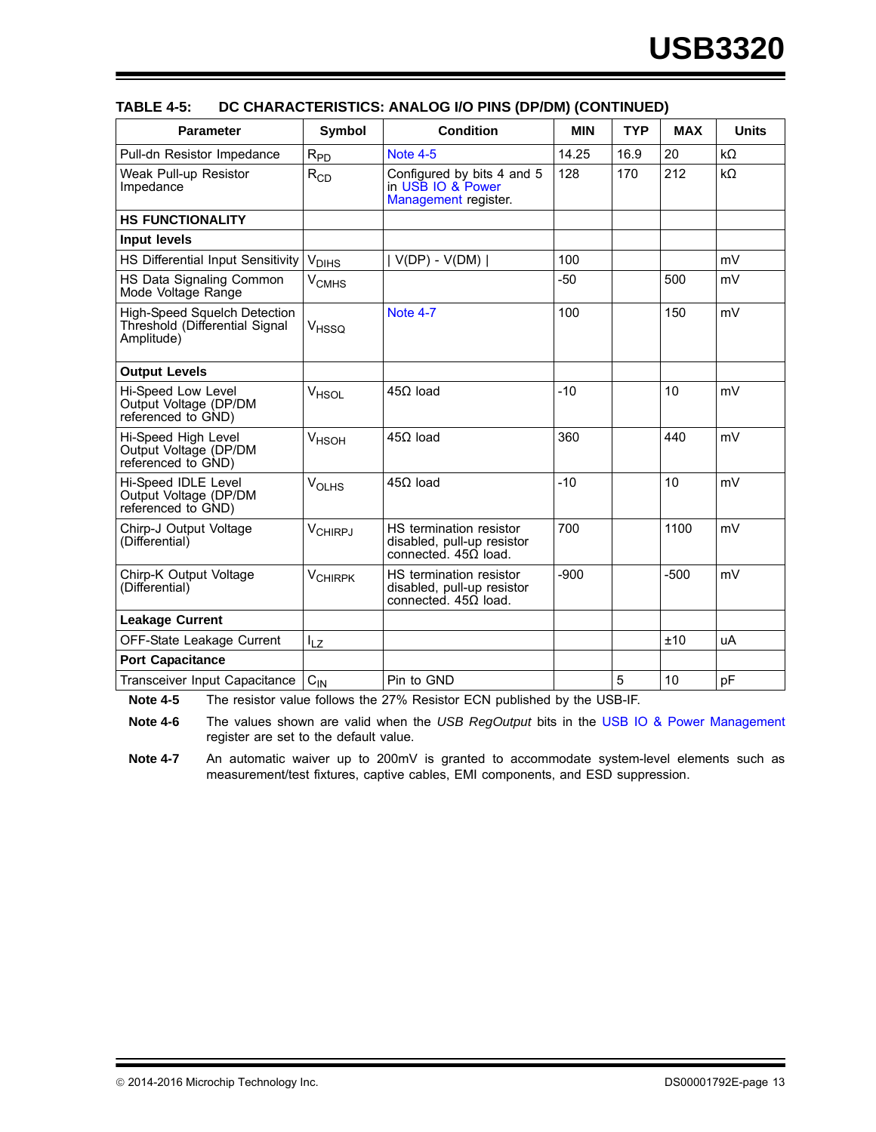| <b>Parameter</b>                                                                    | Symbol                    | <b>Condition</b>                                                                     | <b>MIN</b> | <b>TYP</b> | <b>MAX</b> | <b>Units</b> |
|-------------------------------------------------------------------------------------|---------------------------|--------------------------------------------------------------------------------------|------------|------------|------------|--------------|
| Pull-dn Resistor Impedance                                                          | $R_{PD}$                  | <b>Note 4-5</b>                                                                      | 14.25      | 16.9       | 20         | $k\Omega$    |
| Weak Pull-up Resistor<br>Impedance                                                  | $R_{CD}$                  | Configured by bits 4 and 5<br>in USB IO & Power<br>Management register.              | 128        | 170        | 212        | $k\Omega$    |
| <b>HS FUNCTIONALITY</b>                                                             |                           |                                                                                      |            |            |            |              |
| Input levels                                                                        |                           |                                                                                      |            |            |            |              |
| HS Differential Input Sensitivity                                                   | $V_{DIHS$                 | $V(DP) - V(DM)$                                                                      | 100        |            |            | mV           |
| HS Data Signaling Common<br>Mode Voltage Range                                      | <b>V<sub>CMHS</sub></b>   |                                                                                      | $-50$      |            | 500        | mV           |
| <b>High-Speed Squelch Detection</b><br>Threshold (Differential Signal<br>Amplitude) | V <sub>HSSQ</sub>         | <b>Note 4-7</b>                                                                      | 100        |            | 150        | mV           |
| <b>Output Levels</b>                                                                |                           |                                                                                      |            |            |            |              |
| Hi-Speed Low Level<br>Output Voltage (DP/DM<br>referenced to GND)                   | V <sub>HSOL</sub>         | $45\Omega$ load                                                                      | $-10$      |            | 10         | mV           |
| Hi-Speed High Level<br>Output Voltage (DP/DM<br>referenced to GND)                  | V <sub>HSOH</sub>         | $45\Omega$ load                                                                      | 360        |            | 440        | mV           |
| Hi-Speed IDLE Level<br>Output Voltage (DP/DM<br>referenced to GND)                  | <b>V<sub>OLHS</sub></b>   | $45\Omega$ load                                                                      | $-10$      |            | 10         | mV           |
| Chirp-J Output Voltage<br>(Differential)                                            | VCHIRPJ                   | HS termination resistor<br>disabled, pull-up resistor<br>connected. $45\Omega$ load. | 700        |            | 1100       | mV           |
| Chirp-K Output Voltage<br>(Differential)                                            | <b>V<sub>CHIRPK</sub></b> | HS termination resistor<br>disabled, pull-up resistor<br>connected, $45\Omega$ load. | $-900$     |            | $-500$     | mV           |
| <b>Leakage Current</b>                                                              |                           |                                                                                      |            |            |            |              |
| OFF-State Leakage Current                                                           | $I_{LZ}$                  |                                                                                      |            |            | ±10        | uA           |
| <b>Port Capacitance</b>                                                             |                           |                                                                                      |            |            |            |              |
| Transceiver Input Capacitance                                                       | $\mathrm{C_{IN}}$         | Pin to GND                                                                           |            | 5          | 10         | pF           |

## **TABLE 4-5: DC CHARACTERISTICS: ANALOG I/O PINS (DP/DM) (CONTINUED)**

<span id="page-12-1"></span>**Note 4-5** The resistor value follows the 27% Resistor ECN published by the USB-IF.

<span id="page-12-0"></span>**Note 4-6** The values shown are valid when the *USB RegOutput* bits in the [USB IO & Power Management](#page-56-0) register are set to the default value.

<span id="page-12-2"></span>**Note 4-7** An automatic waiver up to 200mV is granted to accommodate system-level elements such as measurement/test fixtures, captive cables, EMI components, and ESD suppression.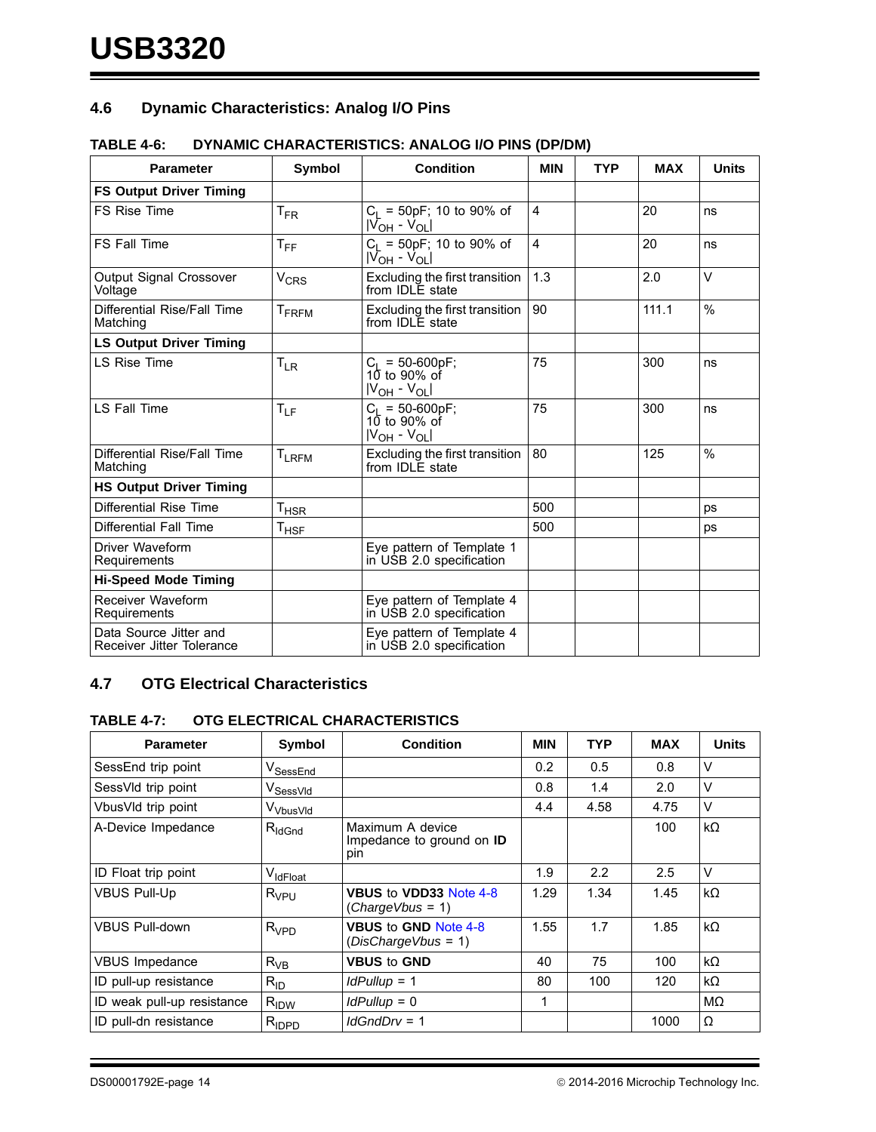## **4.6 Dynamic Characteristics: Analog I/O Pins**

| <b>Parameter</b>                                    | Symbol                      | <b>Condition</b>                                                   | <b>MIN</b>     | <b>TYP</b> | <b>MAX</b> | <b>Units</b> |
|-----------------------------------------------------|-----------------------------|--------------------------------------------------------------------|----------------|------------|------------|--------------|
| <b>FS Output Driver Timing</b>                      |                             |                                                                    |                |            |            |              |
| <b>FS Rise Time</b>                                 | $T_{FR}$                    | $C_1$ = 50pF; 10 to 90% of<br>IV <sub>OH</sub> - V <sub>OL</sub> I | $\overline{4}$ |            | 20         | ns           |
| FS Fall Time                                        | $T_{\mathsf{FF}}$           | $C_1$ = 50pF; 10 to 90% of<br>IV <sub>OH</sub> - V <sub>OL</sub> I | $\overline{4}$ |            | 20         | ns           |
| Output Signal Crossover<br>Voltage                  | <b>V<sub>CRS</sub></b>      | Excluding the first transition<br>from <b>IDLE</b> state           | 1.3            |            | 2.0        | $\vee$       |
| Differential Rise/Fall Time<br>Matching             | <b>TFRFM</b>                | Excluding the first transition<br>from IDLE state                  | 90             |            | 111.1      | $\%$         |
| <b>LS Output Driver Timing</b>                      |                             |                                                                    |                |            |            |              |
| <b>LS Rise Time</b>                                 | $T_{LR}$                    | $C_{L}$ = 50-600pF;<br>10 to 90% of<br>$ V_{OH} - V_{OL} $         | 75             |            | 300        | ns           |
| <b>LS Fall Time</b>                                 | $T_{LF}$                    | $C_1 = 50 - 600pF;$<br>10 to 90% of<br>$ V_{OH} - V_{OL} $         | 75             |            | 300        | ns           |
| Differential Rise/Fall Time<br>Matching             | <b>TLRFM</b>                | Excluding the first transition<br>from <b>IDLE</b> state           | 80             |            | 125        | $\%$         |
| <b>HS Output Driver Timing</b>                      |                             |                                                                    |                |            |            |              |
| Differential Rise Time                              | $T_{HSE}$                   |                                                                    | 500            |            |            | ps           |
| Differential Fall Time                              | $\mathsf{T}_{\mathsf{HSF}}$ |                                                                    | 500            |            |            | ps           |
| <b>Driver Waveform</b><br>Requirements              |                             | Eye pattern of Template 1<br>in USB 2.0 specification              |                |            |            |              |
| <b>Hi-Speed Mode Timing</b>                         |                             |                                                                    |                |            |            |              |
| Receiver Waveform<br>Requirements                   |                             | Eye pattern of Template 4<br>in USB 2.0 specification              |                |            |            |              |
| Data Source Jitter and<br>Receiver Jitter Tolerance |                             | Eye pattern of Template 4<br>in USB 2.0 specification              |                |            |            |              |

#### **TABLE 4-6: DYNAMIC CHARACTERISTICS: ANALOG I/O PINS (DP/DM)**

## **4.7 OTG Electrical Characteristics**

## <span id="page-13-0"></span>**TABLE 4-7: OTG ELECTRICAL CHARACTERISTICS**

| <b>Parameter</b>           | Symbol               | <b>Condition</b>                                     | <b>MIN</b> | TYP  | <b>MAX</b> | <b>Units</b> |
|----------------------------|----------------------|------------------------------------------------------|------------|------|------------|--------------|
| SessEnd trip point         | V <sub>SessEnd</sub> |                                                      | 0.2        | 0.5  | 0.8        | $\vee$       |
| SessVId trip point         | V <sub>SessVld</sub> |                                                      | 0.8        | 1.4  | 2.0        | $\vee$       |
| VbusVId trip point         | V <sub>VbusVld</sub> |                                                      | 4.4        | 4.58 | 4.75       | $\vee$       |
| A-Device Impedance         | $R_{\text{IdGnd}}$   | Maximum A device<br>Impedance to ground on ID<br>pin |            |      | 100        | $k\Omega$    |
| ID Float trip point        | V <sub>IdFloat</sub> |                                                      | 1.9        | 2.2  | 2.5        | $\vee$       |
| <b>VBUS Pull-Up</b>        | $R_{VPU}$            | VBUS to VDD33 Note 4-8<br>$(ChargeVbus = 1)$         | 1.29       | 1.34 | 1.45       | $k\Omega$    |
| <b>VBUS Pull-down</b>      | $R_{VPD}$            | <b>VBUS to GND Note 4-8</b><br>$(DisChargeVbus = 1)$ | 1.55       | 1.7  | 1.85       | $k\Omega$    |
| <b>VBUS Impedance</b>      | $R_{VB}$             | <b>VBUS to GND</b>                                   | 40         | 75   | 100        | $k\Omega$    |
| ID pull-up resistance      | $R_{ID}$             | $Id$ Pullup = 1                                      | 80         | 100  | 120        | kΩ           |
| ID weak pull-up resistance | $R_{IDW}$            | $Id$ Pullup = 0                                      | 1          |      |            | MΩ           |
| ID pull-dn resistance      | $R_{\text{IDPD}}$    | $IdGndDrv = 1$                                       |            |      | 1000       | Ω            |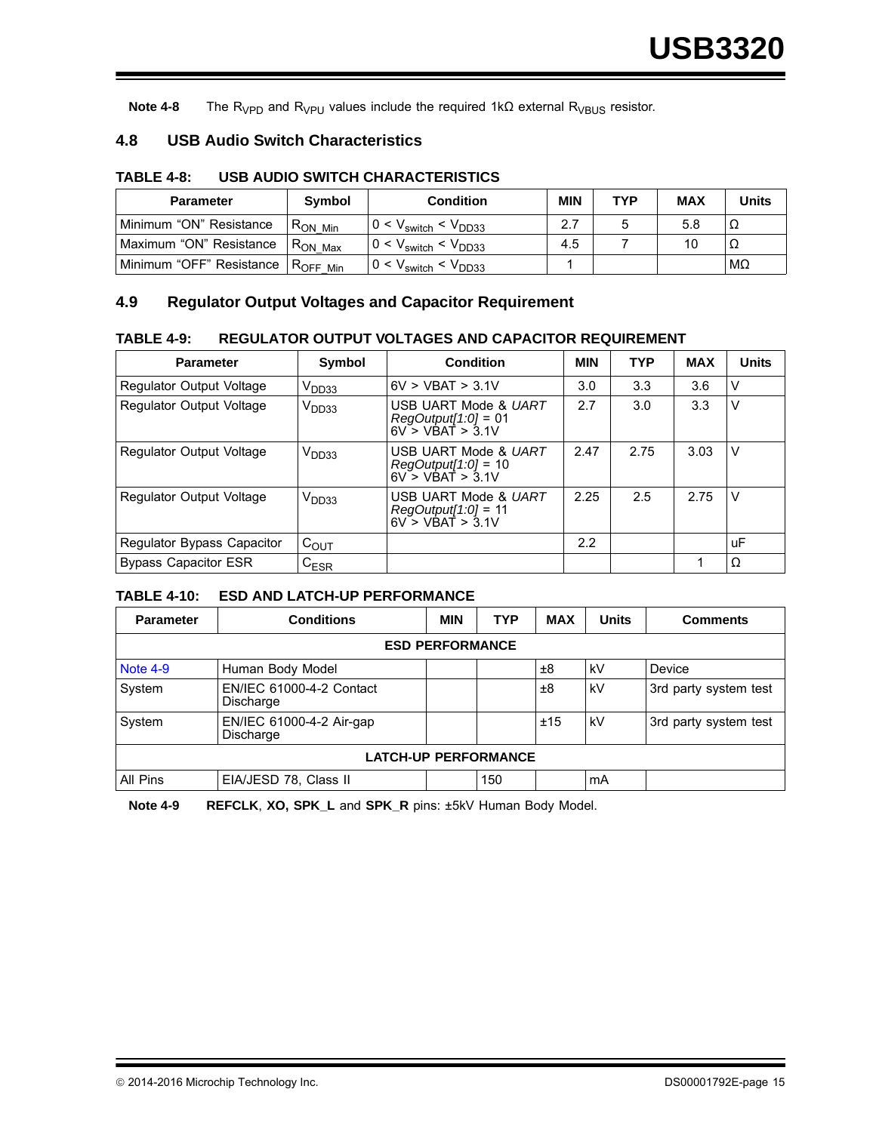<span id="page-14-0"></span>**Note 4-8** The R<sub>VPD</sub> and R<sub>VPU</sub> values include the required 1kΩ external R<sub>VBUS</sub> resistor.

#### **4.8 USB Audio Switch Characteristics**

<span id="page-14-3"></span>

| <b>TABLE 4-8:</b> | USB AUDIO SWITCH CHARACTERISTICS |
|-------------------|----------------------------------|
|                   |                                  |

| <b>Parameter</b>         | <b>Symbol</b>        | <b>Condition</b>                   | <b>MIN</b> | <b>TYP</b> | <b>MAX</b> | <b>Units</b> |
|--------------------------|----------------------|------------------------------------|------------|------------|------------|--------------|
| Minimum "ON" Resistance  | $R_{ON$ Min          | $10 \leq V_{switch} \leq V_{DD33}$ | 2.7        |            | 5.8        | ۱Ω           |
| Maximum "ON" Resistance  | $R_{ON \text{ Max}}$ | $0 < Vswitch < VDD33$              | 4.5        |            | 10         | ے ک          |
| Minimum "OFF" Resistance | $R_{OFF~Min}$        | $0 < Vswitch < VDD33$              |            |            |            | $M\Omega$    |

## **4.9 Regulator Output Voltages and Capacitor Requirement**

#### <span id="page-14-2"></span>**TABLE 4-9: REGULATOR OUTPUT VOLTAGES AND CAPACITOR REQUIREMENT**

| <b>Parameter</b>            | Symbol                      | <b>Condition</b>                                                  | <b>MIN</b> | <b>TYP</b> | <b>MAX</b> | <b>Units</b> |
|-----------------------------|-----------------------------|-------------------------------------------------------------------|------------|------------|------------|--------------|
| Regulator Output Voltage    | $\rm V_{DD33}$              | 6V > VBAT > 3.1V                                                  | 3.0        | 3.3        | 3.6        | V            |
| Regulator Output Voltage    | $\rm V_{DD33}$              | USB UART Mode & UART<br>$RegOutput[1:0] = 01$<br>6V > VBAT > 3.1V | 2.7        | 3.0        | 3.3        | ν            |
| Regulator Output Voltage    | $V_{DD33}$                  | USB UART Mode & UART<br>$RegOutput[1:0] = 10$<br>6V > VBAT > 3.1V | 2.47       | 2.75       | 3.03       | v            |
| Regulator Output Voltage    | V <sub>DD33</sub>           | USB UART Mode & UART<br>$RegOutput[1:0] = 11$<br>6V > VBAT > 3.1V | 2.25       | 2.5        | 2.75       | V            |
| Regulator Bypass Capacitor  | $C_{\text{OUT}}$            |                                                                   | 2.2        |            |            | uF           |
| <b>Bypass Capacitor ESR</b> | $\mathsf{C}_{\mathsf{ESR}}$ |                                                                   |            |            |            | Ω            |

#### <span id="page-14-4"></span>**TABLE 4-10: ESD AND LATCH-UP PERFORMANCE**

| <b>Parameter</b>            | <b>Conditions</b>                     | <b>MIN</b>             | <b>TYP</b> | <b>MAX</b> | Units | <b>Comments</b>       |  |
|-----------------------------|---------------------------------------|------------------------|------------|------------|-------|-----------------------|--|
|                             |                                       | <b>ESD PERFORMANCE</b> |            |            |       |                       |  |
| Note 4-9                    | Human Body Model                      |                        |            | ±8         | kV    | Device                |  |
| System                      | EN/IEC 61000-4-2 Contact<br>Discharge |                        |            | ±8         | kV    | 3rd party system test |  |
| System                      | EN/IEC 61000-4-2 Air-gap<br>Discharge |                        |            | ±15        | kV    | 3rd party system test |  |
| <b>LATCH-UP PERFORMANCE</b> |                                       |                        |            |            |       |                       |  |
| All Pins                    | EIA/JESD 78, Class II                 |                        | 150        |            | mA    |                       |  |

<span id="page-14-1"></span>**Note 4-9 REFCLK**, **XO, SPK\_L** and **SPK\_R** pins: ±5kV Human Body Model.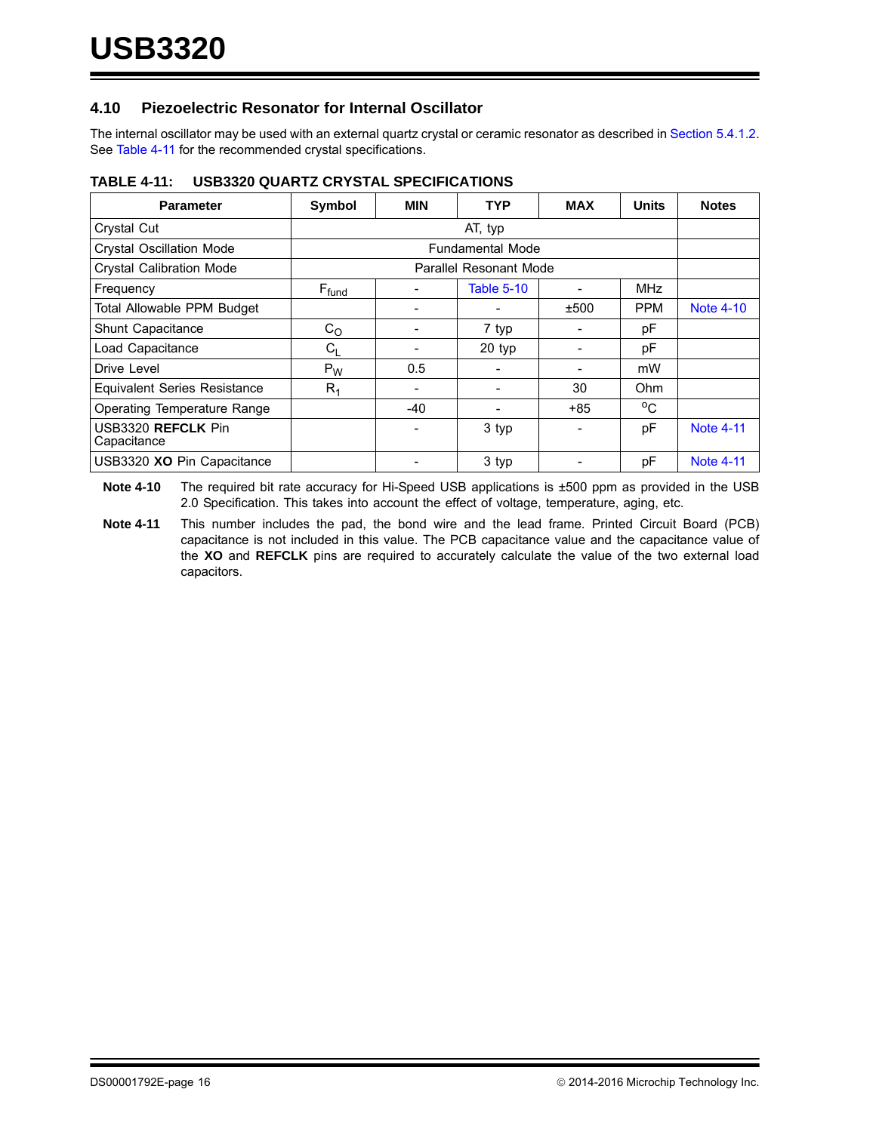#### **4.10 Piezoelectric Resonator for Internal Oscillator**

The internal oscillator may be used with an external quartz crystal or ceramic resonator as described in [Section 5.4.1.2.](#page-19-0) See [Table 4-11](#page-15-0) for the recommended crystal specifications.

| <b>Parameter</b>                    | Symbol      | <b>MIN</b>                               | <b>TYP</b>              | <b>MAX</b>                             | <b>Units</b> | <b>Notes</b>     |  |  |  |  |
|-------------------------------------|-------------|------------------------------------------|-------------------------|----------------------------------------|--------------|------------------|--|--|--|--|
| <b>Crystal Cut</b>                  |             |                                          | AT, typ                 |                                        |              |                  |  |  |  |  |
| <b>Crystal Oscillation Mode</b>     |             |                                          | <b>Fundamental Mode</b> |                                        |              |                  |  |  |  |  |
| <b>Crystal Calibration Mode</b>     |             | Parallel Resonant Mode                   |                         |                                        |              |                  |  |  |  |  |
| Frequency                           | $F_{fund}$  | -                                        | <b>Table 5-10</b>       | <b>MHz</b><br>$\overline{\phantom{a}}$ |              |                  |  |  |  |  |
| <b>Total Allowable PPM Budget</b>   |             | -                                        |                         | ±500                                   | <b>PPM</b>   | <b>Note 4-10</b> |  |  |  |  |
| Shunt Capacitance                   | $C_{\rm O}$ |                                          | 7 typ                   |                                        | рF           |                  |  |  |  |  |
| Load Capacitance                    | $C_{L}$     | 20 typ<br>рF<br>$\overline{\phantom{a}}$ |                         |                                        |              |                  |  |  |  |  |
| Drive Level                         | $P_W$       | 0.5                                      |                         |                                        | mW           |                  |  |  |  |  |
| <b>Equivalent Series Resistance</b> | $R_1$       | $\overline{\phantom{0}}$                 |                         | 30                                     | Ohm          |                  |  |  |  |  |
| <b>Operating Temperature Range</b>  |             | $-40$                                    |                         | $+85$                                  | $^{\circ}$ C |                  |  |  |  |  |
| USB3320 REFCLK Pin<br>Capacitance   |             |                                          | 3 typ                   |                                        | рF           | <b>Note 4-11</b> |  |  |  |  |
| USB3320 XO Pin Capacitance          |             |                                          | 3 typ                   |                                        | рF           | <b>Note 4-11</b> |  |  |  |  |

#### <span id="page-15-3"></span><span id="page-15-0"></span>**TABLE 4-11: USB3320 QUARTZ CRYSTAL SPECIFICATIONS**

<span id="page-15-1"></span>**Note 4-10** The required bit rate accuracy for Hi-Speed USB applications is ±500 ppm as provided in the USB 2.0 Specification. This takes into account the effect of voltage, temperature, aging, etc.

<span id="page-15-2"></span>**Note 4-11** This number includes the pad, the bond wire and the lead frame. Printed Circuit Board (PCB) capacitance is not included in this value. The PCB capacitance value and the capacitance value of the **XO** and **REFCLK** pins are required to accurately calculate the value of the two external load capacitors.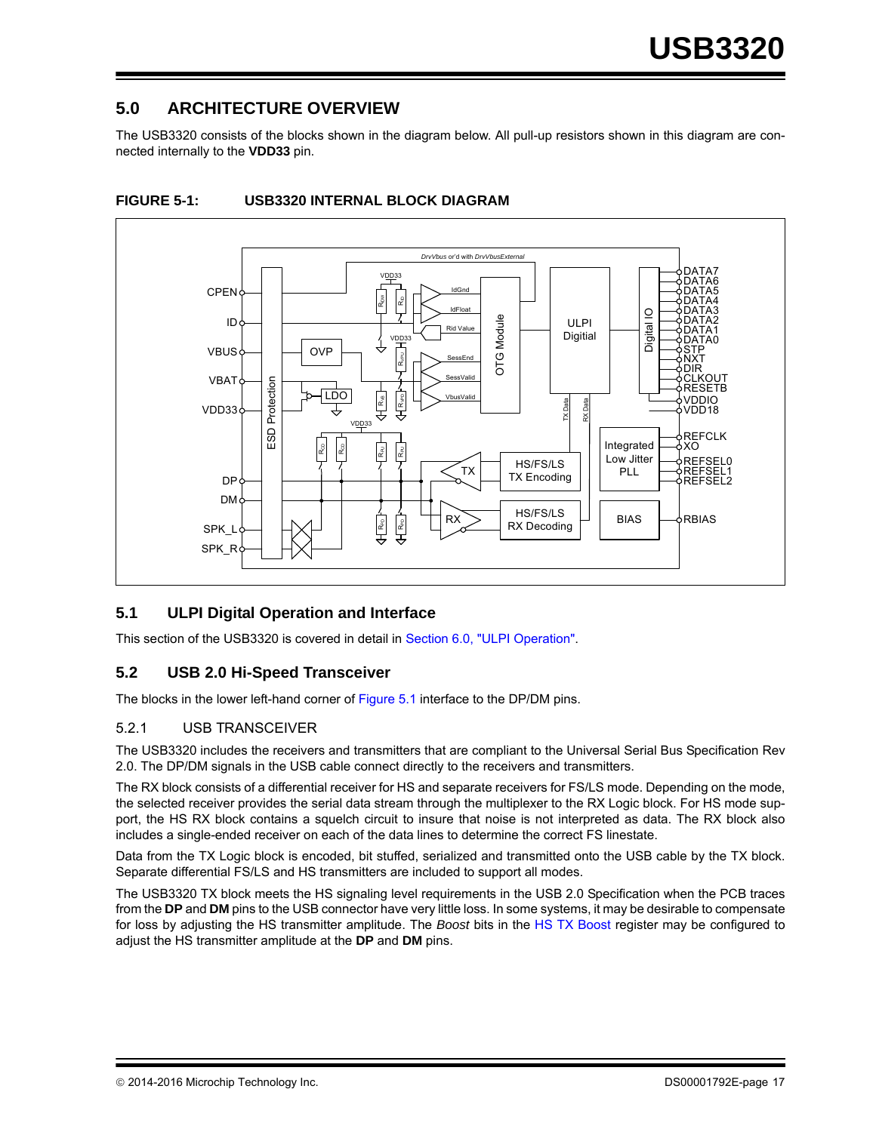## <span id="page-16-0"></span>**5.0 ARCHITECTURE OVERVIEW**

The USB3320 consists of the blocks shown in the diagram below. All pull-up resistors shown in this diagram are connected internally to the **VDD33** pin.





## <span id="page-16-2"></span><span id="page-16-1"></span>**5.1 ULPI Digital Operation and Interface**

This section of the USB3320 is covered in detail in [Section 6.0, "ULPI Operation"](#page-32-1).

#### **5.2 USB 2.0 Hi-Speed Transceiver**

The blocks in the lower left-hand corner of [Figure 5.1](#page-16-2) interface to the DP/DM pins.

#### <span id="page-16-4"></span><span id="page-16-3"></span>5.2.1 USB TRANSCEIVER

The USB3320 includes the receivers and transmitters that are compliant to the Universal Serial Bus Specification Rev 2.0. The DP/DM signals in the USB cable connect directly to the receivers and transmitters.

The RX block consists of a differential receiver for HS and separate receivers for FS/LS mode. Depending on the mode, the selected receiver provides the serial data stream through the multiplexer to the RX Logic block. For HS mode support, the HS RX block contains a squelch circuit to insure that noise is not interpreted as data. The RX block also includes a single-ended receiver on each of the data lines to determine the correct FS linestate.

Data from the TX Logic block is encoded, bit stuffed, serialized and transmitted onto the USB cable by the TX block. Separate differential FS/LS and HS transmitters are included to support all modes.

The USB3320 TX block meets the HS signaling level requirements in the USB 2.0 Specification when the PCB traces from the **DP** and **DM** pins to the USB connector have very little loss. In some systems, it may be desirable to compensate for loss by adjusting the HS transmitter amplitude. The *Boost* bits in the [HS TX Boost](#page-55-0) register may be configured to adjust the HS transmitter amplitude at the **DP** and **DM** pins.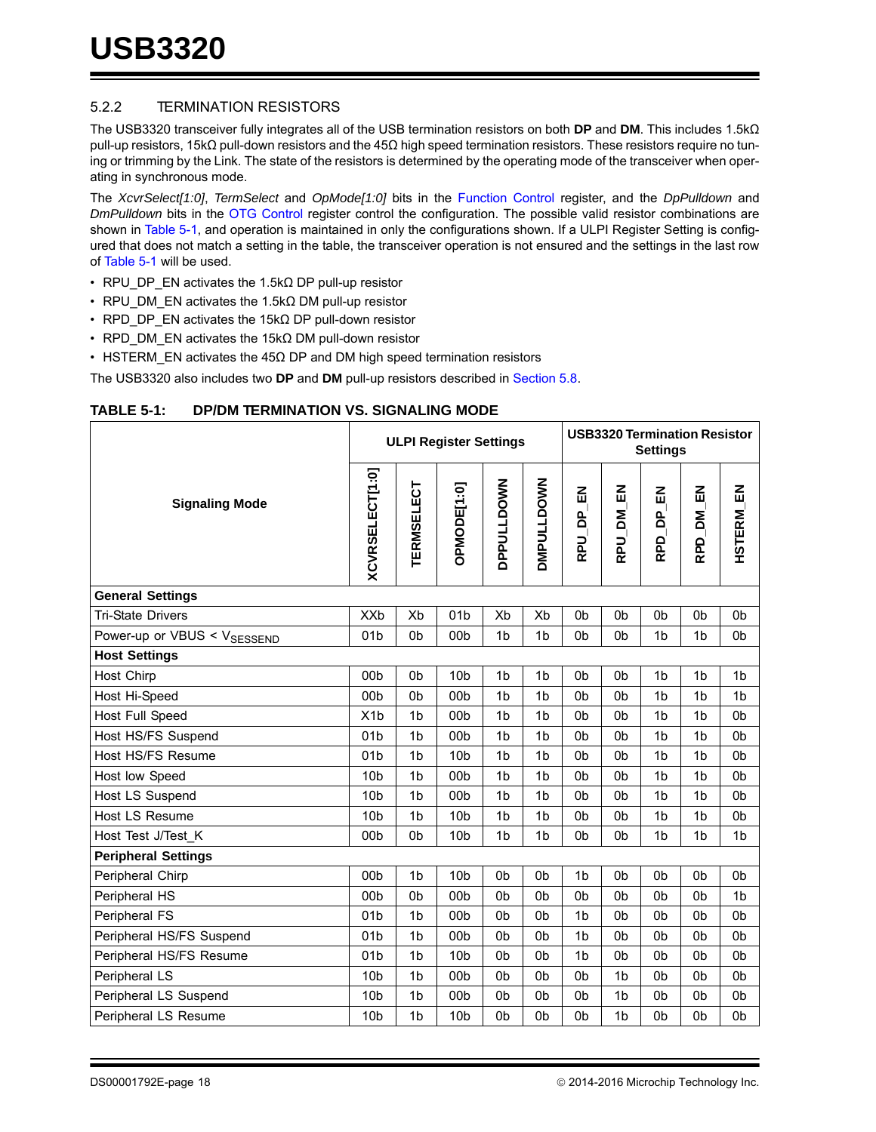#### 5.2.2 TERMINATION RESISTORS

The USB3320 transceiver fully integrates all of the USB termination resistors on both **DP** and **DM**. This includes 1.5kΩ pull-up resistors, 15kΩ pull-down resistors and the 45Ω high speed termination resistors. These resistors require no tuning or trimming by the Link. The state of the resistors is determined by the operating mode of the transceiver when operating in synchronous mode.

The *XcvrSelect[1:0]*, *TermSelect* and *OpMode[1:0]* bits in the [Function Control](#page-49-0) register, and the *DpPulldown* and *DmPulldown* bits in the [OTG Control](#page-50-0) register control the configuration. The possible valid resistor combinations are shown in [Table 5-1](#page-17-0), and operation is maintained in only the configurations shown. If a ULPI Register Setting is configured that does not match a setting in the table, the transceiver operation is not ensured and the settings in the last row of [Table 5-1](#page-17-0) will be used.

- RPU\_DP\_EN activates the 1.5kΩ DP pull-up resistor
- RPU\_DM\_EN activates the 1.5kΩ DM pull-up resistor
- RPD\_DP\_EN activates the 15kΩ DP pull-down resistor
- RPD\_DM\_EN activates the 15kΩ DM pull-down resistor
- HSTERM EN activates the 45Ω DP and DM high speed termination resistors

The USB3320 also includes two **DP** and **DM** pull-up resistors described in [Section 5.8.](#page-30-0)

#### <span id="page-17-1"></span><span id="page-17-0"></span>**TABLE 5-1: DP/DM TERMINATION VS. SIGNALING MODE**

|                                         | <b>ULPI Register Settings</b> |                   |                 |                   | <b>USB3320 Termination Resistor</b><br><b>Settings</b> |                |                |                |                |                  |
|-----------------------------------------|-------------------------------|-------------------|-----------------|-------------------|--------------------------------------------------------|----------------|----------------|----------------|----------------|------------------|
| <b>Signaling Mode</b>                   | <b>XCVRSELECT[1:0]</b>        | <b>TERMSELECT</b> | OPMODE[1:0]     | <b>DPPULLDOWN</b> | <b>DWPULLDOWN</b>                                      | RPU_DP_EN      | RPU_DM_EN      | RPD_DP_EN      | RPD_DM_EN      | <b>HSTERM_EN</b> |
| <b>General Settings</b>                 |                               |                   |                 |                   |                                                        |                |                |                |                |                  |
| <b>Tri-State Drivers</b>                | <b>XXb</b>                    | Xb                | 01 <sub>b</sub> | Xb                | Xb                                                     | 0 <sub>b</sub> | 0 <sub>b</sub> | 0b             | 0b             | 0 <sub>b</sub>   |
| Power-up or VBUS < V <sub>SESSEND</sub> | 01 <sub>b</sub>               | 0 <sub>b</sub>    | 00b             | 1 <sub>b</sub>    | 1 <sub>b</sub>                                         | 0b             | 0b             | 1 <sub>b</sub> | 1b             | 0b               |
| <b>Host Settings</b>                    |                               |                   |                 |                   |                                                        |                |                |                |                |                  |
| Host Chirp                              | 00 <sub>b</sub>               | 0b                | 10 <sub>b</sub> | 1 <sub>b</sub>    | 1 <sub>b</sub>                                         | 0b             | 0 <sub>b</sub> | 1 <sub>b</sub> | 1 <sub>b</sub> | 1 <sub>b</sub>   |
| Host Hi-Speed                           | 00 <sub>b</sub>               | 0 <sub>b</sub>    | 00b             | 1 <sub>b</sub>    | 1 <sub>b</sub>                                         | 0 <sub>b</sub> | 0 <sub>b</sub> | 1 <sub>b</sub> | 1 <sub>b</sub> | 1 <sub>b</sub>   |
| Host Full Speed                         | X <sub>1</sub> b              | 1b                | 00b             | 1b                | 1b                                                     | 0b             | 0 <sub>b</sub> | 1 <sub>b</sub> | 1 <sub>b</sub> | 0b               |
| Host HS/FS Suspend                      | 01 <sub>b</sub>               | 1 <sub>b</sub>    | 00b             | 1 <sub>b</sub>    | 1 <sub>b</sub>                                         | 0 <sub>b</sub> | 0 <sub>b</sub> | 1 <sub>b</sub> | 1 <sub>b</sub> | 0b               |
| Host HS/FS Resume                       | 01 <sub>b</sub>               | 1b                | 10 <sub>b</sub> | 1b                | 1b                                                     | 0 <sub>b</sub> | 0 <sub>b</sub> | 1 <sub>b</sub> | 1 <sub>b</sub> | 0 <sub>b</sub>   |
| Host low Speed                          | 10 <sub>b</sub>               | 1 <sub>b</sub>    | 00b             | 1 <sub>b</sub>    | 1 <sub>b</sub>                                         | 0 <sub>b</sub> | 0 <sub>b</sub> | 1 <sub>b</sub> | 1 <sub>b</sub> | 0b               |
| Host LS Suspend                         | 10 <sub>b</sub>               | 1 <sub>b</sub>    | 00 <sub>b</sub> | 1 <sub>b</sub>    | 1b                                                     | 0 <sub>b</sub> | 0 <sub>b</sub> | 1 <sub>b</sub> | 1 <sub>b</sub> | 0 <sub>b</sub>   |
| Host LS Resume                          | 10 <sub>b</sub>               | 1 <sub>b</sub>    | 10 <sub>b</sub> | 1 <sub>b</sub>    | 1 <sub>b</sub>                                         | 0b             | 0b             | 1 <sub>b</sub> | 1 <sub>b</sub> | 0b               |
| Host Test J/Test K                      | 00 <sub>b</sub>               | 0 <sub>b</sub>    | 10 <sub>b</sub> | 1 <sub>b</sub>    | 1 <sub>b</sub>                                         | 0b             | 0b             | 1 <sub>b</sub> | 1 <sub>b</sub> | 1 <sub>b</sub>   |
| <b>Peripheral Settings</b>              |                               |                   |                 |                   |                                                        |                |                |                |                |                  |
| Peripheral Chirp                        | 00 <sub>b</sub>               | 1 <sub>b</sub>    | 10 <sub>b</sub> | 0b                | 0 <sub>b</sub>                                         | 1 <sub>b</sub> | 0b             | 0b             | 0b             | 0b               |
| Peripheral HS                           | 00 <sub>b</sub>               | 0b                | 00 <sub>b</sub> | 0b                | 0 <sub>b</sub>                                         | 0b             | 0b             | 0b             | 0b             | 1 <sub>b</sub>   |
| Peripheral FS                           | 01 <sub>b</sub>               | 1 <sub>b</sub>    | 00 <sub>b</sub> | 0 <sub>b</sub>    | 0 <sub>b</sub>                                         | 1 <sub>b</sub> | 0 <sub>b</sub> | 0 <sub>b</sub> | 0b             | 0 <sub>b</sub>   |
| Peripheral HS/FS Suspend                | 01 <sub>b</sub>               | 1 <sub>b</sub>    | 00b             | 0 <sub>b</sub>    | 0 <sub>b</sub>                                         | 1 <sub>b</sub> | 0 <sub>b</sub> | 0 <sub>b</sub> | 0 <sub>b</sub> | 0 <sub>b</sub>   |
| Peripheral HS/FS Resume                 | 01 <sub>b</sub>               | 1 <sub>b</sub>    | 10 <sub>b</sub> | 0b                | 0 <sub>b</sub>                                         | 1 <sub>b</sub> | 0 <sub>b</sub> | 0 <sub>b</sub> | 0 <sub>b</sub> | 0 <sub>b</sub>   |
| Peripheral LS                           | 10 <sub>b</sub>               | 1 <sub>b</sub>    | 00 <sub>b</sub> | 0b                | 0 <sub>b</sub>                                         | 0b             | 1 <sub>b</sub> | 0 <sub>b</sub> | 0b             | 0b               |
| Peripheral LS Suspend                   | 10 <sub>b</sub>               | 1 <sub>b</sub>    | 00b             | 0b                | 0 <sub>b</sub>                                         | 0 <sub>b</sub> | 1 <sub>b</sub> | 0b             | 0b             | 0b               |
| Peripheral LS Resume                    | 10 <sub>b</sub>               | 1 <sub>b</sub>    | 10 <sub>b</sub> | 0b                | 0b                                                     | 0 <sub>b</sub> | 1 <sub>b</sub> | 0 <sub>b</sub> | 0 <sub>b</sub> | 0 <sub>b</sub>   |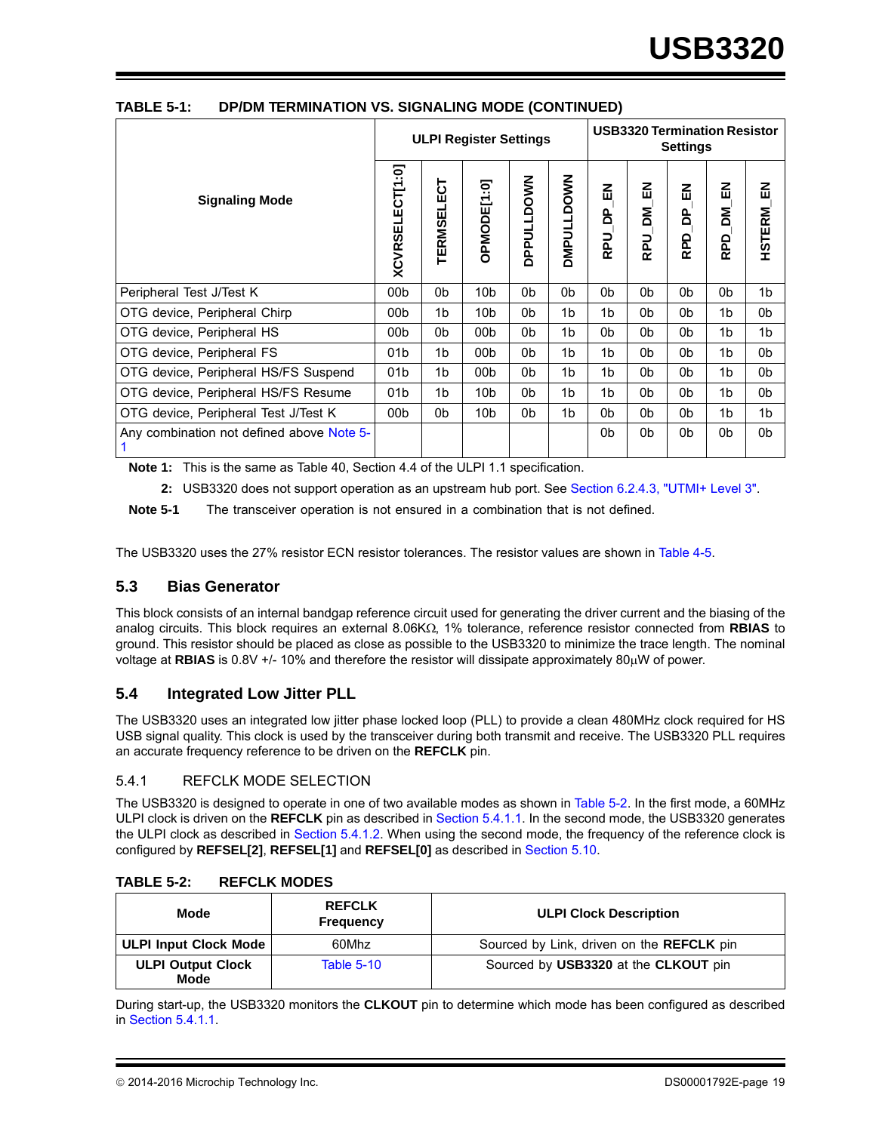|                                                                   | <b>ULPI Register Settings</b> |                   |                 |                   |                   | <b>USB3320 Termination Resistor</b><br><b>Settings</b> |                      |                                 |                                  |                    |
|-------------------------------------------------------------------|-------------------------------|-------------------|-----------------|-------------------|-------------------|--------------------------------------------------------|----------------------|---------------------------------|----------------------------------|--------------------|
| <b>Signaling Mode</b>                                             | <b>XCVRSELECT[1:0]</b>        | <b>TERMSELECT</b> | OPMODE[1:0]     | <b>DPPULLDOWN</b> | <b>DMPULLDOWN</b> | 즶<br>ਠੇ<br><b>Dd</b>                                   | 몺<br>ΣÑ<br><b>Dd</b> | 룹<br>$\mathsf{B}$<br><b>RPD</b> | $\mathbf{r}$<br>ΣÓ<br><b>Qd3</b> | 몺<br><b>HSTERM</b> |
| Peripheral Test J/Test K                                          | 00 <sub>b</sub>               | 0b                | 10 <sub>b</sub> | 0 <sub>b</sub>    | 0b                | 0b                                                     | 0b                   | 0b                              | 0 <sub>b</sub>                   | 1 <sub>b</sub>     |
| OTG device, Peripheral Chirp                                      | 00 <sub>b</sub>               | 1 <sub>b</sub>    | 10 <sub>b</sub> | 0b                | 1 <sub>b</sub>    | 1b                                                     | 0b                   | 0b                              | 1 <sub>b</sub>                   | 0 <sub>b</sub>     |
| OTG device, Peripheral HS                                         | 00 <sub>b</sub>               | 0b                | 00 <sub>b</sub> | 0 <sub>b</sub>    | 1b                | 0b                                                     | 0b                   | 0b                              | 1 <sub>b</sub>                   | 1 <sub>b</sub>     |
| OTG device, Peripheral FS                                         | 01 <sub>b</sub>               | 1b                | 00 <sub>b</sub> | 0b                | 1b                | 1b                                                     | 0b                   | 0b                              | 1 <sub>b</sub>                   | 0b                 |
| OTG device, Peripheral HS/FS Suspend                              | 01 <sub>b</sub>               | 1b                | 00 <sub>b</sub> | 0b                | 1 <sub>b</sub>    | 1b                                                     | 0b                   | 0b                              | 1 <sub>b</sub>                   | 0b                 |
| OTG device, Peripheral HS/FS Resume                               | 01 <sub>b</sub>               | 1 <sub>b</sub>    | 10 <sub>b</sub> | 0 <sub>b</sub>    | 1 <sub>b</sub>    | 1b                                                     | 0b                   | 0b                              | 1 <sub>b</sub>                   | 0b                 |
| OTG device, Peripheral Test J/Test K                              | 00 <sub>b</sub>               | 0b                | 10 <sub>b</sub> | 0b                | 1 <sub>b</sub>    | 0b                                                     | 0b                   | 0b                              | 1 <sub>b</sub>                   | 1 <sub>b</sub>     |
| Any combination not defined above Note 5-<br>$\blacktriangleleft$ |                               |                   |                 |                   |                   | 0b                                                     | 0b                   | 0b                              | 0 <sub>b</sub>                   | 0b                 |

**TABLE 5-1: DP/DM TERMINATION VS. SIGNALING MODE (CONTINUED)**

**Note 1:** This is the same as Table 40, Section 4.4 of the ULPI 1.1 specification.

**2:** USB3320 does not support operation as an upstream hub port. See [Section 6.2.4.3, "UTMI+ Level 3".](#page-39-1)

<span id="page-18-1"></span>**Note 5-1** The transceiver operation is not ensured in a combination that is not defined.

The USB3320 uses the 27% resistor ECN resistor tolerances. The resistor values are shown in [Table 4-5.](#page-11-1)

#### <span id="page-18-3"></span>**5.3 Bias Generator**

This block consists of an internal bandgap reference circuit used for generating the driver current and the biasing of the analog circuits. This block requires an external 8.06KQ, 1% tolerance, reference resistor connected from RBIAS to ground. This resistor should be placed as close as possible to the USB3320 to minimize the trace length. The nominal voltage at RBIAS is 0.8V +/- 10% and therefore the resistor will dissipate approximately 80µW of power.

#### **5.4 Integrated Low Jitter PLL**

The USB3320 uses an integrated low jitter phase locked loop (PLL) to provide a clean 480MHz clock required for HS USB signal quality. This clock is used by the transceiver during both transmit and receive. The USB3320 PLL requires an accurate frequency reference to be driven on the **REFCLK** pin.

#### <span id="page-18-0"></span>5.4.1 REFCLK MODE SELECTION

The USB3320 is designed to operate in one of two available modes as shown in [Table 5-2.](#page-18-2) In the first mode, a 60MHz ULPI clock is driven on the **REFCLK** pin as described in [Section 5.4.1.1.](#page-19-1) In the second mode, the USB3320 generates the ULPI clock as described in [Section 5.4.1.2.](#page-19-2) When using the second mode, the frequency of the reference clock is configured by **REFSEL[2]**, **REFSEL[1]** and **REFSEL[0]** as described in [Section 5.10](#page-31-2).

| Mode                             | <b>REFCLK</b><br><b>Frequency</b> | <b>ULPI Clock Description</b>             |
|----------------------------------|-----------------------------------|-------------------------------------------|
| <b>ULPI Input Clock Mode</b>     | 60Mhz                             | Sourced by Link, driven on the REFCLK pin |
| <b>ULPI Output Clock</b><br>Mode | <b>Table 5-10</b>                 | Sourced by USB3320 at the CLKOUT pin      |

#### <span id="page-18-2"></span>**TABLE 5-2: REFCLK MODES**

During start-up, the USB3320 monitors the **CLKOUT** pin to determine which mode has been configured as described in [Section 5.4.1.1](#page-19-1).

 <sup>2014-2016</sup> Microchip Technology Inc. DS00001792E-page 19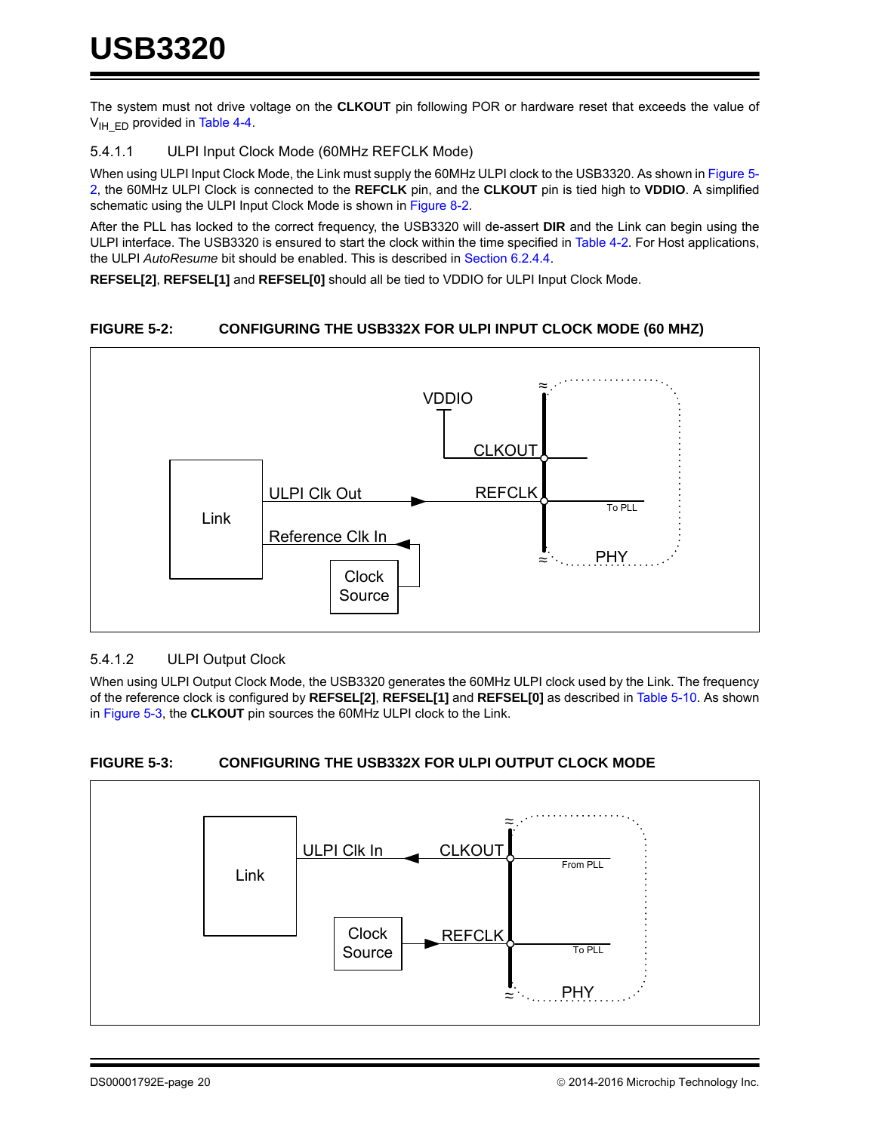The system must not drive voltage on the **CLKOUT** pin following POR or hardware reset that exceeds the value of  $V_{\text{IH}}$  <sub>ED</sub> provided in [Table 4-4](#page-11-0).

#### <span id="page-19-5"></span><span id="page-19-1"></span>5.4.1.1 ULPI Input Clock Mode (60MHz REFCLK Mode)

When using ULPI Input Clock Mode, the Link must supply the 60MHz ULPI clock to the USB3320. As shown in [Figure 5-](#page-19-4) [2,](#page-19-4) the 60MHz ULPI Clock is connected to the **REFCLK** pin, and the **CLKOUT** pin is tied high to **VDDIO**. A simplified schematic using the ULPI Input Clock Mode is shown in [Figure 8-2.](#page-59-0)

After the PLL has locked to the correct frequency, the USB3320 will de-assert **DIR** and the Link can begin using the ULPI interface. The USB3320 is ensured to start the clock within the time specified in [Table 4-2](#page-10-2). For Host applications, the ULPI *AutoResume* bit should be enabled. This is described in [Section 6.2.4.4.](#page-39-0)

**REFSEL[2]**, **REFSEL[1]** and **REFSEL[0]** should all be tied to VDDIO for ULPI Input Clock Mode.

#### <span id="page-19-4"></span>**FIGURE 5-2: CONFIGURING THE USB332X FOR ULPI INPUT CLOCK MODE (60 MHZ)**



#### <span id="page-19-2"></span><span id="page-19-0"></span>5.4.1.2 ULPI Output Clock

When using ULPI Output Clock Mode, the USB3320 generates the 60MHz ULPI clock used by the Link. The frequency of the reference clock is configured by **REFSEL[2]**, **REFSEL[1]** and **REFSEL[0]** as described in [Table 5-10](#page-31-1). As shown in [Figure 5-3](#page-19-3), the **CLKOUT** pin sources the 60MHz ULPI clock to the Link.

#### <span id="page-19-3"></span>**FIGURE 5-3: CONFIGURING THE USB332X FOR ULPI OUTPUT CLOCK MODE**

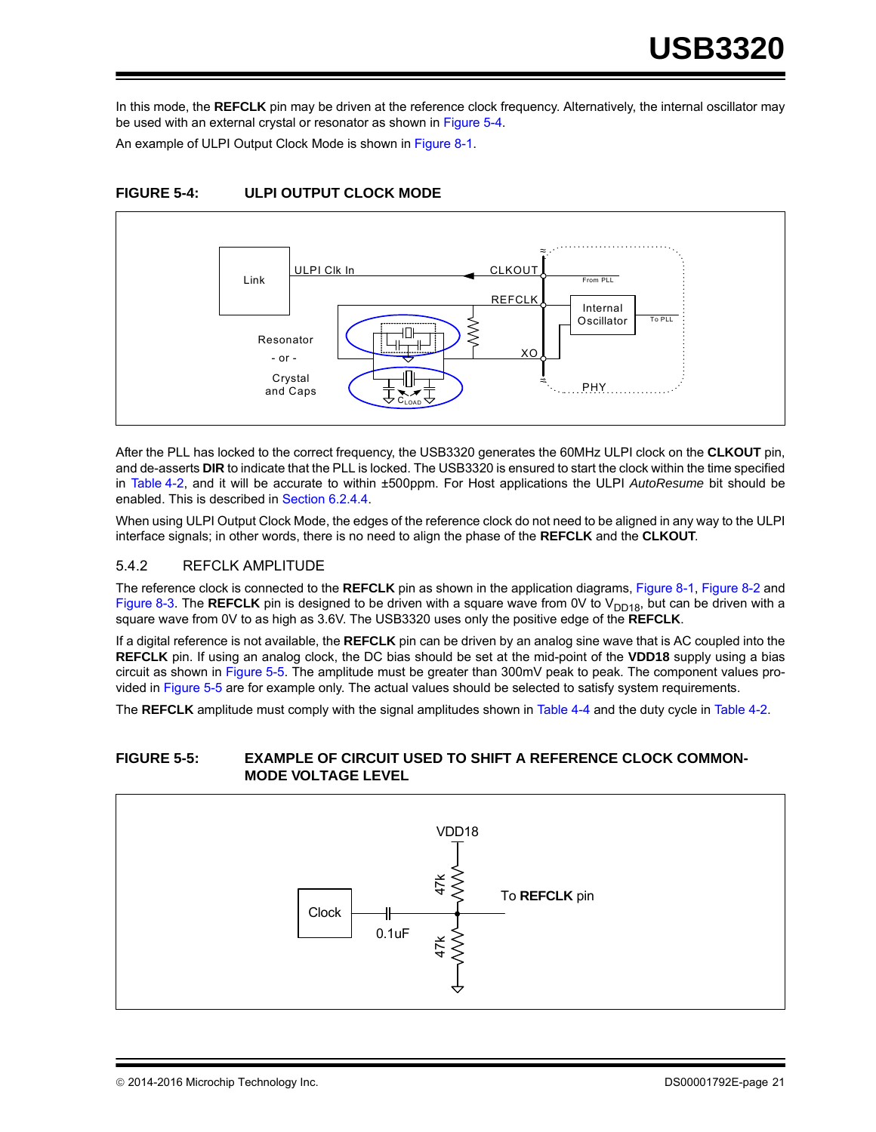In this mode, the **REFCLK** pin may be driven at the reference clock frequency. Alternatively, the internal oscillator may be used with an external crystal or resonator as shown in [Figure 5-4](#page-20-0).

An example of ULPI Output Clock Mode is shown in [Figure 8-1.](#page-58-0)

#### <span id="page-20-0"></span>**FIGURE 5-4: ULPI OUTPUT CLOCK MODE**



After the PLL has locked to the correct frequency, the USB3320 generates the 60MHz ULPI clock on the **CLKOUT** pin, and de-asserts **DIR** to indicate that the PLL is locked. The USB3320 is ensured to start the clock within the time specified in [Table 4-2,](#page-10-2) and it will be accurate to within ±500ppm. For Host applications the ULPI *AutoResume* bit should be enabled. This is described in [Section 6.2.4.4](#page-39-0).

When using ULPI Output Clock Mode, the edges of the reference clock do not need to be aligned in any way to the ULPI interface signals; in other words, there is no need to align the phase of the **REFCLK** and the **CLKOUT**.

#### 5.4.2 REFCLK AMPLITUDE

The reference clock is connected to the **REFCLK** pin as shown in the application diagrams, [Figure 8-1,](#page-58-0) [Figure 8-2](#page-59-0) and [Figure 8-3.](#page-60-0) The REFCLK pin is designed to be driven with a square wave from 0V to V<sub>DD18</sub>, but can be driven with a square wave from 0V to as high as 3.6V. The USB3320 uses only the positive edge of the **REFCLK**.

If a digital reference is not available, the **REFCLK** pin can be driven by an analog sine wave that is AC coupled into the **REFCLK** pin. If using an analog clock, the DC bias should be set at the mid-point of the **VDD18** supply using a bias circuit as shown in [Figure 5-5.](#page-20-1) The amplitude must be greater than 300mV peak to peak. The component values provided in [Figure 5-5](#page-20-1) are for example only. The actual values should be selected to satisfy system requirements.

The **REFCLK** amplitude must comply with the signal amplitudes shown in [Table 4-4](#page-11-0) and the duty cycle in [Table 4-2.](#page-10-2)

#### <span id="page-20-1"></span>**FIGURE 5-5: EXAMPLE OF CIRCUIT USED TO SHIFT A REFERENCE CLOCK COMMON-MODE VOLTAGE LEVEL**

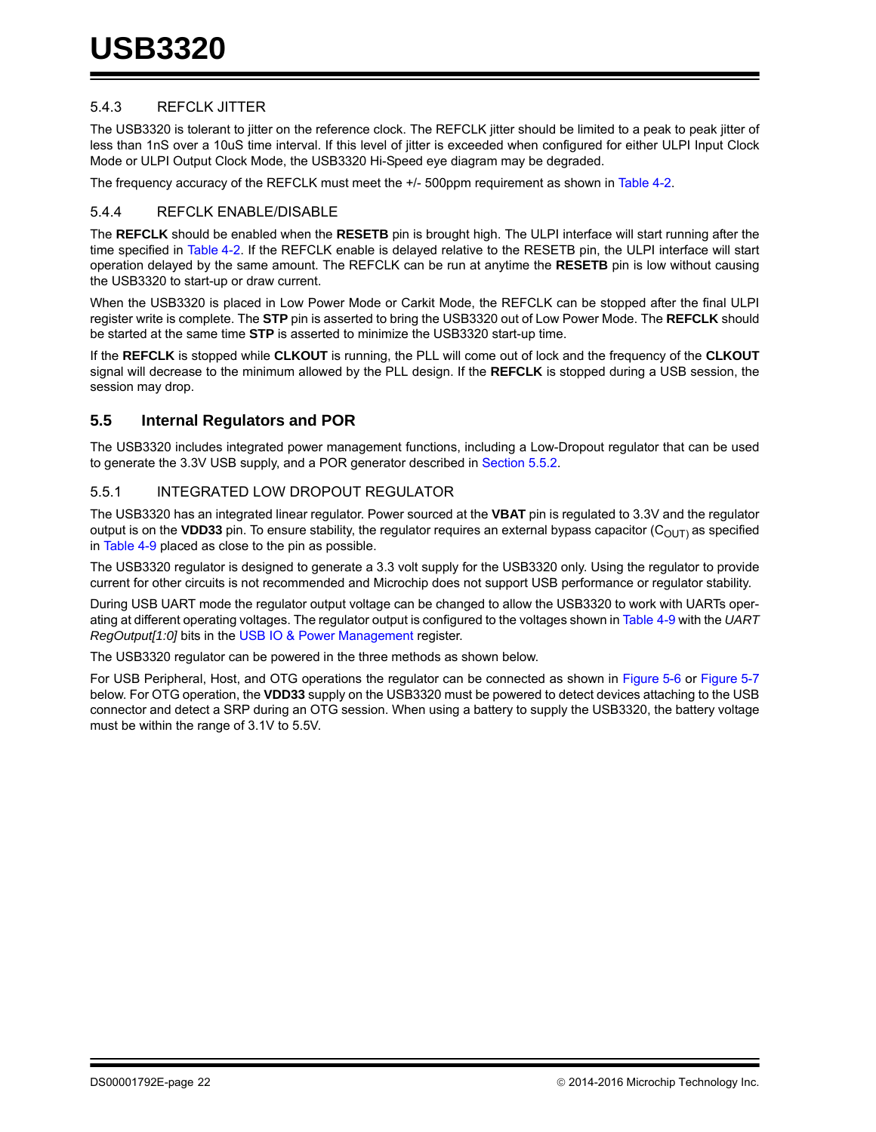#### 5.4.3 REFCLK JITTER

The USB3320 is tolerant to jitter on the reference clock. The REFCLK jitter should be limited to a peak to peak jitter of less than 1nS over a 10uS time interval. If this level of jitter is exceeded when configured for either ULPI Input Clock Mode or ULPI Output Clock Mode, the USB3320 Hi-Speed eye diagram may be degraded.

The frequency accuracy of the REFCLK must meet the  $+/$ -500ppm requirement as shown in [Table 4-2](#page-10-2).

#### 5.4.4 REFCLK ENABLE/DISABLE

The **REFCLK** should be enabled when the **RESETB** pin is brought high. The ULPI interface will start running after the time specified in [Table 4-2](#page-10-2). If the REFCLK enable is delayed relative to the RESETB pin, the ULPI interface will start operation delayed by the same amount. The REFCLK can be run at anytime the **RESETB** pin is low without causing the USB3320 to start-up or draw current.

When the USB3320 is placed in Low Power Mode or Carkit Mode, the REFCLK can be stopped after the final ULPI register write is complete. The **STP** pin is asserted to bring the USB3320 out of Low Power Mode. The **REFCLK** should be started at the same time **STP** is asserted to minimize the USB3320 start-up time.

If the **REFCLK** is stopped while **CLKOUT** is running, the PLL will come out of lock and the frequency of the **CLKOUT** signal will decrease to the minimum allowed by the PLL design. If the **REFCLK** is stopped during a USB session, the session may drop.

#### **5.5 Internal Regulators and POR**

The USB3320 includes integrated power management functions, including a Low-Dropout regulator that can be used to generate the 3.3V USB supply, and a POR generator described in [Section 5.5.2.](#page-23-1)

#### <span id="page-21-0"></span>5.5.1 INTEGRATED LOW DROPOUT REGULATOR

The USB3320 has an integrated linear regulator. Power sourced at the **VBAT** pin is regulated to 3.3V and the regulator output is on the VDD33 pin. To ensure stability, the regulator requires an external bypass capacitor  $(C_{\text{OUT}})$  as specified in [Table 4-9](#page-14-2) placed as close to the pin as possible.

The USB3320 regulator is designed to generate a 3.3 volt supply for the USB3320 only. Using the regulator to provide current for other circuits is not recommended and Microchip does not support USB performance or regulator stability.

During USB UART mode the regulator output voltage can be changed to allow the USB3320 to work with UARTs operating at different operating voltages. The regulator output is configured to the voltages shown in [Table 4-9](#page-14-2) with the *UART RegOutput[1:0]* bits in the [USB IO & Power Management](#page-56-0) register.

The USB3320 regulator can be powered in the three methods as shown below.

For USB Peripheral, Host, and OTG operations the regulator can be connected as shown in [Figure 5-6](#page-22-1) or [Figure 5-7](#page-22-2) below. For OTG operation, the **VDD33** supply on the USB3320 must be powered to detect devices attaching to the USB connector and detect a SRP during an OTG session. When using a battery to supply the USB3320, the battery voltage must be within the range of 3.1V to 5.5V.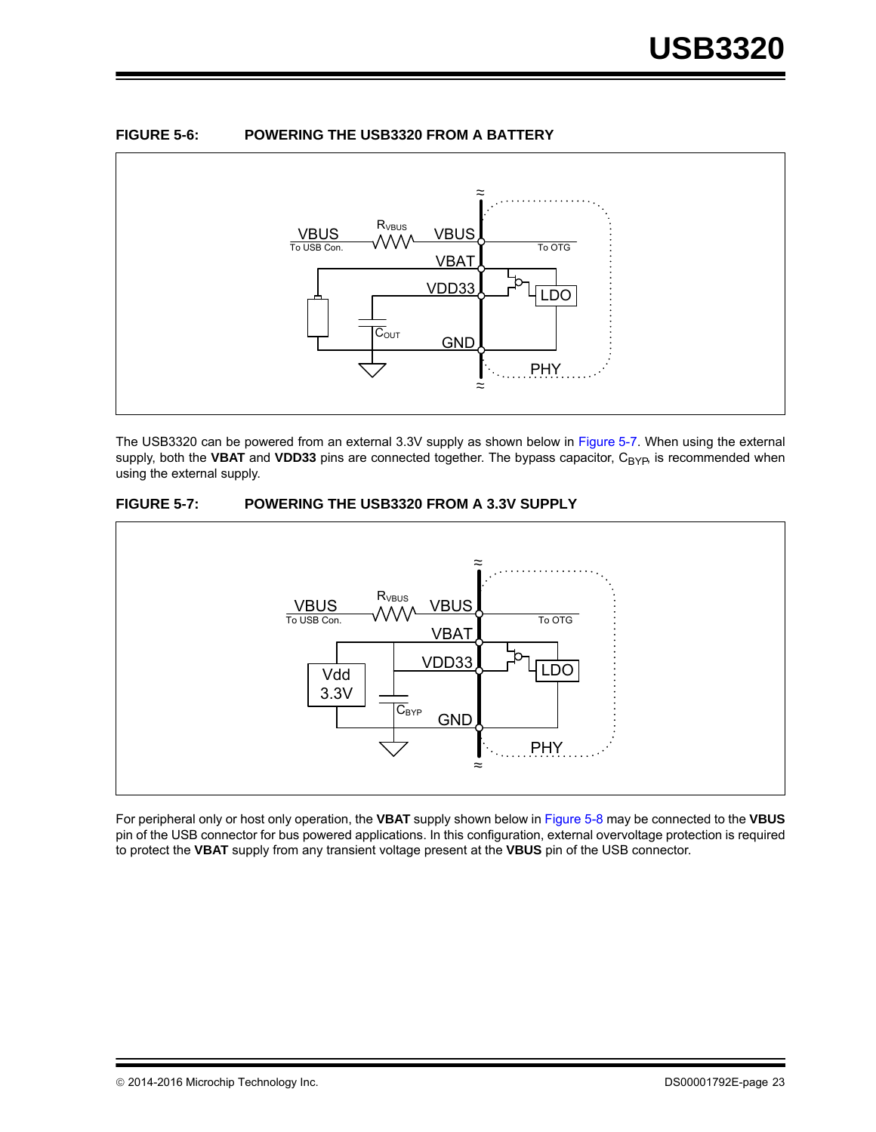#### <span id="page-22-1"></span>**FIGURE 5-6: POWERING THE USB3320 FROM A BATTERY**



The USB3320 can be powered from an external 3.3V supply as shown below in [Figure 5-7.](#page-22-2) When using the external supply, both the VBAT and VDD33 pins are connected together. The bypass capacitor, C<sub>BYP</sub>, is recommended when using the external supply.

<span id="page-22-2"></span><span id="page-22-0"></span>



For peripheral only or host only operation, the **VBAT** supply shown below in [Figure 5-8](#page-23-2) may be connected to the **VBUS** pin of the USB connector for bus powered applications. In this configuration, external overvoltage protection is required to protect the **VBAT** supply from any transient voltage present at the **VBUS** pin of the USB connector.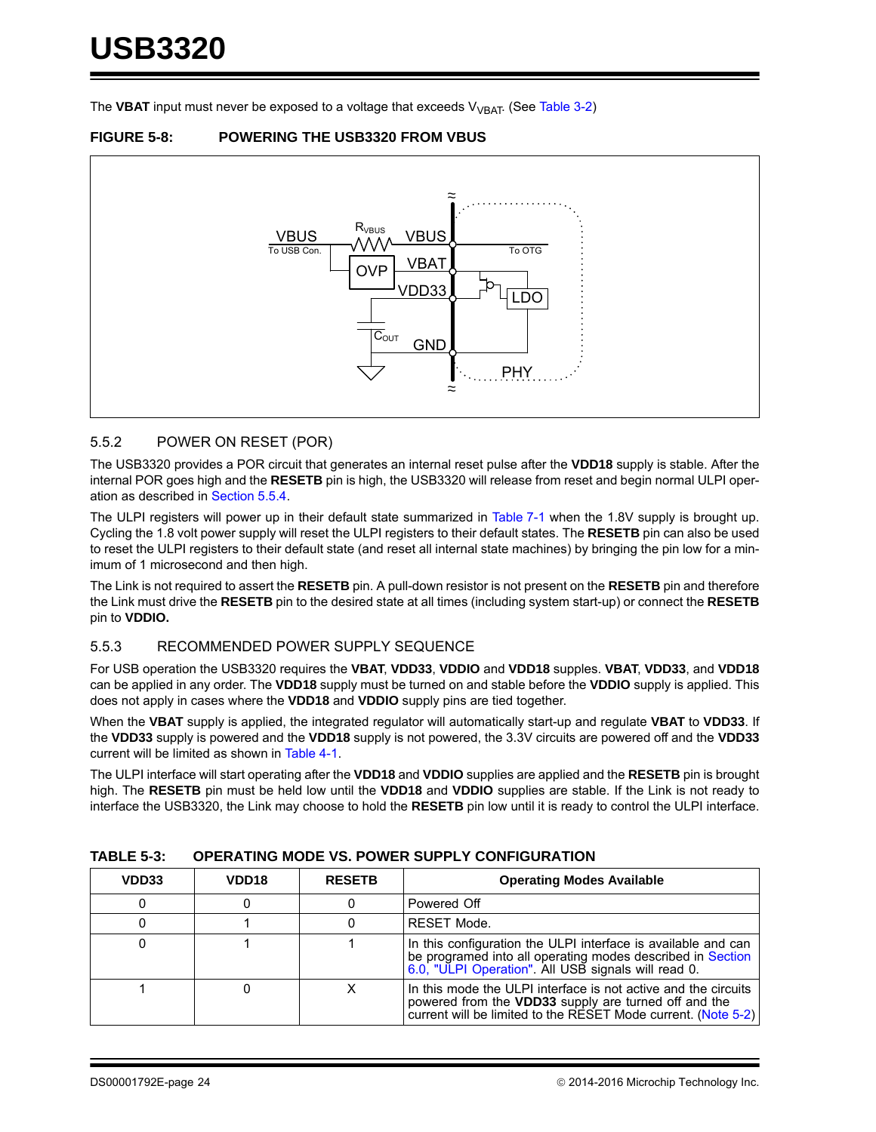The VBAT input must never be exposed to a voltage that exceeds  $V_{VBAT}$ . (See [Table 3-2](#page-8-1))



#### <span id="page-23-2"></span>**FIGURE 5-8: POWERING THE USB3320 FROM VBUS**

#### <span id="page-23-1"></span><span id="page-23-0"></span>5.5.2 POWER ON RESET (POR)

The USB3320 provides a POR circuit that generates an internal reset pulse after the **VDD18** supply is stable. After the internal POR goes high and the **RESETB** pin is high, the USB3320 will release from reset and begin normal ULPI operation as described in [Section 5.5.4](#page-24-1).

The ULPI registers will power up in their default state summarized in [Table 7-1](#page-48-1) when the 1.8V supply is brought up. Cycling the 1.8 volt power supply will reset the ULPI registers to their default states. The **RESETB** pin can also be used to reset the ULPI registers to their default state (and reset all internal state machines) by bringing the pin low for a minimum of 1 microsecond and then high.

The Link is not required to assert the **RESETB** pin. A pull-down resistor is not present on the **RESETB** pin and therefore the Link must drive the **RESETB** pin to the desired state at all times (including system start-up) or connect the **RESETB** pin to **VDDIO.** 

#### 5.5.3 RECOMMENDED POWER SUPPLY SEQUENCE

For USB operation the USB3320 requires the **VBAT**, **VDD33**, **VDDIO** and **VDD18** supples. **VBAT**, **VDD33**, and **VDD18** can be applied in any order. The **VDD18** supply must be turned on and stable before the **VDDIO** supply is applied. This does not apply in cases where the **VDD18** and **VDDIO** supply pins are tied together.

When the **VBAT** supply is applied, the integrated regulator will automatically start-up and regulate **VBAT** to **VDD33**. If the **VDD33** supply is powered and the **VDD18** supply is not powered, the 3.3V circuits are powered off and the **VDD33** current will be limited as shown in [Table 4-1](#page-9-3).

The ULPI interface will start operating after the **VDD18** and **VDDIO** supplies are applied and the **RESETB** pin is brought high. The **RESETB** pin must be held low until the **VDD18** and **VDDIO** supplies are stable. If the Link is not ready to interface the USB3320, the Link may choose to hold the **RESETB** pin low until it is ready to control the ULPI interface.

| VDD33 | VDD <sub>18</sub> | <b>RESETB</b> | <b>Operating Modes Available</b>                                                                                                                                                        |  |
|-------|-------------------|---------------|-----------------------------------------------------------------------------------------------------------------------------------------------------------------------------------------|--|
|       |                   |               | Powered Off                                                                                                                                                                             |  |
|       |                   |               | <b>RESET Mode.</b>                                                                                                                                                                      |  |
|       |                   |               | In this configuration the ULPI interface is available and can<br>be programed into all operating modes described in Section<br>6.0, "ULPI Operation". All USB signals will read 0.      |  |
|       |                   |               | In this mode the ULPI interface is not active and the circuits<br>powered from the VDD33 supply are turned off and the<br>current will be limited to the RESET Mode current. (Note 5-2) |  |

| <b>TABLE 5-3:</b> | <b>OPERATING MODE VS. POWER SUPPLY CONFIGURATION</b> |
|-------------------|------------------------------------------------------|
|                   |                                                      |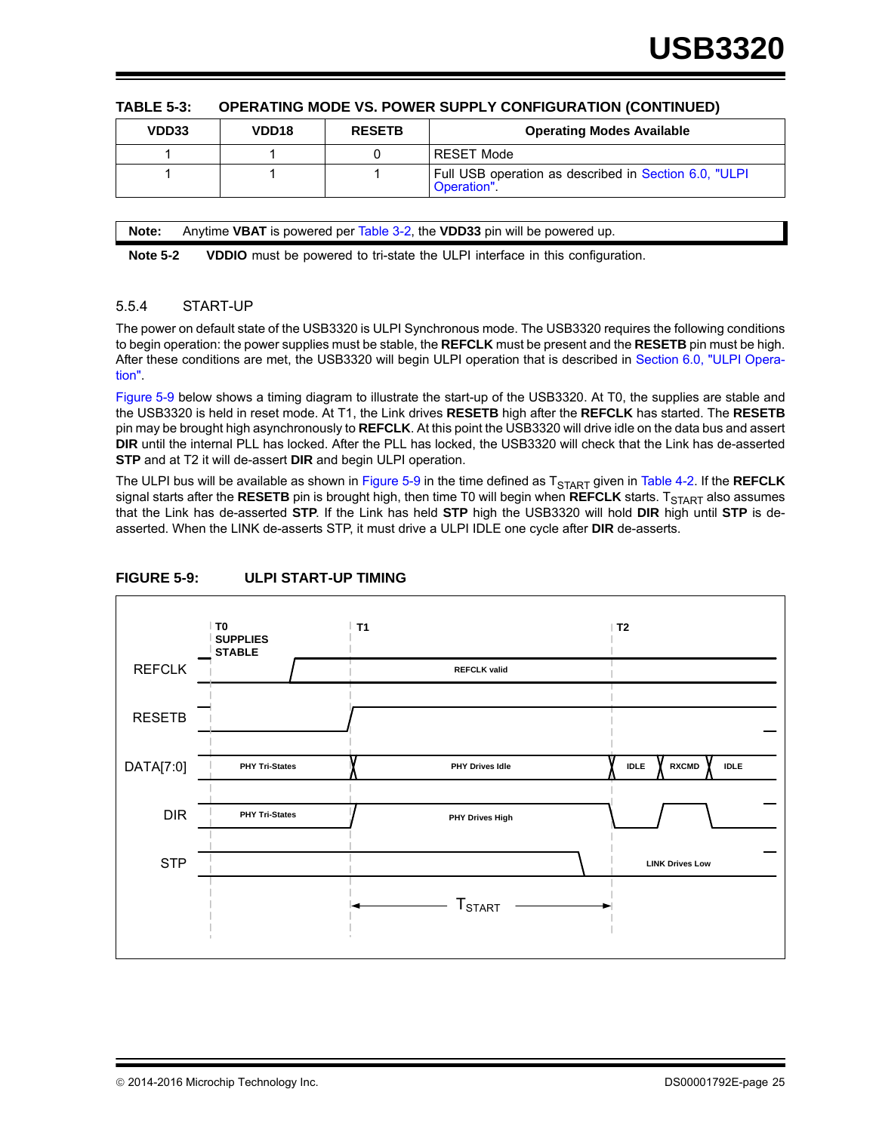| VDD33 | VDD <sub>18</sub> | <b>RESETB</b> | <b>Operating Modes Available</b>                                    |
|-------|-------------------|---------------|---------------------------------------------------------------------|
|       |                   |               | RESET Mode                                                          |
|       |                   |               | Full USB operation as described in Section 6.0, "ULPI<br>Operation" |

| TABLE 5-3: | <b>OPERATING MODE VS. POWER SUPPLY CONFIGURATION (CONTINUED)</b> |  |
|------------|------------------------------------------------------------------|--|
|            |                                                                  |  |

**Note:** Anytime **VBAT** is powered per [Table 3-2](#page-8-1), the **VDD33** pin will be powered up.

<span id="page-24-2"></span>**Note 5-2** VDDIO must be powered to tri-state the ULPI interface in this configuration.

#### <span id="page-24-1"></span><span id="page-24-0"></span>5.5.4 START-UP

The power on default state of the USB3320 is ULPI Synchronous mode. The USB3320 requires the following conditions to begin operation: the power supplies must be stable, the **REFCLK** must be present and the **RESETB** pin must be high. After these conditions are met, the USB3320 will begin ULPI operation that is described in [Section 6.0, "ULPI Opera](#page-32-1)[tion".](#page-32-1)

[Figure 5-9](#page-24-3) below shows a timing diagram to illustrate the start-up of the USB3320. At T0, the supplies are stable and the USB3320 is held in reset mode. At T1, the Link drives **RESETB** high after the **REFCLK** has started. The **RESETB** pin may be brought high asynchronously to **REFCLK**. At this point the USB3320 will drive idle on the data bus and assert **DIR** until the internal PLL has locked. After the PLL has locked, the USB3320 will check that the Link has de-asserted **STP** and at T2 it will de-assert **DIR** and begin ULPI operation.

The ULPI bus will be available as shown in [Figure 5-9](#page-24-3) in the time defined as  $T<sub>START</sub>$  given in [Table 4-2](#page-10-2). If the **REFCLK** signal starts after the **RESETB** pin is brought high, then time T0 will begin when **REFCLK** starts. T<sub>START</sub> also assumes that the Link has de-asserted **STP**. If the Link has held **STP** high the USB3320 will hold **DIR** high until **STP** is deasserted. When the LINK de-asserts STP, it must drive a ULPI IDLE one cycle after **DIR** de-asserts.



#### <span id="page-24-3"></span>**FIGURE 5-9: ULPI START-UP TIMING**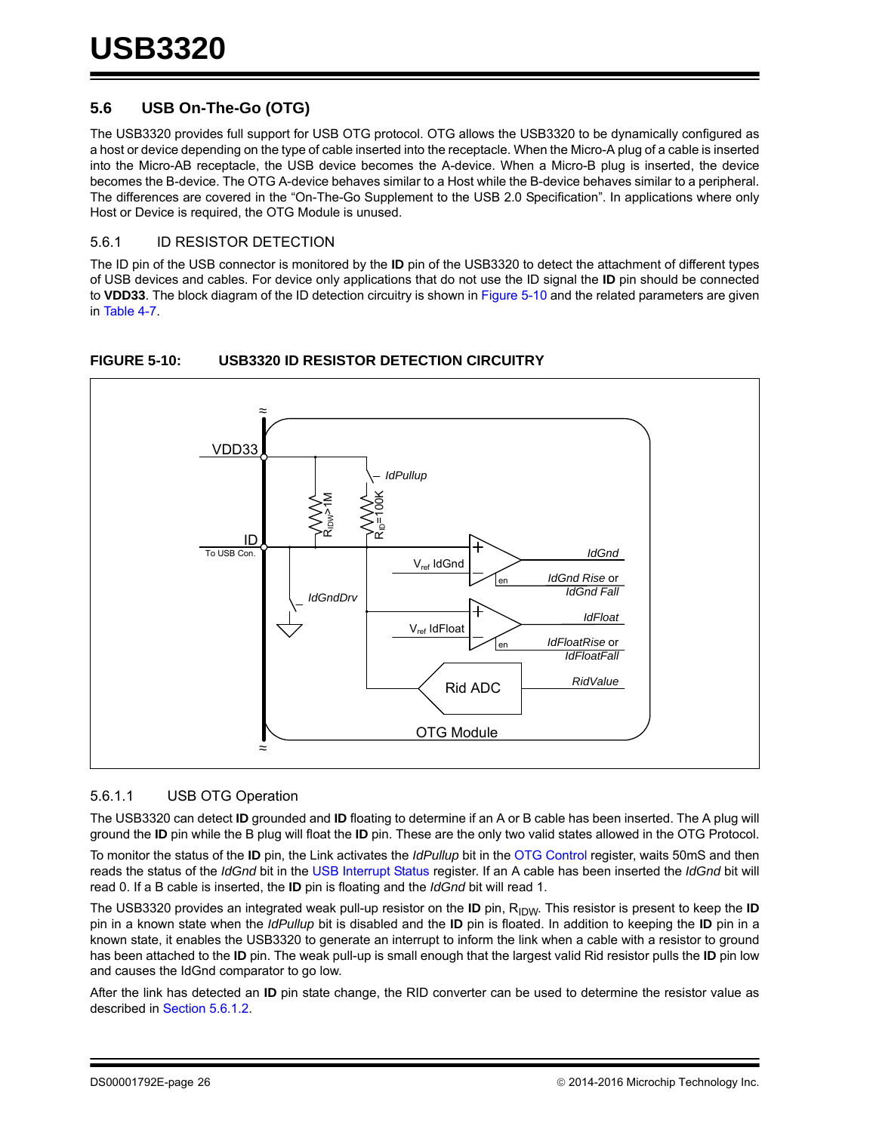#### **5.6 USB On-The-Go (OTG)**

The USB3320 provides full support for USB OTG protocol. OTG allows the USB3320 to be dynamically configured as a host or device depending on the type of cable inserted into the receptacle. When the Micro-A plug of a cable is inserted into the Micro-AB receptacle, the USB device becomes the A-device. When a Micro-B plug is inserted, the device becomes the B-device. The OTG A-device behaves similar to a Host while the B-device behaves similar to a peripheral. The differences are covered in the "On-The-Go Supplement to the USB 2.0 Specification". In applications where only Host or Device is required, the OTG Module is unused.

#### <span id="page-25-1"></span>5.6.1 ID RESISTOR DETECTION

The ID pin of the USB connector is monitored by the **ID** pin of the USB3320 to detect the attachment of different types of USB devices and cables. For device only applications that do not use the ID signal the **ID** pin should be connected to **VDD33**. The block diagram of the ID detection circuitry is shown in [Figure 5-10](#page-25-0) and the related parameters are given in [Table 4-7](#page-13-0).



#### <span id="page-25-0"></span>**FIGURE 5-10: USB3320 ID RESISTOR DETECTION CIRCUITRY**

#### 5.6.1.1 USB OTG Operation

The USB3320 can detect **ID** grounded and **ID** floating to determine if an A or B cable has been inserted. The A plug will ground the **ID** pin while the B plug will float the **ID** pin. These are the only two valid states allowed in the OTG Protocol.

To monitor the status of the **ID** pin, the Link activates the *IdPullup* bit in the [OTG Control](#page-50-0) register, waits 50mS and then reads the status of the *IdGnd* bit in the [USB Interrupt Status](#page-52-0) register. If an A cable has been inserted the *IdGnd* bit will read 0. If a B cable is inserted, the **ID** pin is floating and the *IdGnd* bit will read 1.

The USB3320 provides an integrated weak pull-up resistor on the **ID** pin, R<sub>IDW</sub>. This resistor is present to keep the **ID** pin in a known state when the *IdPullup* bit is disabled and the **ID** pin is floated. In addition to keeping the **ID** pin in a known state, it enables the USB3320 to generate an interrupt to inform the link when a cable with a resistor to ground has been attached to the **ID** pin. The weak pull-up is small enough that the largest valid Rid resistor pulls the **ID** pin low and causes the IdGnd comparator to go low.

After the link has detected an **ID** pin state change, the RID converter can be used to determine the resistor value as described in [Section 5.6.1.2.](#page-26-0)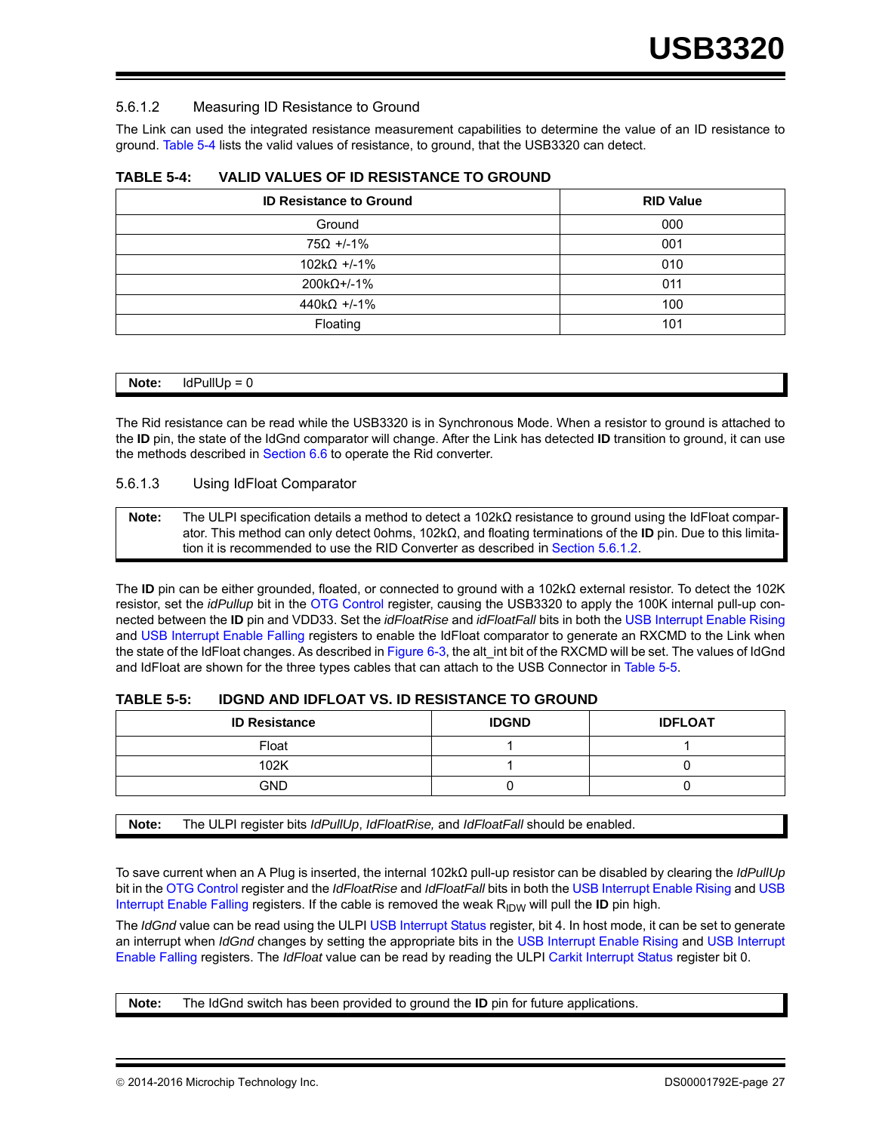#### <span id="page-26-0"></span>5.6.1.2 Measuring ID Resistance to Ground

The Link can used the integrated resistance measurement capabilities to determine the value of an ID resistance to ground. [Table 5-4](#page-26-2) lists the valid values of resistance, to ground, that the USB3320 can detect.

| <b>ID Resistance to Ground</b> | <b>RID Value</b> |
|--------------------------------|------------------|
| Ground                         | 000              |
| $75\Omega + 1\%$               | 001              |
| $102k\Omega$ +/-1%             | 010              |
| $200k\Omega+/-1\%$             | 011              |
| $440k\Omega +1.1\%$            | 100              |
| Floating                       | 101              |

#### <span id="page-26-2"></span>**TABLE 5-4: VALID VALUES OF ID RESISTANCE TO GROUND**

| Note: | <b>IdPullUp</b><br>$\overline{\phantom{0}}$<br>. .<br>-<br>.<br>. . |
|-------|---------------------------------------------------------------------|
|-------|---------------------------------------------------------------------|

The Rid resistance can be read while the USB3320 is in Synchronous Mode. When a resistor to ground is attached to the **ID** pin, the state of the IdGnd comparator will change. After the Link has detected **ID** transition to ground, it can use the methods described in [Section 6.6](#page-46-1) to operate the Rid converter.

#### <span id="page-26-3"></span>5.6.1.3 Using IdFloat Comparator

**Note:** The ULPI specification details a method to detect a 102kΩ resistance to ground using the IdFloat comparator. This method can only detect 0ohms, 102kΩ, and floating terminations of the **ID** pin. Due to this limitation it is recommended to use the RID Converter as described in [Section 5.6.1.2.](#page-26-0)

The **ID** pin can be either grounded, floated, or connected to ground with a 102kΩ external resistor. To detect the 102K resistor, set the *idPullup* bit in the [OTG Control](#page-50-0) register, causing the USB3320 to apply the 100K internal pull-up connected between the **ID** pin and VDD33. Set the *idFloatRise* and *idFloatFall* bits in both the [USB Interrupt Enable Rising](#page-51-0) and [USB Interrupt Enable Falling](#page-51-1) registers to enable the IdFloat comparator to generate an RXCMD to the Link when the state of the IdFloat changes. As described in [Figure 6-3,](#page-35-0) the alt\_int bit of the RXCMD will be set. The values of IdGnd and IdFloat are shown for the three types cables that can attach to the USB Connector in [Table 5-5.](#page-26-1)

#### <span id="page-26-1"></span>**TABLE 5-5: IDGND AND IDFLOAT VS. ID RESISTANCE TO GROUND**

| <b>ID Resistance</b> | <b>IDGND</b> | <b>IDFLOAT</b> |
|----------------------|--------------|----------------|
| Float                |              |                |
| 102K                 |              |                |
| <b>GND</b>           |              |                |

**Note:** The ULPI register bits *IdPullUp*, *IdFloatRise,* and *IdFloatFall* should be enabled.

To save current when an A Plug is inserted, the internal 102kΩ pull-up resistor can be disabled by clearing the *IdPullUp* bit in the [OTG Control](#page-50-0) register and the *IdFloatRise* and *IdFloatFall* bits in both the [USB Interrupt Enable Rising](#page-51-0) and [USB](#page-51-1) [Interrupt Enable Falling](#page-51-1) registers. If the cable is removed the weak R<sub>IDW</sub> will pull the **ID** pin high.

The *IdGnd* value can be read using the ULPI [USB Interrupt Status](#page-52-0) register, bit 4. In host mode, it can be set to generate an interrupt when *IdGnd* changes by setting the appropriate bits in the [USB Interrupt Enable Rising](#page-51-0) and [USB Interrupt](#page-51-1) [Enable Falling](#page-51-1) registers. The *IdFloat* value can be read by reading the ULPI [Carkit Interrupt Status](#page-54-0) register bit 0.

**Note:** The IdGnd switch has been provided to ground the **ID** pin for future applications.

2014-2016 Microchip Technology Inc. DS00001792E-page 27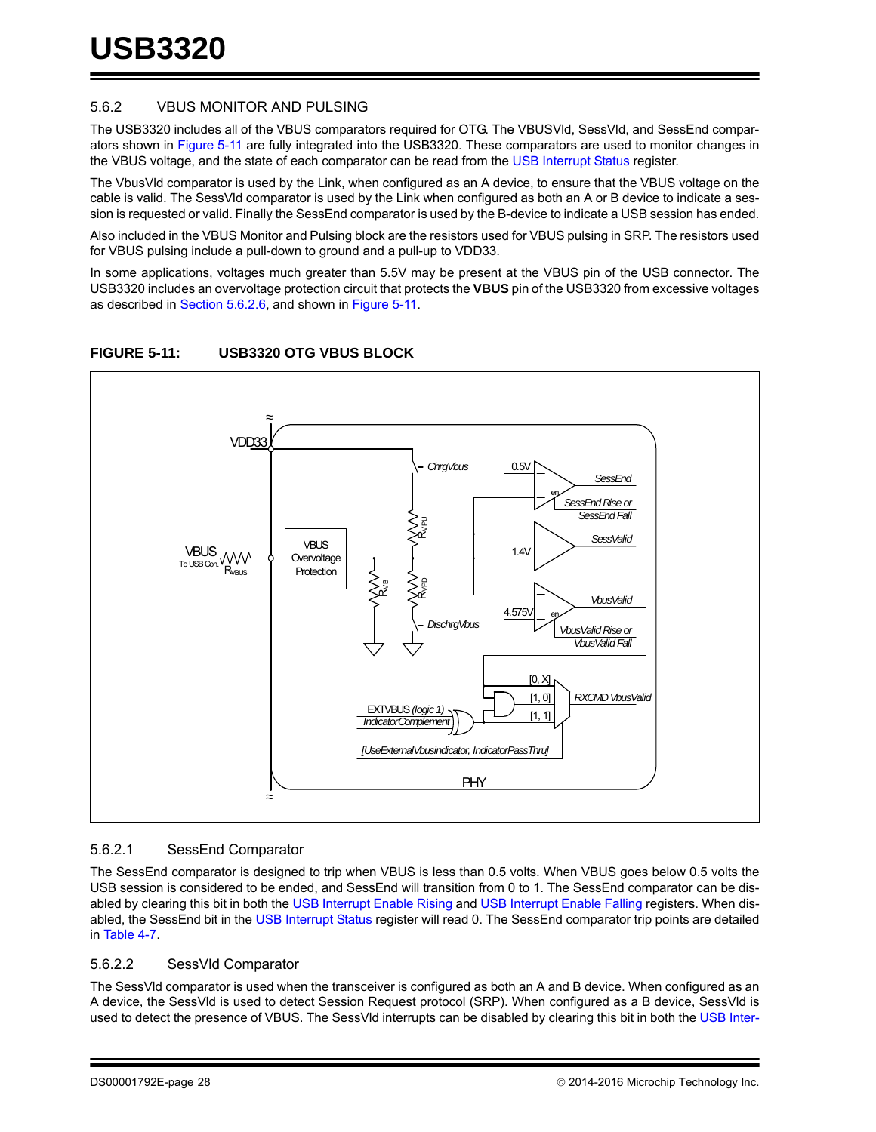#### <span id="page-27-2"></span><span id="page-27-1"></span>5.6.2 VBUS MONITOR AND PULSING

The USB3320 includes all of the VBUS comparators required for OTG. The VBUSVId, SessVId, and SessEnd compar-ators shown in [Figure 5-11](#page-27-0) are fully integrated into the USB3320. These comparators are used to monitor changes in the VBUS voltage, and the state of each comparator can be read from the [USB Interrupt Status](#page-52-0) register.

The VbusVld comparator is used by the Link, when configured as an A device, to ensure that the VBUS voltage on the cable is valid. The SessVld comparator is used by the Link when configured as both an A or B device to indicate a session is requested or valid. Finally the SessEnd comparator is used by the B-device to indicate a USB session has ended.

Also included in the VBUS Monitor and Pulsing block are the resistors used for VBUS pulsing in SRP. The resistors used for VBUS pulsing include a pull-down to ground and a pull-up to VDD33.

In some applications, voltages much greater than 5.5V may be present at the VBUS pin of the USB connector. The USB3320 includes an overvoltage protection circuit that protects the **VBUS** pin of the USB3320 from excessive voltages as described in [Section 5.6.2.6,](#page-29-1) and shown in [Figure 5-11.](#page-27-0)



#### <span id="page-27-0"></span>**FIGURE 5-11: USB3320 OTG VBUS BLOCK**

#### 5.6.2.1 SessEnd Comparator

The SessEnd comparator is designed to trip when VBUS is less than 0.5 volts. When VBUS goes below 0.5 volts the USB session is considered to be ended, and SessEnd will transition from 0 to 1. The SessEnd comparator can be dis-abled by clearing this bit in both the [USB Interrupt Enable Rising](#page-51-0) and [USB Interrupt Enable Falling](#page-51-1) registers. When dis-abled, the SessEnd bit in the [USB Interrupt Status](#page-52-0) register will read 0. The SessEnd comparator trip points are detailed in [Table 4-7](#page-13-0).

#### 5.6.2.2 SessVld Comparator

The SessVld comparator is used when the transceiver is configured as both an A and B device. When configured as an A device, the SessVld is used to detect Session Request protocol (SRP). When configured as a B device, SessVld is used to detect the presence of VBUS. The SessVld interrupts can be disabled by clearing this bit in both the [USB Inter](#page-51-0)-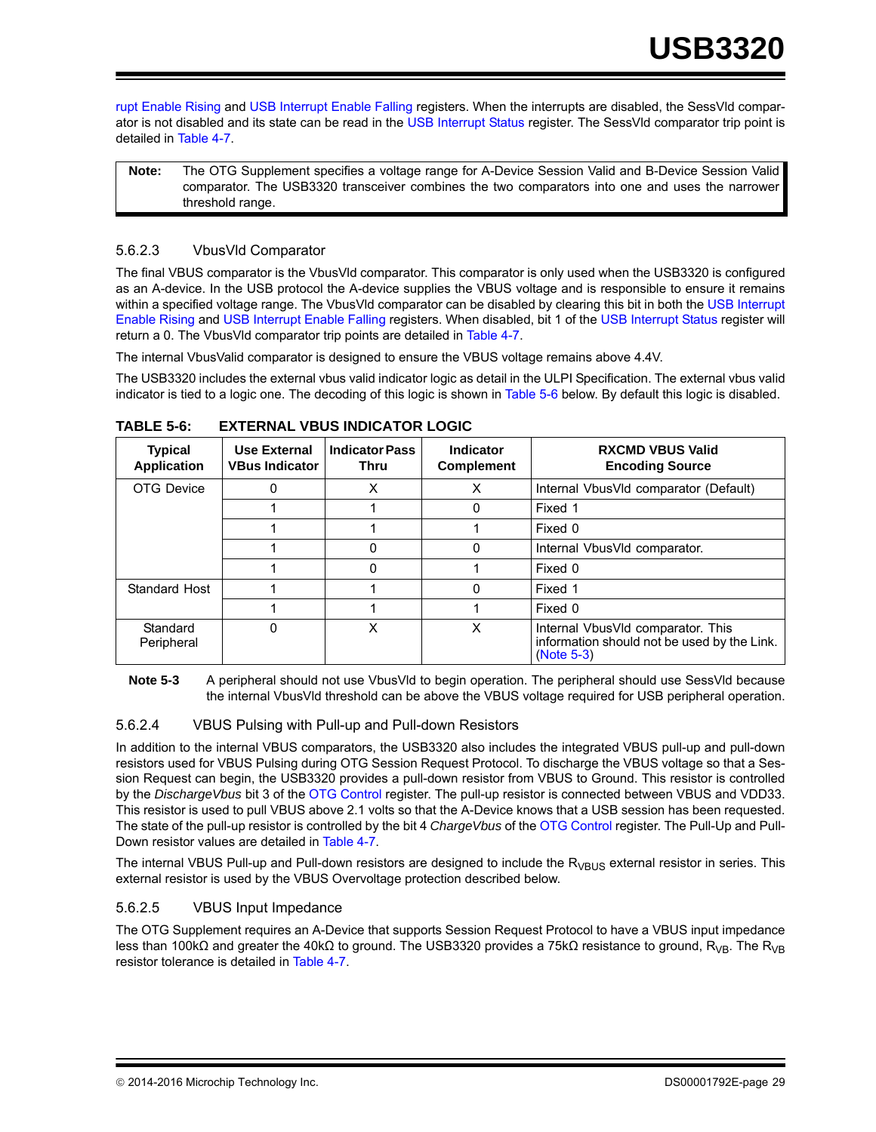[rupt Enable Rising](#page-51-0) and [USB Interrupt Enable Falling](#page-51-1) registers. When the interrupts are disabled, the SessVld compar-ator is not disabled and its state can be read in the [USB Interrupt Status](#page-52-0) register. The SessVId comparator trip point is detailed in [Table 4-7](#page-13-0).

| Note: | The OTG Supplement specifies a voltage range for A-Device Session Valid and B-Device Session Valid |
|-------|----------------------------------------------------------------------------------------------------|
|       | comparator. The USB3320 transceiver combines the two comparators into one and uses the narrower    |
|       | threshold range.                                                                                   |

#### 5.6.2.3 VbusVld Comparator

The final VBUS comparator is the VbusVld comparator. This comparator is only used when the USB3320 is configured as an A-device. In the USB protocol the A-device supplies the VBUS voltage and is responsible to ensure it remains within a specified voltage range. The VbusVId comparator can be disabled by clearing this bit in both the [USB Interrupt](#page-51-0) [Enable Rising](#page-51-0) and [USB Interrupt Enable Falling](#page-51-1) registers. When disabled, bit 1 of the [USB Interrupt Status](#page-52-0) register will return a 0. The VbusVld comparator trip points are detailed in [Table 4-7](#page-13-0).

The internal VbusValid comparator is designed to ensure the VBUS voltage remains above 4.4V.

The USB3320 includes the external vbus valid indicator logic as detail in the ULPI Specification. The external vbus valid indicator is tied to a logic one. The decoding of this logic is shown in [Table 5-6](#page-28-1) below. By default this logic is disabled.

| <b>Typical</b><br><b>Application</b> | Use External<br><b>VBus Indicator</b> | <b>Indicator Pass</b><br>Thru | Indicator<br><b>Complement</b> | <b>RXCMD VBUS Valid</b><br><b>Encoding Source</b>                                                |
|--------------------------------------|---------------------------------------|-------------------------------|--------------------------------|--------------------------------------------------------------------------------------------------|
| OTG Device                           |                                       | X                             | x                              | Internal VbusVId comparator (Default)                                                            |
|                                      |                                       |                               | 0                              | Fixed 1                                                                                          |
|                                      |                                       |                               |                                | Fixed 0                                                                                          |
|                                      |                                       |                               | 0                              | Internal VbusVId comparator.                                                                     |
|                                      |                                       | $\Omega$                      |                                | Fixed 0                                                                                          |
| Standard Host                        |                                       |                               | 0                              | Fixed 1                                                                                          |
|                                      |                                       |                               |                                | Fixed 0                                                                                          |
| Standard<br>Peripheral               | 0                                     | x                             | X                              | Internal VbusVId comparator. This<br>information should not be used by the Link.<br>$(Note 5-3)$ |

<span id="page-28-2"></span><span id="page-28-1"></span>**TABLE 5-6: EXTERNAL VBUS INDICATOR LOGIC**

#### 5.6.2.4 VBUS Pulsing with Pull-up and Pull-down Resistors

In addition to the internal VBUS comparators, the USB3320 also includes the integrated VBUS pull-up and pull-down resistors used for VBUS Pulsing during OTG Session Request Protocol. To discharge the VBUS voltage so that a Session Request can begin, the USB3320 provides a pull-down resistor from VBUS to Ground. This resistor is controlled by the *DischargeVbus* bit 3 of the [OTG Control](#page-50-0) register. The pull-up resistor is connected between VBUS and VDD33. This resistor is used to pull VBUS above 2.1 volts so that the A-Device knows that a USB session has been requested. The state of the pull-up resistor is controlled by the bit 4 *ChargeVbus* of the [OTG Control](#page-50-0) register. The Pull-Up and Pull-Down resistor values are detailed in [Table 4-7.](#page-13-0)

The internal VBUS Pull-up and Pull-down resistors are designed to include the  $R_{VBLIS}$  external resistor in series. This external resistor is used by the VBUS Overvoltage protection described below.

#### 5.6.2.5 VBUS Input Impedance

The OTG Supplement requires an A-Device that supports Session Request Protocol to have a VBUS input impedance less than 100kΩ and greater the 40kΩ to ground. The USB3320 provides a 75kΩ resistance to ground, R<sub>VB</sub>. The R<sub>VB</sub> resistor tolerance is detailed in [Table 4-7.](#page-13-0)

<span id="page-28-0"></span>**Note 5-3** A peripheral should not use VbusVld to begin operation. The peripheral should use SessVld because the internal VbusVld threshold can be above the VBUS voltage required for USB peripheral operation.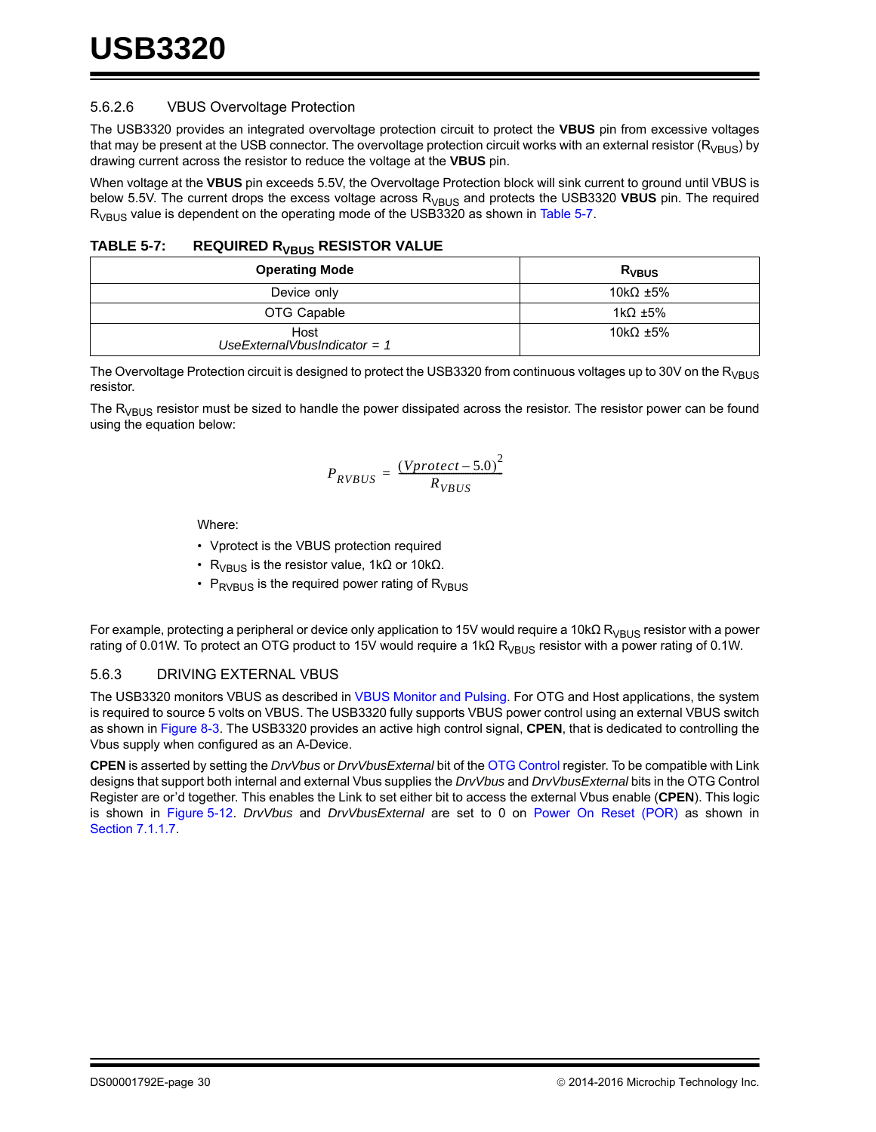#### <span id="page-29-3"></span><span id="page-29-1"></span>5.6.2.6 VBUS Overvoltage Protection

The USB3320 provides an integrated overvoltage protection circuit to protect the **VBUS** pin from excessive voltages that may be present at the USB connector. The overvoltage protection circuit works with an external resistor ( $R_{VBLIS}$ ) by drawing current across the resistor to reduce the voltage at the **VBUS** pin.

When voltage at the **VBUS** pin exceeds 5.5V, the Overvoltage Protection block will sink current to ground until VBUS is below 5.5V. The current drops the excess voltage across R<sub>VBUS</sub> and protects the USB3320 **VBUS** pin. The required  $R_{VBUS}$  value is dependent on the operating mode of the USB3320 as shown in [Table 5-7.](#page-29-2)

#### <span id="page-29-2"></span><span id="page-29-0"></span>TABLE 5-7: REQUIRED R<sub>VBUS</sub> RESISTOR VALUE

| <b>Operating Mode</b>                  | R <sub>VBUS</sub> |
|----------------------------------------|-------------------|
| Device only                            | 10k $\Omega$ ±5%  |
| OTG Capable                            | 1k $\Omega$ ±5%   |
| Host<br>UseExternalVbusIndicator = $1$ | 10kQ $\pm$ 5%     |

The Overvoltage Protection circuit is designed to protect the USB3320 from continuous voltages up to 30V on the R<sub>VBUS</sub> resistor.

The R<sub>VBUS</sub> resistor must be sized to handle the power dissipated across the resistor. The resistor power can be found using the equation below:

$$
P_{RVBUS} = \frac{(Vprotect - 5.0)^2}{R_{VBUS}}
$$

#### Where:

- Vprotect is the VBUS protection required
- R<sub>VBUS</sub> is the resistor value, 1kΩ or 10kΩ.
- $P_{RVBUS}$  is the required power rating of  $R_{VRUS}$

For example, protecting a peripheral or device only application to 15V would require a 10k $\Omega$  R<sub>VBUS</sub> resistor with a power rating of 0.01W. To protect an OTG product to 15V would require a 1kΩ R<sub>VBUS</sub> resistor with a power rating of 0.1W.

#### 5.6.3 DRIVING EXTERNAL VBUS

The USB3320 monitors VBUS as described in [VBUS Monitor and Pulsing](#page-27-1). For OTG and Host applications, the system is required to source 5 volts on VBUS. The USB3320 fully supports VBUS power control using an external VBUS switch as shown in [Figure 8-3](#page-60-0). The USB3320 provides an active high control signal, **CPEN**, that is dedicated to controlling the Vbus supply when configured as an A-Device.

**CPEN** is asserted by setting the *DrvVbus* or *DrvVbusExternal* bit of the [OTG Control](#page-50-0) register. To be compatible with Link designs that support both internal and external Vbus supplies the *DrvVbus* and *DrvVbusExternal* bits in the OTG Control Register are or'd together. This enables the Link to set either bit to access the external Vbus enable (**CPEN**). This logic is shown in [Figure 5-12.](#page-30-1) *DrvVbus* and *DrvVbusExternal* are set to 0 on [Power On Reset \(POR\)](#page-23-1) as shown in [Section 7.1.1.7.](#page-50-0)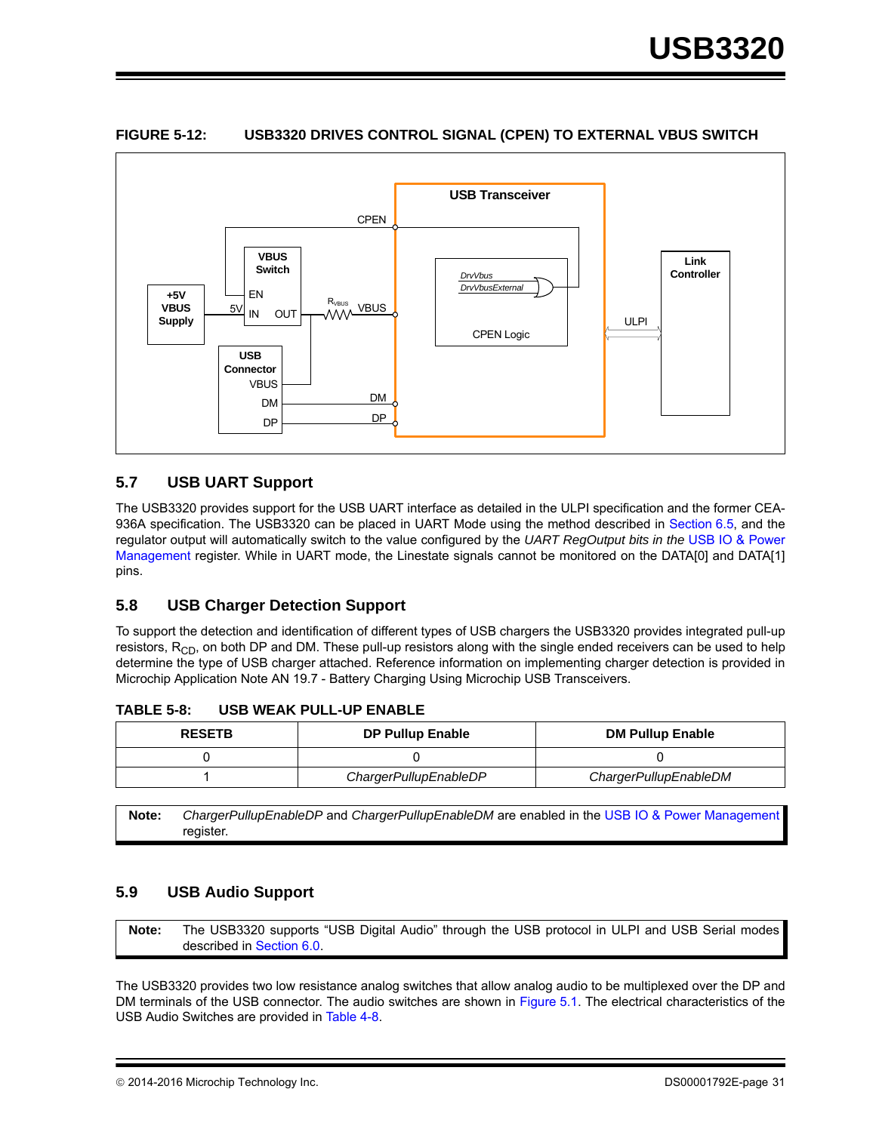#### <span id="page-30-1"></span>**FIGURE 5-12: USB3320 DRIVES CONTROL SIGNAL (CPEN) TO EXTERNAL VBUS SWITCH**



#### **5.7 USB UART Support**

The USB3320 provides support for the USB UART interface as detailed in the ULPI specification and the former CEA-936A specification. The USB3320 can be placed in UART Mode using the method described in [Section 6.5,](#page-45-1) and the regulator output will automatically switch to the value configured by the *UART RegOutput bits in the* [USB IO & Power](#page-56-0) [Management](#page-56-0) register. While in UART mode, the Linestate signals cannot be monitored on the DATA[0] and DATA[1] pins.

#### <span id="page-30-0"></span>**5.8 USB Charger Detection Support**

To support the detection and identification of different types of USB chargers the USB3320 provides integrated pull-up resistors,  $R_{CD}$ , on both DP and DM. These pull-up resistors along with the single ended receivers can be used to help determine the type of USB charger attached. Reference information on implementing charger detection is provided in Microchip Application Note AN 19.7 - Battery Charging Using Microchip USB Transceivers.

**TABLE 5-8: USB WEAK PULL-UP ENABLE**

| <b>RESETB</b> | DP Pullup Enable      | <b>DM Pullup Enable</b> |  |
|---------------|-----------------------|-------------------------|--|
|               |                       |                         |  |
|               | ChargerPullupEnableDP | ChargerPullupEnableDM   |  |

**Note:** *ChargerPullupEnableDP* and *ChargerPullupEnableDM* are enabled in the [USB IO & Power Management](#page-56-0) register.

#### **5.9 USB Audio Support**

**Note:** The USB3320 supports "USB Digital Audio" through the USB protocol in ULPI and USB Serial modes described in [Section 6.0.](#page-32-1)

The USB3320 provides two low resistance analog switches that allow analog audio to be multiplexed over the DP and DM terminals of the USB connector. The audio switches are shown in [Figure 5.1.](#page-16-2) The electrical characteristics of the USB Audio Switches are provided in [Table 4-8.](#page-14-3)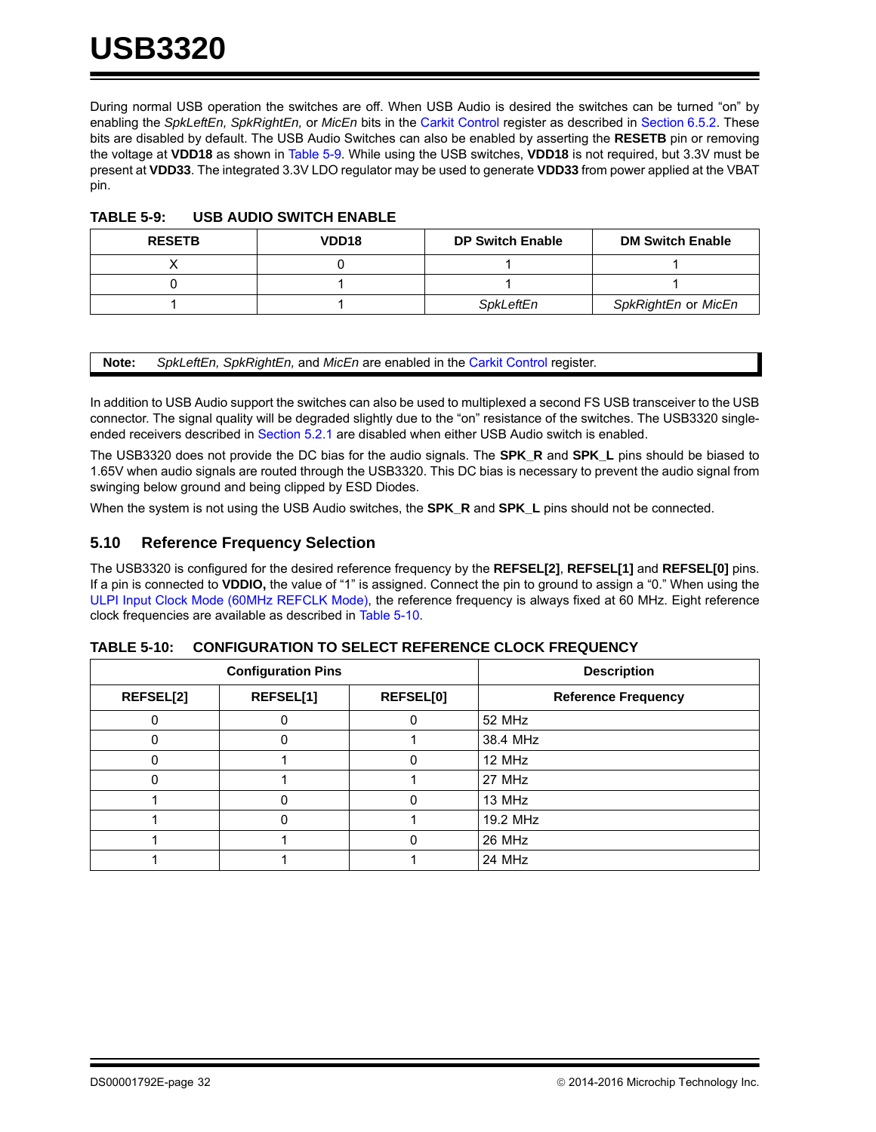During normal USB operation the switches are off. When USB Audio is desired the switches can be turned "on" by enabling the *SpkLeftEn, SpkRightEn,* or *MicEn* bits in the [Carkit Control](#page-53-0) register as described in [Section 6.5.2.](#page-46-0) These bits are disabled by default. The USB Audio Switches can also be enabled by asserting the **RESETB** pin or removing the voltage at **VDD18** as shown in [Table 5-9.](#page-31-3) While using the USB switches, **VDD18** is not required, but 3.3V must be present at **VDD33**. The integrated 3.3V LDO regulator may be used to generate **VDD33** from power applied at the VBAT pin.

| <b>RESETB</b> | VDD <sub>18</sub> | <b>DP Switch Enable</b> | <b>DM Switch Enable</b> |
|---------------|-------------------|-------------------------|-------------------------|
|               |                   |                         |                         |
|               |                   |                         |                         |
|               |                   | SpkLeftEn               | SpkRightEn or MicEn     |

<span id="page-31-3"></span>**TABLE 5-9: USB AUDIO SWITCH ENABLE**

**Note:** *SpkLeftEn, SpkRightEn,* and *MicEn* are enabled in the [Carkit Control](#page-53-0) register.

In addition to USB Audio support the switches can also be used to multiplexed a second FS USB transceiver to the USB connector. The signal quality will be degraded slightly due to the "on" resistance of the switches. The USB3320 singleended receivers described in [Section 5.2.1](#page-16-3) are disabled when either USB Audio switch is enabled.

The USB3320 does not provide the DC bias for the audio signals. The **SPK\_R** and **SPK\_L** pins should be biased to 1.65V when audio signals are routed through the USB3320. This DC bias is necessary to prevent the audio signal from swinging below ground and being clipped by ESD Diodes.

When the system is not using the USB Audio switches, the **SPK\_R** and **SPK\_L** pins should not be connected.

#### <span id="page-31-2"></span>**5.10 Reference Frequency Selection**

The USB3320 is configured for the desired reference frequency by the **REFSEL[2]**, **REFSEL[1]** and **REFSEL[0]** pins. If a pin is connected to **VDDIO,** the value of "1" is assigned. Connect the pin to ground to assign a "0." When using the [ULPI Input Clock Mode \(60MHz REFCLK Mode\)](#page-19-1), the reference frequency is always fixed at 60 MHz. Eight reference clock frequencies are available as described in [Table 5-10](#page-31-1).

|           | <b>Configuration Pins</b> | <b>Description</b> |                            |
|-----------|---------------------------|--------------------|----------------------------|
| REFSEL[2] | REFSEL[1]                 | REFSEL[0]          | <b>Reference Frequency</b> |
|           |                           |                    | 52 MHz                     |
| 0         | 0                         |                    | 38.4 MHz                   |
|           |                           | 0                  | 12 MHz                     |
|           |                           |                    | 27 MHz                     |
|           |                           |                    | 13 MHz                     |
|           | O                         |                    | 19.2 MHz                   |
|           |                           | 0                  | 26 MHz                     |
|           |                           |                    | 24 MHz                     |

#### <span id="page-31-1"></span><span id="page-31-0"></span>**TABLE 5-10: CONFIGURATION TO SELECT REFERENCE CLOCK FREQUENCY**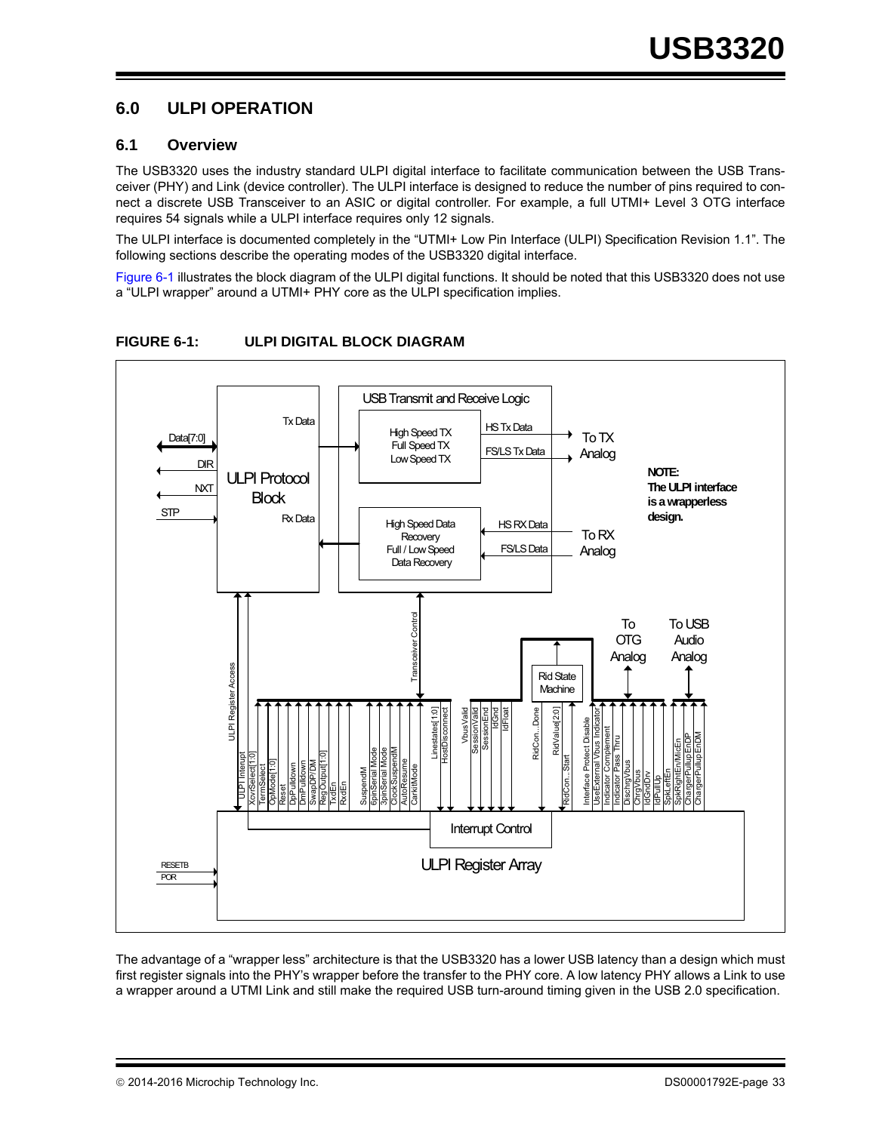## <span id="page-32-1"></span><span id="page-32-0"></span>**6.0 ULPI OPERATION**

#### **6.1 Overview**

The USB3320 uses the industry standard ULPI digital interface to facilitate communication between the USB Transceiver (PHY) and Link (device controller). The ULPI interface is designed to reduce the number of pins required to connect a discrete USB Transceiver to an ASIC or digital controller. For example, a full UTMI+ Level 3 OTG interface requires 54 signals while a ULPI interface requires only 12 signals.

The ULPI interface is documented completely in the "UTMI+ Low Pin Interface (ULPI) Specification Revision 1.1". The following sections describe the operating modes of the USB3320 digital interface.

[Figure 6-1](#page-32-2) illustrates the block diagram of the ULPI digital functions. It should be noted that this USB3320 does not use a "ULPI wrapper" around a UTMI+ PHY core as the ULPI specification implies.



<span id="page-32-2"></span>**FIGURE 6-1: ULPI DIGITAL BLOCK DIAGRAM**

The advantage of a "wrapper less" architecture is that the USB3320 has a lower USB latency than a design which must first register signals into the PHY's wrapper before the transfer to the PHY core. A low latency PHY allows a Link to use a wrapper around a UTMI Link and still make the required USB turn-around timing given in the USB 2.0 specification.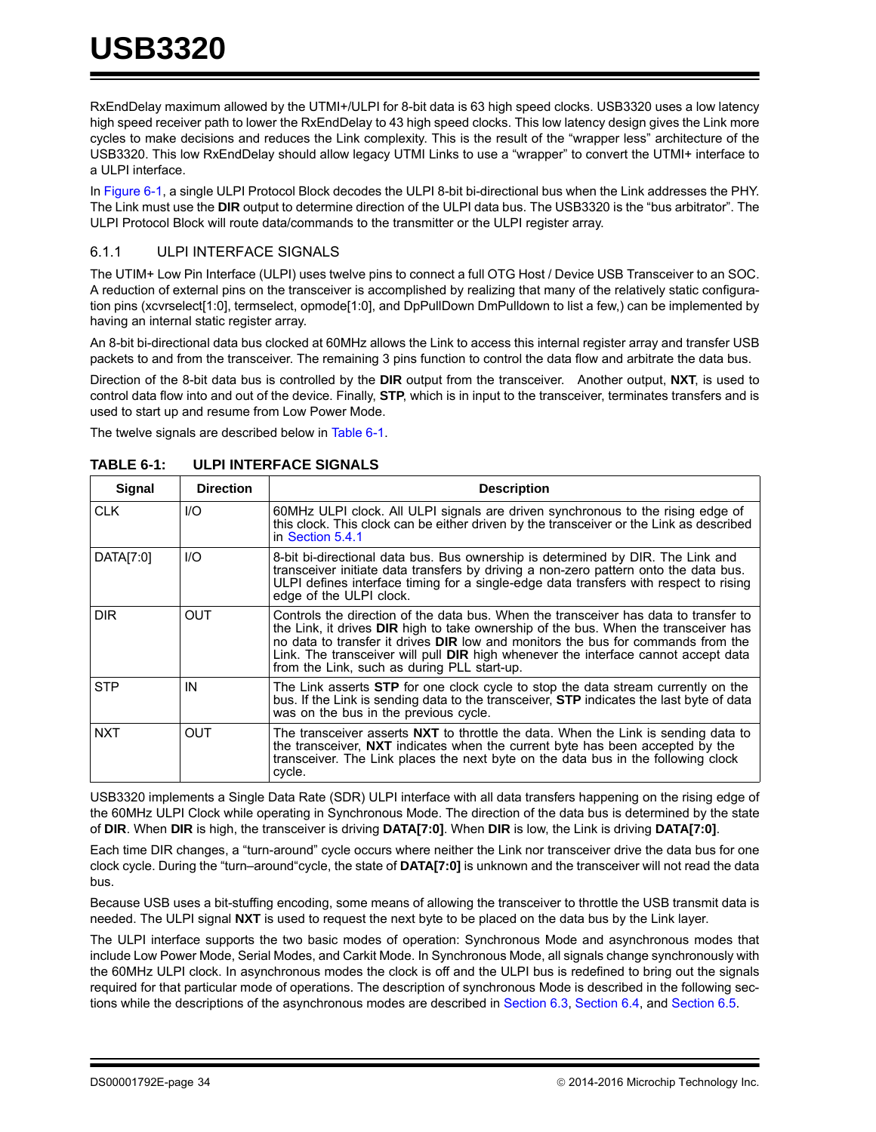RxEndDelay maximum allowed by the UTMI+/ULPI for 8-bit data is 63 high speed clocks. USB3320 uses a low latency high speed receiver path to lower the RxEndDelay to 43 high speed clocks. This low latency design gives the Link more cycles to make decisions and reduces the Link complexity. This is the result of the "wrapper less" architecture of the USB3320. This low RxEndDelay should allow legacy UTMI Links to use a "wrapper" to convert the UTMI+ interface to a ULPI interface.

In [Figure 6-1,](#page-32-2) a single ULPI Protocol Block decodes the ULPI 8-bit bi-directional bus when the Link addresses the PHY. The Link must use the **DIR** output to determine direction of the ULPI data bus. The USB3320 is the "bus arbitrator". The ULPI Protocol Block will route data/commands to the transmitter or the ULPI register array.

#### 6.1.1 ULPI INTERFACE SIGNALS

The UTIM+ Low Pin Interface (ULPI) uses twelve pins to connect a full OTG Host / Device USB Transceiver to an SOC. A reduction of external pins on the transceiver is accomplished by realizing that many of the relatively static configuration pins (xcvrselect[1:0], termselect, opmode[1:0], and DpPullDown DmPulldown to list a few,) can be implemented by having an internal static register array.

An 8-bit bi-directional data bus clocked at 60MHz allows the Link to access this internal register array and transfer USB packets to and from the transceiver. The remaining 3 pins function to control the data flow and arbitrate the data bus.

Direction of the 8-bit data bus is controlled by the **DIR** output from the transceiver. Another output, **NXT**, is used to control data flow into and out of the device. Finally, **STP**, which is in input to the transceiver, terminates transfers and is used to start up and resume from Low Power Mode.

The twelve signals are described below in [Table 6-1.](#page-33-0)

| Signal     | <b>Direction</b> | <b>Description</b>                                                                                                                                                                                                                                                                                                                                                                                          |
|------------|------------------|-------------------------------------------------------------------------------------------------------------------------------------------------------------------------------------------------------------------------------------------------------------------------------------------------------------------------------------------------------------------------------------------------------------|
| <b>CLK</b> | 1/O              | 60MHz ULPI clock. All ULPI signals are driven synchronous to the rising edge of<br>this clock. This clock can be either driven by the transceiver or the Link as described<br>in Section 5.4.1                                                                                                                                                                                                              |
| DATA[7:0]  | UQ               | 8-bit bi-directional data bus. Bus ownership is determined by DIR. The Link and<br>transceiver initiate data transfers by driving a non-zero pattern onto the data bus.<br>ULPI defines interface timing for a single-edge data transfers with respect to rising<br>edge of the ULPI clock.                                                                                                                 |
| <b>DIR</b> | <b>OUT</b>       | Controls the direction of the data bus. When the transceiver has data to transfer to<br>the Link, it drives DIR high to take ownership of the bus. When the transceiver has<br>no data to transfer it drives <b>DIR</b> low and monitors the bus for commands from the<br>Link. The transceiver will pull DIR high whenever the interface cannot accept data<br>from the Link, such as during PLL start-up. |
| <b>STP</b> | IN               | The Link asserts <b>STP</b> for one clock cycle to stop the data stream currently on the<br>bus. If the Link is sending data to the transceiver, <b>STP</b> indicates the last byte of data<br>was on the bus in the previous cycle.                                                                                                                                                                        |
| <b>NXT</b> | <b>OUT</b>       | The transceiver asserts NXT to throttle the data. When the Link is sending data to<br>the transceiver, NXT indicates when the current byte has been accepted by the<br>transceiver. The Link places the next byte on the data bus in the following clock<br>cycle.                                                                                                                                          |

#### <span id="page-33-0"></span>**TABLE 6-1: ULPI INTERFACE SIGNALS**

USB3320 implements a Single Data Rate (SDR) ULPI interface with all data transfers happening on the rising edge of the 60MHz ULPI Clock while operating in Synchronous Mode. The direction of the data bus is determined by the state of **DIR**. When **DIR** is high, the transceiver is driving **DATA[7:0]**. When **DIR** is low, the Link is driving **DATA[7:0]**.

Each time DIR changes, a "turn-around" cycle occurs where neither the Link nor transceiver drive the data bus for one clock cycle. During the "turn–around"cycle, the state of **DATA[7:0]** is unknown and the transceiver will not read the data bus.

Because USB uses a bit-stuffing encoding, some means of allowing the transceiver to throttle the USB transmit data is needed. The ULPI signal **NXT** is used to request the next byte to be placed on the data bus by the Link layer.

The ULPI interface supports the two basic modes of operation: Synchronous Mode and asynchronous modes that include Low Power Mode, Serial Modes, and Carkit Mode. In Synchronous Mode, all signals change synchronously with the 60MHz ULPI clock. In asynchronous modes the clock is off and the ULPI bus is redefined to bring out the signals required for that particular mode of operations. The description of synchronous Mode is described in the following sections while the descriptions of the asynchronous modes are described in [Section 6.3](#page-41-0), [Section 6.4](#page-44-0), and [Section 6.5.](#page-45-2)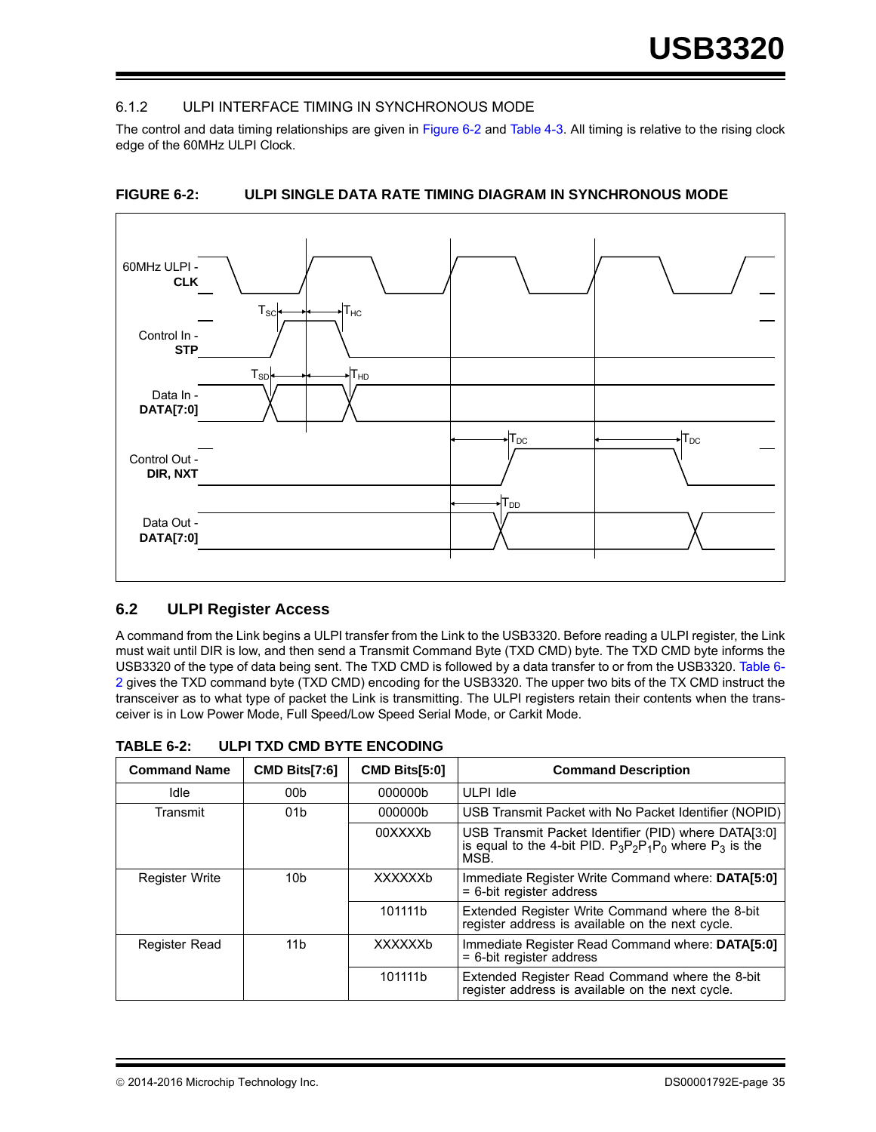#### 6.1.2 ULPI INTERFACE TIMING IN SYNCHRONOUS MODE

The control and data timing relationships are given in [Figure 6-2](#page-34-0) and [Table 4-3.](#page-10-3) All timing is relative to the rising clock edge of the 60MHz ULPI Clock.

![](_page_34_Figure_3.jpeg)

#### <span id="page-34-0"></span>**FIGURE 6-2: ULPI SINGLE DATA RATE TIMING DIAGRAM IN SYNCHRONOUS MODE**

#### **6.2 ULPI Register Access**

A command from the Link begins a ULPI transfer from the Link to the USB3320. Before reading a ULPI register, the Link must wait until DIR is low, and then send a Transmit Command Byte (TXD CMD) byte. The TXD CMD byte informs the USB3320 of the type of data being sent. The TXD CMD is followed by a data transfer to or from the USB3320. [Table 6-](#page-34-1) [2](#page-34-1) gives the TXD command byte (TXD CMD) encoding for the USB3320. The upper two bits of the TX CMD instruct the transceiver as to what type of packet the Link is transmitting. The ULPI registers retain their contents when the transceiver is in Low Power Mode, Full Speed/Low Speed Serial Mode, or Carkit Mode.

| <b>Command Name</b>                                        | CMD Bits[7:6]   | <b>CMD Bits[5:0]</b> | <b>Command Description</b>                                                                                                   |
|------------------------------------------------------------|-----------------|----------------------|------------------------------------------------------------------------------------------------------------------------------|
| Idle                                                       | 00 <sub>b</sub> | 000000b              | ULPI Idle                                                                                                                    |
| Transmit                                                   | 01b             | 000000b              | USB Transmit Packet with No Packet Identifier (NOPID)                                                                        |
|                                                            |                 | 00XXXXb              | USB Transmit Packet Identifier (PID) where DATA[3:0]<br>is equal to the 4-bit PID. $P_3P_2P_1P_0$ where $P_3$ is the<br>MSB. |
| 10 <sub>b</sub><br><b>XXXXXXb</b><br><b>Register Write</b> |                 |                      | Immediate Register Write Command where: DATA[5:0]<br>= 6-bit register address                                                |
|                                                            |                 | 101111b              | Extended Register Write Command where the 8-bit<br>register address is available on the next cycle.                          |
| 11 <sub>b</sub><br><b>Register Read</b>                    |                 | <b>XXXXXXb</b>       | Immediate Register Read Command where: DATA[5:0]<br>= 6-bit register address                                                 |
|                                                            |                 | 101111b              | Extended Register Read Command where the 8-bit<br>register address is available on the next cycle.                           |

<span id="page-34-1"></span>

| <b>TABLE 6-2:</b> | ULPI TXD CMD BYTE ENCODING |
|-------------------|----------------------------|
|-------------------|----------------------------|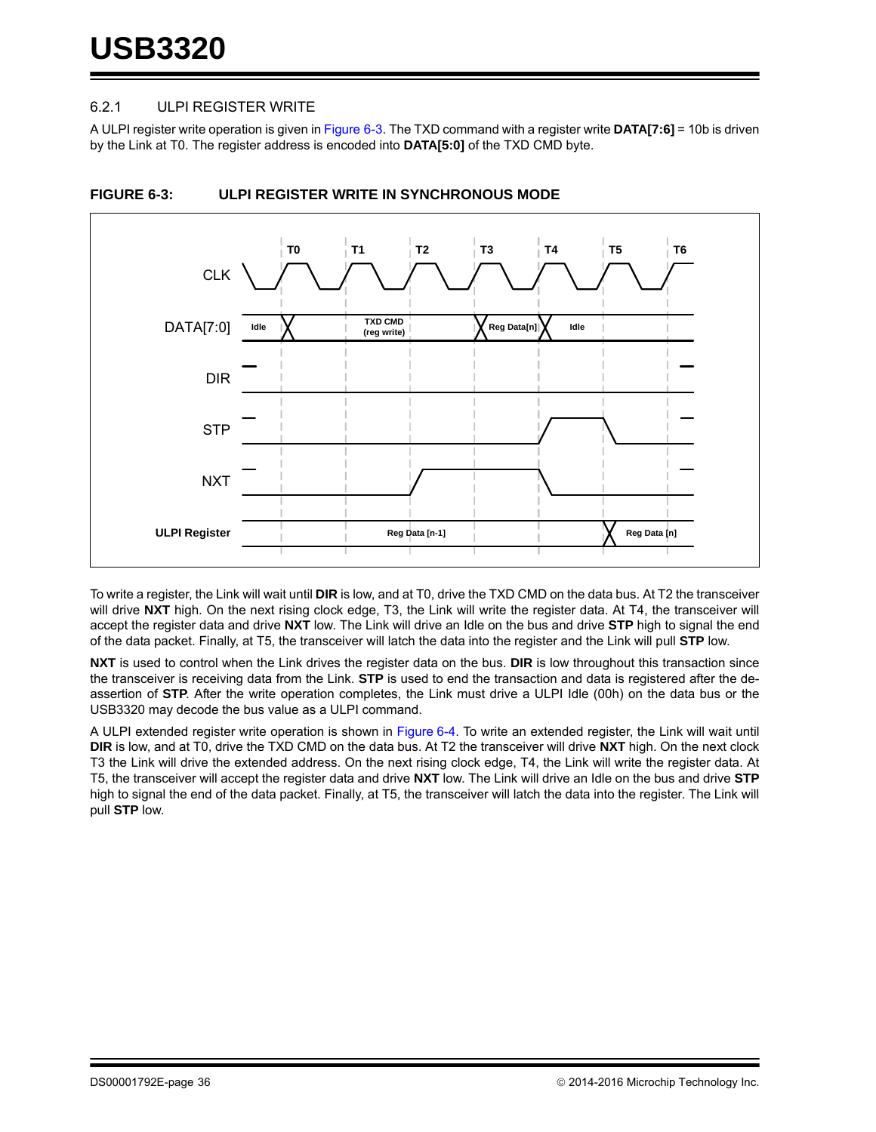#### 6.2.1 ULPI REGISTER WRITE

A ULPI register write operation is given in [Figure 6-3.](#page-35-1) The TXD command with a register write **DATA[7:6]** = 10b is driven by the Link at T0. The register address is encoded into **DATA[5:0]** of the TXD CMD byte.

![](_page_35_Figure_3.jpeg)

<span id="page-35-1"></span><span id="page-35-0"></span>![](_page_35_Figure_4.jpeg)

To write a register, the Link will wait until **DIR** is low, and at T0, drive the TXD CMD on the data bus. At T2 the transceiver will drive **NXT** high. On the next rising clock edge, T3, the Link will write the register data. At T4, the transceiver will accept the register data and drive **NXT** low. The Link will drive an Idle on the bus and drive **STP** high to signal the end of the data packet. Finally, at T5, the transceiver will latch the data into the register and the Link will pull **STP** low.

**NXT** is used to control when the Link drives the register data on the bus. **DIR** is low throughout this transaction since the transceiver is receiving data from the Link. **STP** is used to end the transaction and data is registered after the deassertion of **STP**. After the write operation completes, the Link must drive a ULPI Idle (00h) on the data bus or the USB3320 may decode the bus value as a ULPI command.

A ULPI extended register write operation is shown in [Figure 6-4.](#page-36-0) To write an extended register, the Link will wait until **DIR** is low, and at T0, drive the TXD CMD on the data bus. At T2 the transceiver will drive **NXT** high. On the next clock T3 the Link will drive the extended address. On the next rising clock edge, T4, the Link will write the register data. At T5, the transceiver will accept the register data and drive **NXT** low. The Link will drive an Idle on the bus and drive **STP** high to signal the end of the data packet. Finally, at T5, the transceiver will latch the data into the register. The Link will pull **STP** low.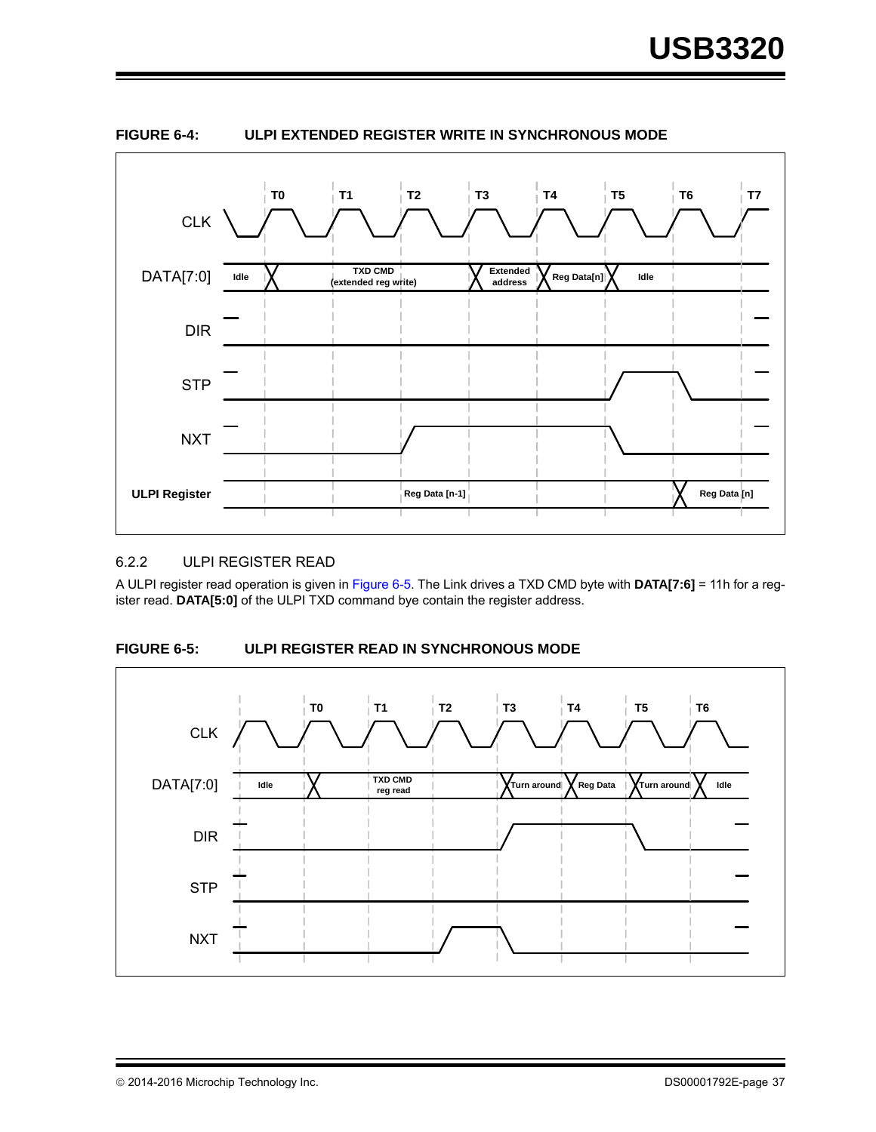![](_page_36_Figure_1.jpeg)

#### <span id="page-36-0"></span>**FIGURE 6-4: ULPI EXTENDED REGISTER WRITE IN SYNCHRONOUS MODE**

#### 6.2.2 ULPI REGISTER READ

A ULPI register read operation is given in [Figure 6-5](#page-36-1). The Link drives a TXD CMD byte with **DATA[7:6]** = 11h for a register read. **DATA[5:0]** of the ULPI TXD command bye contain the register address.

<span id="page-36-1"></span>![](_page_36_Figure_5.jpeg)

![](_page_36_Figure_6.jpeg)

2014-2016 Microchip Technology Inc. DS00001792E-page 37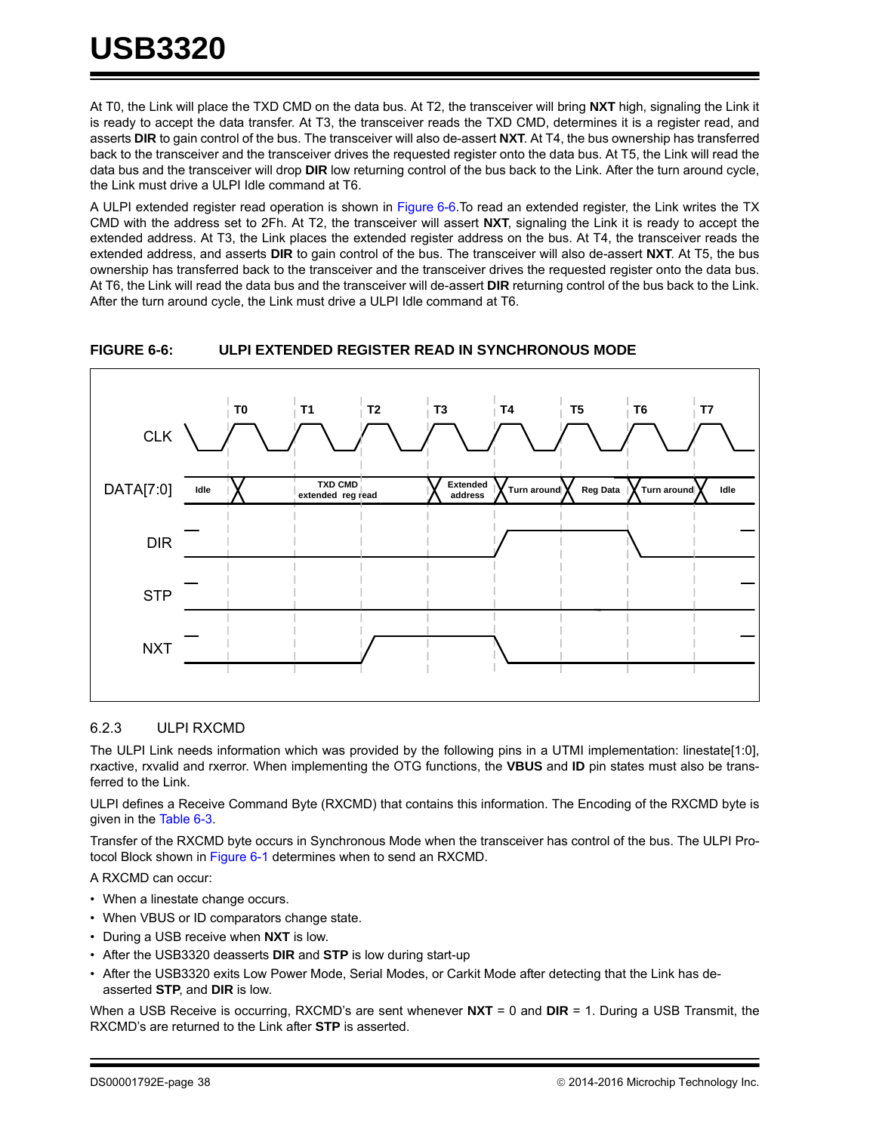At T0, the Link will place the TXD CMD on the data bus. At T2, the transceiver will bring **NXT** high, signaling the Link it is ready to accept the data transfer. At T3, the transceiver reads the TXD CMD, determines it is a register read, and asserts **DIR** to gain control of the bus. The transceiver will also de-assert **NXT**. At T4, the bus ownership has transferred back to the transceiver and the transceiver drives the requested register onto the data bus. At T5, the Link will read the data bus and the transceiver will drop **DIR** low returning control of the bus back to the Link. After the turn around cycle, the Link must drive a ULPI Idle command at T6.

A ULPI extended register read operation is shown in [Figure 6-6.](#page-37-0)To read an extended register, the Link writes the TX CMD with the address set to 2Fh. At T2, the transceiver will assert **NXT**, signaling the Link it is ready to accept the extended address. At T3, the Link places the extended register address on the bus. At T4, the transceiver reads the extended address, and asserts **DIR** to gain control of the bus. The transceiver will also de-assert **NXT**. At T5, the bus ownership has transferred back to the transceiver and the transceiver drives the requested register onto the data bus. At T6, the Link will read the data bus and the transceiver will de-assert **DIR** returning control of the bus back to the Link. After the turn around cycle, the Link must drive a ULPI Idle command at T6.

<span id="page-37-0"></span>![](_page_37_Figure_3.jpeg)

![](_page_37_Figure_4.jpeg)

#### 6.2.3 ULPI RXCMD

The ULPI Link needs information which was provided by the following pins in a UTMI implementation: linestate[1:0], rxactive, rxvalid and rxerror. When implementing the OTG functions, the **VBUS** and **ID** pin states must also be transferred to the Link.

ULPI defines a Receive Command Byte (RXCMD) that contains this information. The Encoding of the RXCMD byte is given in the [Table 6-3](#page-38-0).

Transfer of the RXCMD byte occurs in Synchronous Mode when the transceiver has control of the bus. The ULPI Protocol Block shown in [Figure 6-1](#page-32-2) determines when to send an RXCMD.

A RXCMD can occur:

- When a linestate change occurs.
- When VBUS or ID comparators change state.
- During a USB receive when **NXT** is low.
- After the USB3320 deasserts **DIR** and **STP** is low during start-up
- After the USB3320 exits Low Power Mode, Serial Modes, or Carkit Mode after detecting that the Link has deasserted **STP**, and **DIR** is low.

When a USB Receive is occurring, RXCMD's are sent whenever **NXT** = 0 and **DIR** = 1. During a USB Transmit, the RXCMD's are returned to the Link after **STP** is asserted.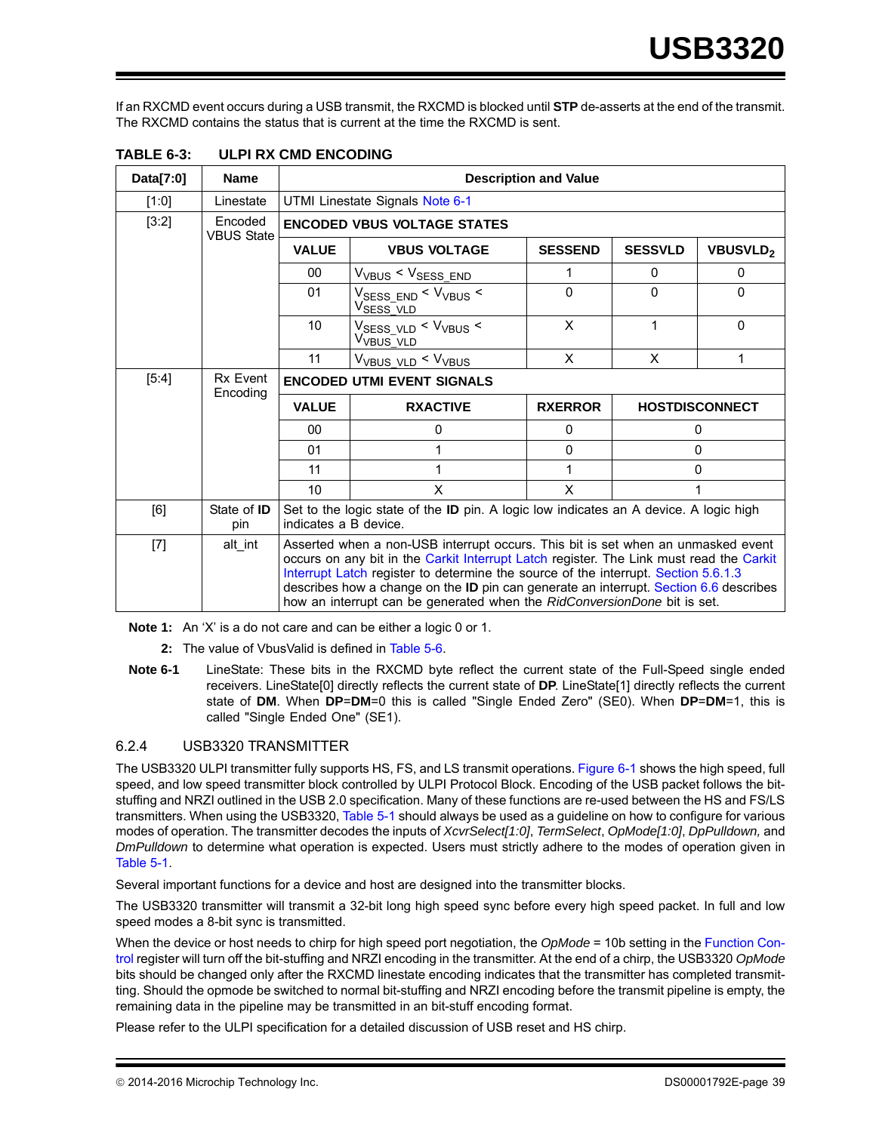If an RXCMD event occurs during a USB transmit, the RXCMD is blocked until **STP** de-asserts at the end of the transmit. The RXCMD contains the status that is current at the time the RXCMD is sent.

| Data[7:0] | <b>Name</b>                  | <b>Description and Value</b>                                                                                                                                                                                                                                                                                                                                                                                                           |                                                                      |                |                       |                 |  |
|-----------|------------------------------|----------------------------------------------------------------------------------------------------------------------------------------------------------------------------------------------------------------------------------------------------------------------------------------------------------------------------------------------------------------------------------------------------------------------------------------|----------------------------------------------------------------------|----------------|-----------------------|-----------------|--|
| $[1:0]$   | Linestate                    | UTMI Linestate Signals Note 6-1                                                                                                                                                                                                                                                                                                                                                                                                        |                                                                      |                |                       |                 |  |
| [3:2]     | Encoded<br><b>VBUS State</b> | <b>ENCODED VBUS VOLTAGE STATES</b>                                                                                                                                                                                                                                                                                                                                                                                                     |                                                                      |                |                       |                 |  |
|           |                              | <b>VALUE</b>                                                                                                                                                                                                                                                                                                                                                                                                                           | <b>VBUS VOLTAGE</b>                                                  | <b>SESSEND</b> | <b>SESSVLD</b>        | <b>VBUSVLD2</b> |  |
|           |                              | 00                                                                                                                                                                                                                                                                                                                                                                                                                                     | V <sub>VBUS</sub> < V <sub>SESS END</sub>                            | 1              | 0                     | 0               |  |
|           |                              | 01                                                                                                                                                                                                                                                                                                                                                                                                                                     | V <sub>SESS_END</sub> < V <sub>VBUS</sub> <<br>V <sub>SESS_VLD</sub> | $\Omega$       | 0                     | $\Omega$        |  |
|           |                              | 10                                                                                                                                                                                                                                                                                                                                                                                                                                     | $V_{\text{SESS VLD}}$ < $V_{\text{VBUS}}$ <<br>V <sub>VBUS_VLD</sub> | X              | 1                     | $\Omega$        |  |
|           |                              | 11                                                                                                                                                                                                                                                                                                                                                                                                                                     | V <sub>VBUS VLD</sub> < V <sub>VBUS</sub>                            | X              | X                     | 1               |  |
| $[5:4]$   | <b>Rx Event</b><br>Encoding  | <b>ENCODED UTMI EVENT SIGNALS</b>                                                                                                                                                                                                                                                                                                                                                                                                      |                                                                      |                |                       |                 |  |
|           |                              | <b>VALUE</b><br><b>RXACTIVE</b><br><b>RXERROR</b>                                                                                                                                                                                                                                                                                                                                                                                      |                                                                      |                | <b>HOSTDISCONNECT</b> |                 |  |
|           |                              | 00                                                                                                                                                                                                                                                                                                                                                                                                                                     | 0                                                                    | 0              | 0                     |                 |  |
|           |                              | 01                                                                                                                                                                                                                                                                                                                                                                                                                                     | 1                                                                    | $\mathbf{0}$   |                       | $\mathbf{0}$    |  |
|           |                              | 11                                                                                                                                                                                                                                                                                                                                                                                                                                     | 1                                                                    | 1              | $\Omega$              |                 |  |
|           |                              | 10                                                                                                                                                                                                                                                                                                                                                                                                                                     | X                                                                    | X              |                       |                 |  |
| [6]       | State of <b>ID</b><br>pin    | Set to the logic state of the ID pin. A logic low indicates an A device. A logic high<br>indicates a B device.                                                                                                                                                                                                                                                                                                                         |                                                                      |                |                       |                 |  |
| $[7]$     | alt int                      | Asserted when a non-USB interrupt occurs. This bit is set when an unmasked event<br>occurs on any bit in the Carkit Interrupt Latch register. The Link must read the Carkit<br>Interrupt Latch register to determine the source of the interrupt. Section 5.6.1.3<br>describes how a change on the ID pin can generate an interrupt. Section 6.6 describes<br>how an interrupt can be generated when the RidConversionDone bit is set. |                                                                      |                |                       |                 |  |

<span id="page-38-0"></span>**TABLE 6-3: ULPI RX CMD ENCODING**

**Note 1:** An 'X' is a do not care and can be either a logic 0 or 1.

- **2:** The value of VbusValid is defined in [Table 5-6](#page-28-2).
- <span id="page-38-1"></span>**Note 6-1** LineState: These bits in the RXCMD byte reflect the current state of the Full-Speed single ended receivers. LineState[0] directly reflects the current state of **DP**. LineState[1] directly reflects the current state of **DM**. When **DP**=**DM**=0 this is called "Single Ended Zero" (SE0). When **DP**=**DM**=1, this is called "Single Ended One" (SE1).

#### 6.2.4 USB3320 TRANSMITTER

The USB3320 ULPI transmitter fully supports HS, FS, and LS transmit operations. [Figure 6-1](#page-32-2) shows the high speed, full speed, and low speed transmitter block controlled by ULPI Protocol Block. Encoding of the USB packet follows the bitstuffing and NRZI outlined in the USB 2.0 specification. Many of these functions are re-used between the HS and FS/LS transmitters. When using the USB3320, [Table 5-1](#page-17-1) should always be used as a guideline on how to configure for various modes of operation. The transmitter decodes the inputs of *XcvrSelect[1:0]*, *TermSelect*, *OpMode[1:0]*, *DpPulldown,* and *DmPulldown* to determine what operation is expected. Users must strictly adhere to the modes of operation given in [Table 5-1.](#page-17-1)

Several important functions for a device and host are designed into the transmitter blocks.

The USB3320 transmitter will transmit a 32-bit long high speed sync before every high speed packet. In full and low speed modes a 8-bit sync is transmitted.

When the device or host needs to chirp for high speed port negotiation, the *OpMode* = 10b setting in the [Function Con](#page-49-0)[trol](#page-49-0) register will turn off the bit-stuffing and NRZI encoding in the transmitter. At the end of a chirp, the USB3320 *OpMode* bits should be changed only after the RXCMD linestate encoding indicates that the transmitter has completed transmitting. Should the opmode be switched to normal bit-stuffing and NRZI encoding before the transmit pipeline is empty, the remaining data in the pipeline may be transmitted in an bit-stuff encoding format.

Please refer to the ULPI specification for a detailed discussion of USB reset and HS chirp.

2014-2016 Microchip Technology Inc. DS00001792E-page 39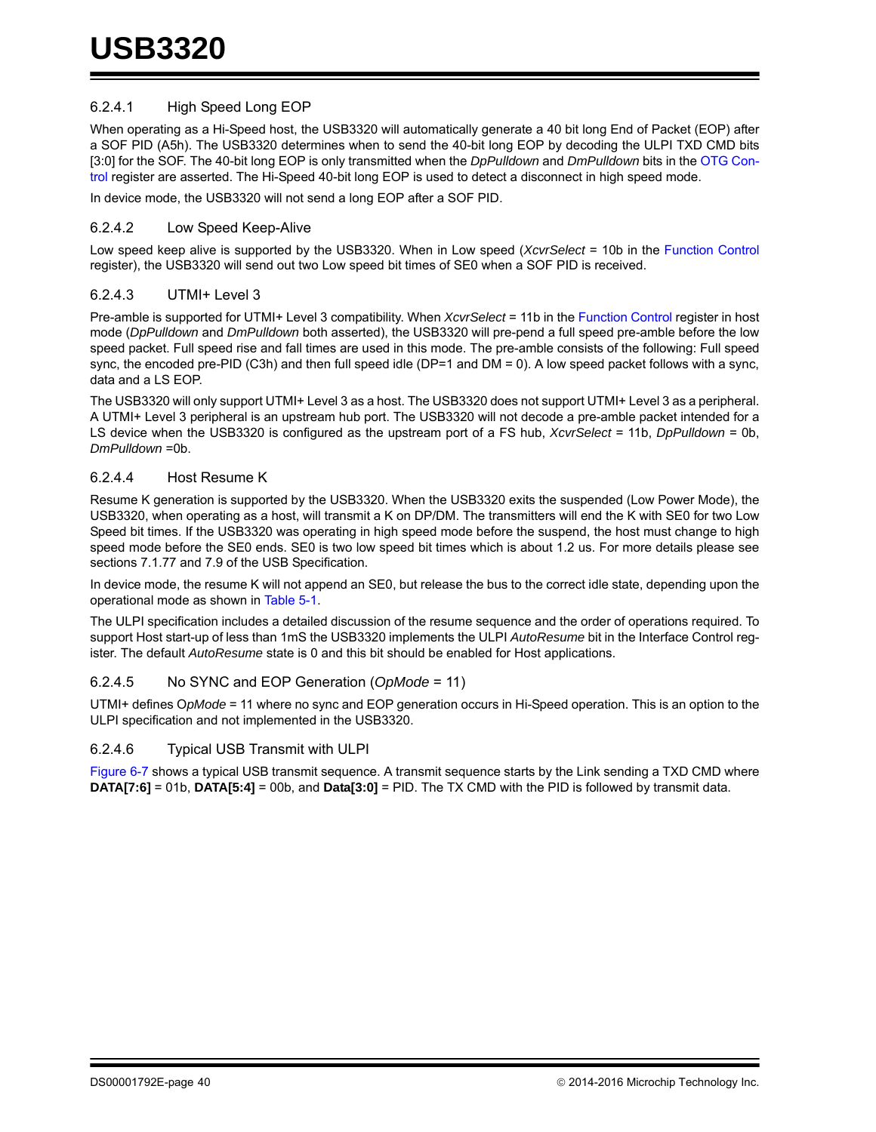#### 6.2.4.1 High Speed Long EOP

When operating as a Hi-Speed host, the USB3320 will automatically generate a 40 bit long End of Packet (EOP) after a SOF PID (A5h). The USB3320 determines when to send the 40-bit long EOP by decoding the ULPI TXD CMD bits [3:0] for the SOF. The 40-bit long EOP is only transmitted when the *DpPulldown* and *DmPulldown* bits in the [OTG Con](#page-50-0)[trol](#page-50-0) register are asserted. The Hi-Speed 40-bit long EOP is used to detect a disconnect in high speed mode.

In device mode, the USB3320 will not send a long EOP after a SOF PID.

#### 6.2.4.2 Low Speed Keep-Alive

Low speed keep alive is supported by the USB3320. When in Low speed (*XcvrSelect* = 10b in the [Function Control](#page-49-0) register), the USB3320 will send out two Low speed bit times of SE0 when a SOF PID is received.

#### <span id="page-39-1"></span>6.2.4.3 UTMI+ Level 3

Pre-amble is supported for UTMI+ Level 3 compatibility. When *XcvrSelect* = 11b in the [Function Control](#page-49-0) register in host mode (*DpPulldown* and *DmPulldown* both asserted), the USB3320 will pre-pend a full speed pre-amble before the low speed packet. Full speed rise and fall times are used in this mode. The pre-amble consists of the following: Full speed sync, the encoded pre-PID (C3h) and then full speed idle (DP=1 and DM = 0). A low speed packet follows with a sync, data and a LS EOP.

The USB3320 will only support UTMI+ Level 3 as a host. The USB3320 does not support UTMI+ Level 3 as a peripheral. A UTMI+ Level 3 peripheral is an upstream hub port. The USB3320 will not decode a pre-amble packet intended for a LS device when the USB3320 is configured as the upstream port of a FS hub, *XcvrSelect* = 11b, *DpPulldown* = 0b, *DmPulldown* =0b.

#### <span id="page-39-0"></span>6.2.4.4 Host Resume K

Resume K generation is supported by the USB3320. When the USB3320 exits the suspended (Low Power Mode), the USB3320, when operating as a host, will transmit a K on DP/DM. The transmitters will end the K with SE0 for two Low Speed bit times. If the USB3320 was operating in high speed mode before the suspend, the host must change to high speed mode before the SE0 ends. SE0 is two low speed bit times which is about 1.2 us. For more details please see sections 7.1.77 and 7.9 of the USB Specification.

In device mode, the resume K will not append an SE0, but release the bus to the correct idle state, depending upon the operational mode as shown in [Table 5-1.](#page-17-1)

The ULPI specification includes a detailed discussion of the resume sequence and the order of operations required. To support Host start-up of less than 1mS the USB3320 implements the ULPI *AutoResume* bit in the Interface Control register. The default *AutoResume* state is 0 and this bit should be enabled for Host applications.

#### 6.2.4.5 No SYNC and EOP Generation (*OpMode* = 11)

UTMI+ defines O*pMode* = 11 where no sync and EOP generation occurs in Hi-Speed operation. This is an option to the ULPI specification and not implemented in the USB3320.

#### 6.2.4.6 Typical USB Transmit with ULPI

[Figure 6-7](#page-40-0) shows a typical USB transmit sequence. A transmit sequence starts by the Link sending a TXD CMD where **DATA[7:6]** = 01b, **DATA[5:4]** = 00b, and **Data[3:0]** = PID. The TX CMD with the PID is followed by transmit data.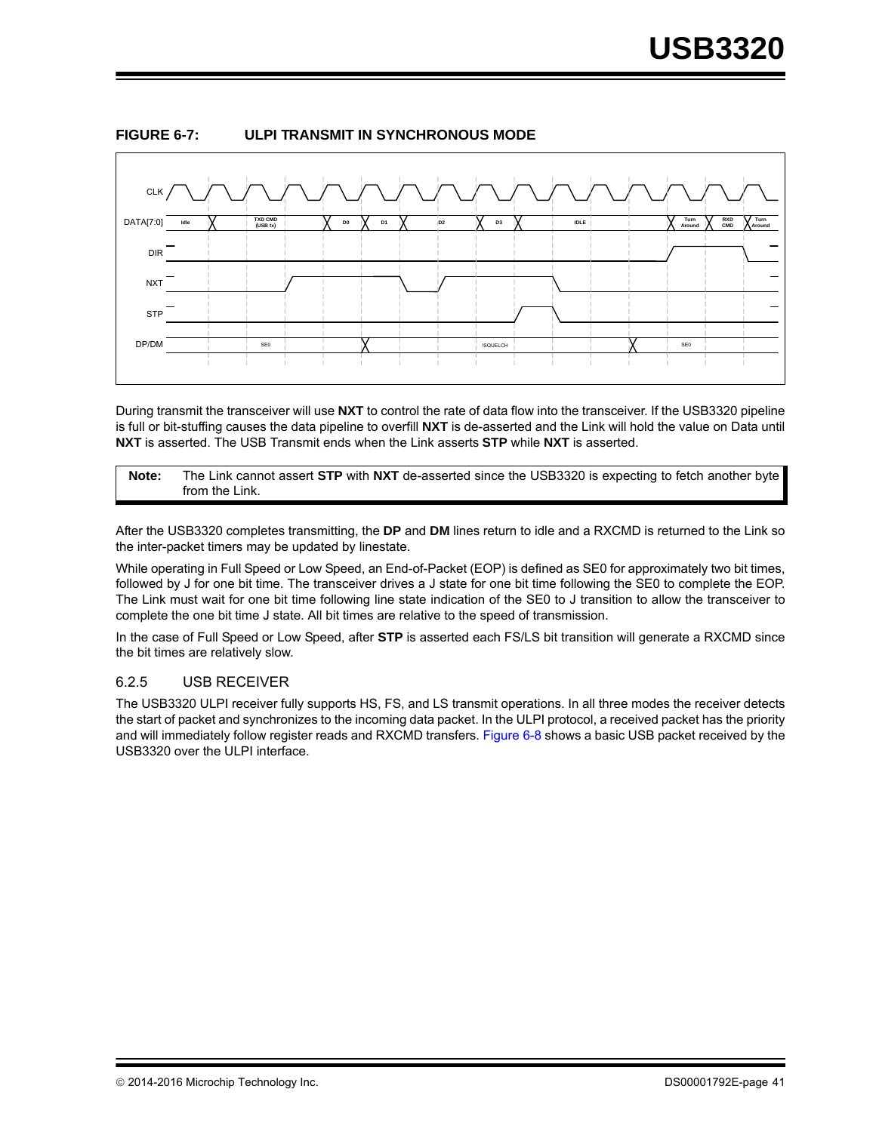![](_page_40_Figure_1.jpeg)

#### <span id="page-40-0"></span>**FIGURE 6-7: ULPI TRANSMIT IN SYNCHRONOUS MODE**

During transmit the transceiver will use **NXT** to control the rate of data flow into the transceiver. If the USB3320 pipeline is full or bit-stuffing causes the data pipeline to overfill **NXT** is de-asserted and the Link will hold the value on Data until **NXT** is asserted. The USB Transmit ends when the Link asserts **STP** while **NXT** is asserted.

**Note:** The Link cannot assert **STP** with **NXT** de-asserted since the USB3320 is expecting to fetch another byte from the Link.

After the USB3320 completes transmitting, the **DP** and **DM** lines return to idle and a RXCMD is returned to the Link so the inter-packet timers may be updated by linestate.

While operating in Full Speed or Low Speed, an End-of-Packet (EOP) is defined as SE0 for approximately two bit times, followed by J for one bit time. The transceiver drives a J state for one bit time following the SE0 to complete the EOP. The Link must wait for one bit time following line state indication of the SE0 to J transition to allow the transceiver to complete the one bit time J state. All bit times are relative to the speed of transmission.

In the case of Full Speed or Low Speed, after **STP** is asserted each FS/LS bit transition will generate a RXCMD since the bit times are relatively slow.

#### 6.2.5 USB RECEIVER

The USB3320 ULPI receiver fully supports HS, FS, and LS transmit operations. In all three modes the receiver detects the start of packet and synchronizes to the incoming data packet. In the ULPI protocol, a received packet has the priority and will immediately follow register reads and RXCMD transfers. [Figure 6-8](#page-41-1) shows a basic USB packet received by the USB3320 over the ULPI interface.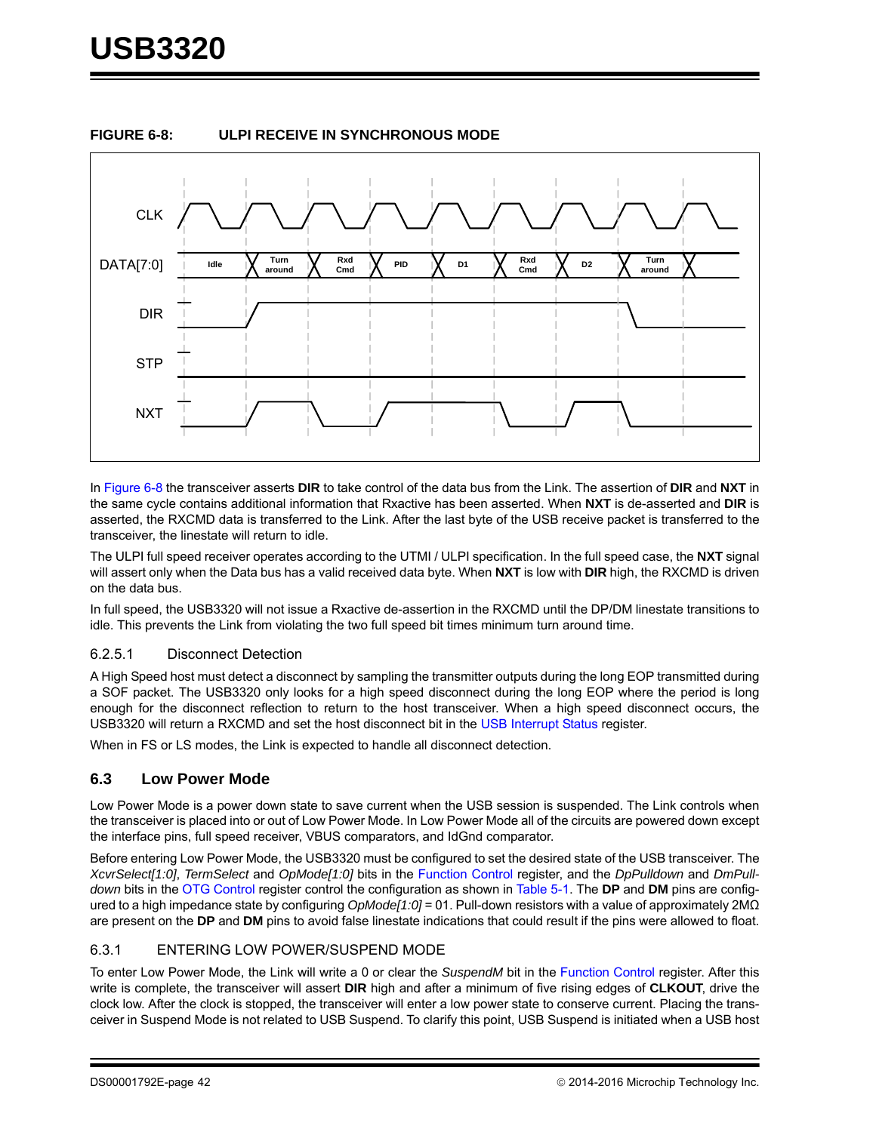![](_page_41_Figure_1.jpeg)

#### <span id="page-41-1"></span>**FIGURE 6-8: ULPI RECEIVE IN SYNCHRONOUS MODE**

In [Figure 6-8](#page-41-1) the transceiver asserts **DIR** to take control of the data bus from the Link. The assertion of **DIR** and **NXT** in the same cycle contains additional information that Rxactive has been asserted. When **NXT** is de-asserted and **DIR** is asserted, the RXCMD data is transferred to the Link. After the last byte of the USB receive packet is transferred to the transceiver, the linestate will return to idle.

The ULPI full speed receiver operates according to the UTMI / ULPI specification. In the full speed case, the **NXT** signal will assert only when the Data bus has a valid received data byte. When **NXT** is low with **DIR** high, the RXCMD is driven on the data bus.

In full speed, the USB3320 will not issue a Rxactive de-assertion in the RXCMD until the DP/DM linestate transitions to idle. This prevents the Link from violating the two full speed bit times minimum turn around time.

#### 6.2.5.1 Disconnect Detection

A High Speed host must detect a disconnect by sampling the transmitter outputs during the long EOP transmitted during a SOF packet. The USB3320 only looks for a high speed disconnect during the long EOP where the period is long enough for the disconnect reflection to return to the host transceiver. When a high speed disconnect occurs, the USB3320 will return a RXCMD and set the host disconnect bit in the [USB Interrupt Status](#page-52-0) register.

When in FS or LS modes, the Link is expected to handle all disconnect detection.

#### <span id="page-41-2"></span><span id="page-41-0"></span>**6.3 Low Power Mode**

Low Power Mode is a power down state to save current when the USB session is suspended. The Link controls when the transceiver is placed into or out of Low Power Mode. In Low Power Mode all of the circuits are powered down except the interface pins, full speed receiver, VBUS comparators, and IdGnd comparator.

Before entering Low Power Mode, the USB3320 must be configured to set the desired state of the USB transceiver. The *XcvrSelect[1:0]*, *TermSelect* and *OpMode[1:0]* bits in the [Function Control](#page-49-0) register, and the *DpPulldown* and *DmPulldown* bits in the [OTG Control](#page-50-0) register control the configuration as shown in [Table 5-1](#page-17-1). The **DP** and **DM** pins are configured to a high impedance state by configuring *OpMode[1:0]* = 01. Pull-down resistors with a value of approximately 2MΩ are present on the **DP** and **DM** pins to avoid false linestate indications that could result if the pins were allowed to float.

#### 6.3.1 ENTERING LOW POWER/SUSPEND MODE

To enter Low Power Mode, the Link will write a 0 or clear the *SuspendM* bit in the [Function Control](#page-49-0) register. After this write is complete, the transceiver will assert **DIR** high and after a minimum of five rising edges of **CLKOUT**, drive the clock low. After the clock is stopped, the transceiver will enter a low power state to conserve current. Placing the transceiver in Suspend Mode is not related to USB Suspend. To clarify this point, USB Suspend is initiated when a USB host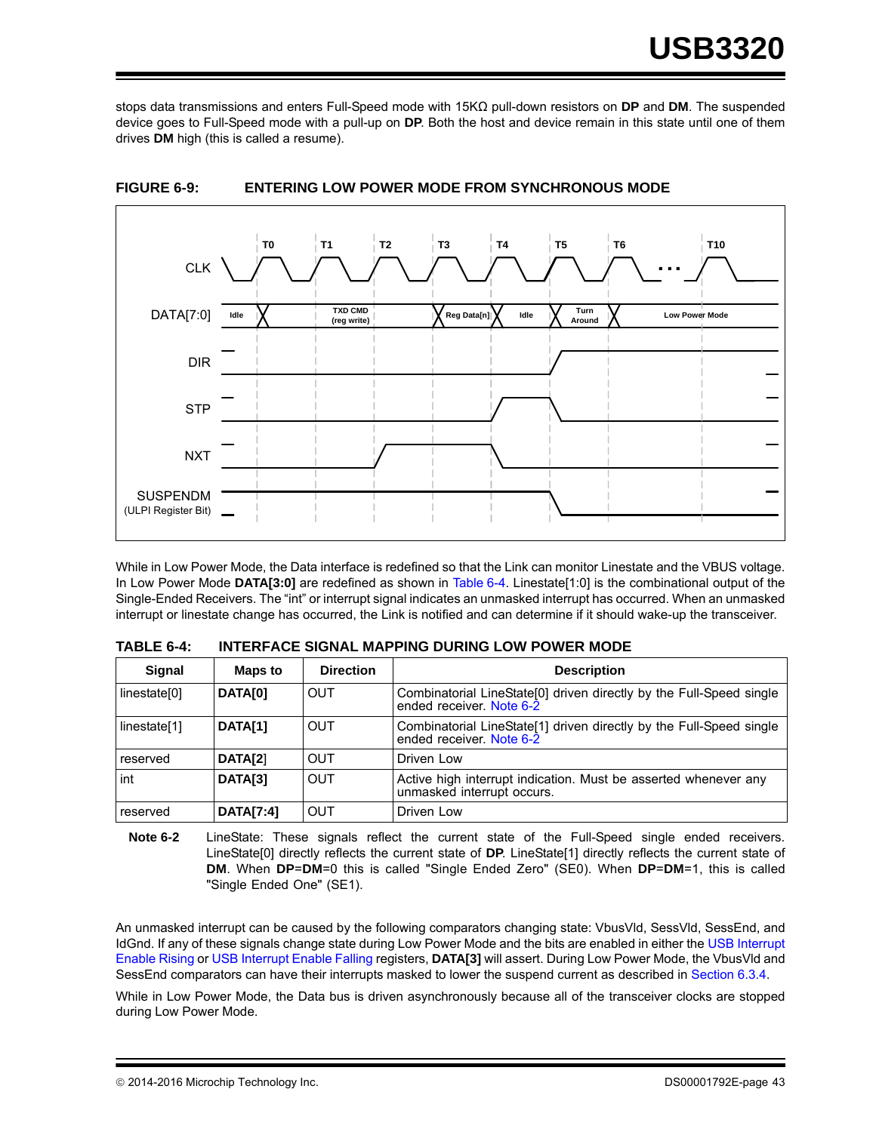stops data transmissions and enters Full-Speed mode with 15KΩ pull-down resistors on **DP** and **DM**. The suspended device goes to Full-Speed mode with a pull-up on **DP**. Both the host and device remain in this state until one of them drives **DM** high (this is called a resume).

![](_page_42_Figure_2.jpeg)

**FIGURE 6-9: ENTERING LOW POWER MODE FROM SYNCHRONOUS MODE**

While in Low Power Mode, the Data interface is redefined so that the Link can monitor Linestate and the VBUS voltage. In Low Power Mode **DATA[3:0]** are redefined as shown in [Table 6-4.](#page-42-1) Linestate[1:0] is the combinational output of the Single-Ended Receivers. The "int" or interrupt signal indicates an unmasked interrupt has occurred. When an unmasked interrupt or linestate change has occurred, the Link is notified and can determine if it should wake-up the transceiver.

| Signal                   | Maps to          | <b>Direction</b> | <b>Description</b>                                                                              |
|--------------------------|------------------|------------------|-------------------------------------------------------------------------------------------------|
| linestate <sup>[0]</sup> | DATA[0]          | OUT              | Combinatorial LineState[0] driven directly by the Full-Speed single<br>ended receiver. Note 6-2 |
| linestate <sup>[1]</sup> | DATA[1]          | OUT              | Combinatorial LineState[1] driven directly by the Full-Speed single<br>ended receiver. Note 6-2 |
| reserved                 | DATA[2]          | OUT              | Driven Low                                                                                      |
| int                      | DATA[3]          | OUT              | Active high interrupt indication. Must be asserted whenever any<br>unmasked interrupt occurs.   |
| reserved                 | <b>DATA[7:4]</b> | OUT              | Driven Low                                                                                      |

<span id="page-42-1"></span>

| TABLE 6-4: | INTERFACE SIGNAL MAPPING DURING LOW POWER MODE |  |  |
|------------|------------------------------------------------|--|--|
|            |                                                |  |  |

<span id="page-42-0"></span>**Note 6-2** LineState: These signals reflect the current state of the Full-Speed single ended receivers. LineState[0] directly reflects the current state of **DP**. LineState[1] directly reflects the current state of **DM**. When **DP**=**DM**=0 this is called "Single Ended Zero" (SE0). When **DP**=**DM**=1, this is called "Single Ended One" (SE1).

An unmasked interrupt can be caused by the following comparators changing state: VbusVld, SessVld, SessEnd, and IdGnd. If any of these signals change state during Low Power Mode and the bits are enabled in either the [USB Interrupt](#page-51-0) [Enable Rising](#page-51-0) or [USB Interrupt Enable Falling](#page-51-1) registers, **DATA[3]** will assert. During Low Power Mode, the VbusVld and SessEnd comparators can have their interrupts masked to lower the suspend current as described in [Section 6.3.4.](#page-44-1)

While in Low Power Mode, the Data bus is driven asynchronously because all of the transceiver clocks are stopped during Low Power Mode.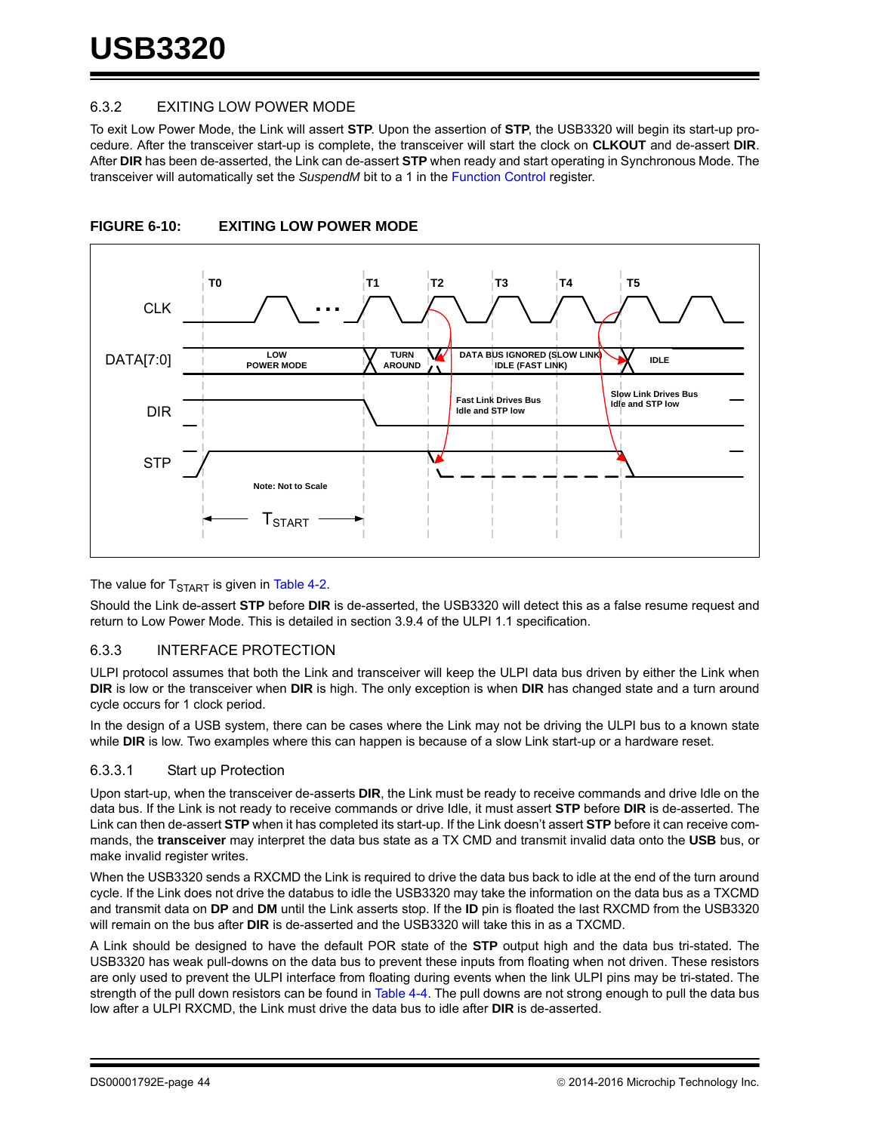#### <span id="page-43-0"></span>6.3.2 EXITING LOW POWER MODE

To exit Low Power Mode, the Link will assert **STP**. Upon the assertion of **STP**, the USB3320 will begin its start-up procedure. After the transceiver start-up is complete, the transceiver will start the clock on **CLKOUT** and de-assert **DIR**. After **DIR** has been de-asserted, the Link can de-assert **STP** when ready and start operating in Synchronous Mode. The transceiver will automatically set the *SuspendM* bit to a 1 in the [Function Control](#page-49-0) register.

![](_page_43_Figure_3.jpeg)

#### **FIGURE 6-10: EXITING LOW POWER MODE**

The value for  $T_{\text{START}}$  is given in [Table 4-2](#page-10-2).

Should the Link de-assert **STP** before **DIR** is de-asserted, the USB3320 will detect this as a false resume request and return to Low Power Mode. This is detailed in section 3.9.4 of the ULPI 1.1 specification.

#### <span id="page-43-1"></span>6.3.3 INTERFACE PROTECTION

ULPI protocol assumes that both the Link and transceiver will keep the ULPI data bus driven by either the Link when **DIR** is low or the transceiver when **DIR** is high. The only exception is when **DIR** has changed state and a turn around cycle occurs for 1 clock period.

In the design of a USB system, there can be cases where the Link may not be driving the ULPI bus to a known state while **DIR** is low. Two examples where this can happen is because of a slow Link start-up or a hardware reset.

#### 6.3.3.1 Start up Protection

Upon start-up, when the transceiver de-asserts **DIR**, the Link must be ready to receive commands and drive Idle on the data bus. If the Link is not ready to receive commands or drive Idle, it must assert **STP** before **DIR** is de-asserted. The Link can then de-assert **STP** when it has completed its start-up. If the Link doesn't assert **STP** before it can receive commands, the **transceiver** may interpret the data bus state as a TX CMD and transmit invalid data onto the **USB** bus, or make invalid register writes.

When the USB3320 sends a RXCMD the Link is required to drive the data bus back to idle at the end of the turn around cycle. If the Link does not drive the databus to idle the USB3320 may take the information on the data bus as a TXCMD and transmit data on **DP** and **DM** until the Link asserts stop. If the **ID** pin is floated the last RXCMD from the USB3320 will remain on the bus after **DIR** is de-asserted and the USB3320 will take this in as a TXCMD.

A Link should be designed to have the default POR state of the **STP** output high and the data bus tri-stated. The USB3320 has weak pull-downs on the data bus to prevent these inputs from floating when not driven. These resistors are only used to prevent the ULPI interface from floating during events when the link ULPI pins may be tri-stated. The strength of the pull down resistors can be found in [Table 4-4.](#page-11-0) The pull downs are not strong enough to pull the data bus low after a ULPI RXCMD, the Link must drive the data bus to idle after **DIR** is de-asserted.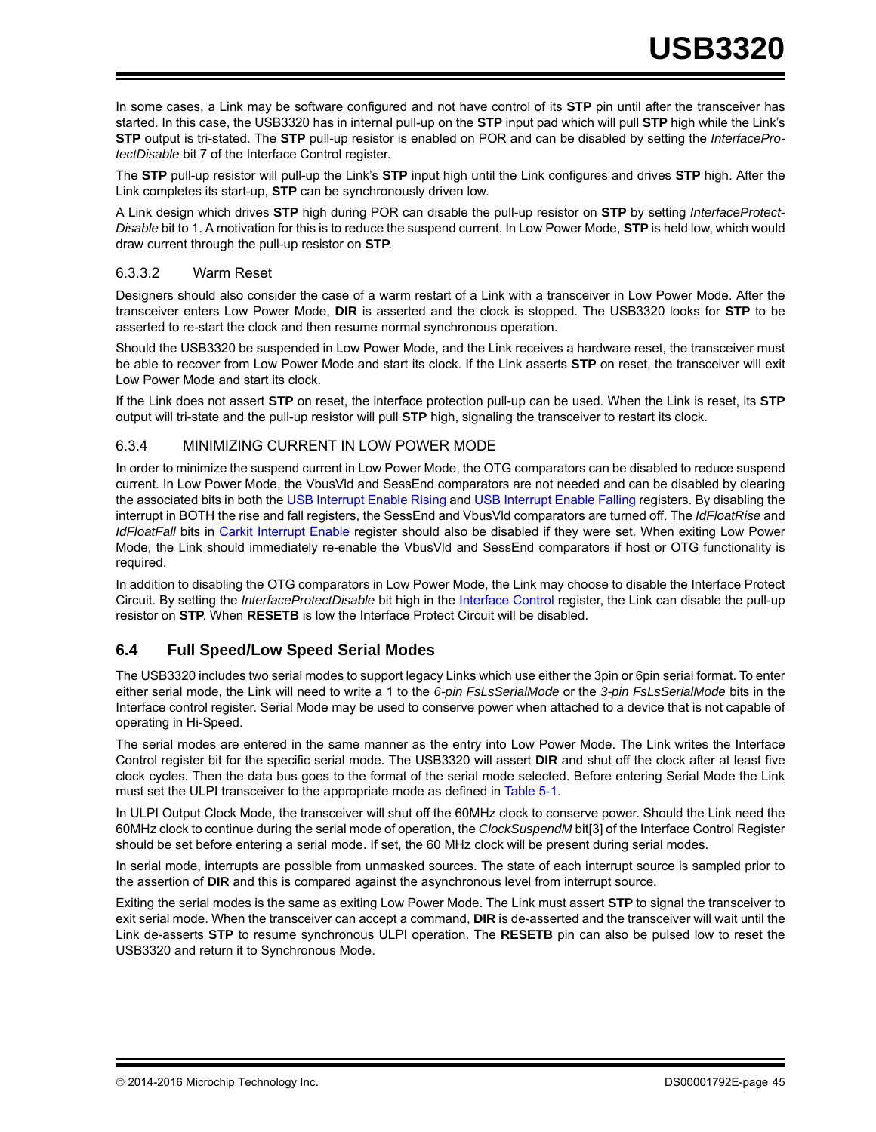In some cases, a Link may be software configured and not have control of its **STP** pin until after the transceiver has started. In this case, the USB3320 has in internal pull-up on the **STP** input pad which will pull **STP** high while the Link's **STP** output is tri-stated. The **STP** pull-up resistor is enabled on POR and can be disabled by setting the *InterfaceProtectDisable* bit 7 of the Interface Control register.

The **STP** pull-up resistor will pull-up the Link's **STP** input high until the Link configures and drives **STP** high. After the Link completes its start-up, **STP** can be synchronously driven low.

A Link design which drives **STP** high during POR can disable the pull-up resistor on **STP** by setting *InterfaceProtect-Disable* bit to 1. A motivation for this is to reduce the suspend current. In Low Power Mode, **STP** is held low, which would draw current through the pull-up resistor on **STP**.

#### 6.3.3.2 Warm Reset

Designers should also consider the case of a warm restart of a Link with a transceiver in Low Power Mode. After the transceiver enters Low Power Mode, **DIR** is asserted and the clock is stopped. The USB3320 looks for **STP** to be asserted to re-start the clock and then resume normal synchronous operation.

Should the USB3320 be suspended in Low Power Mode, and the Link receives a hardware reset, the transceiver must be able to recover from Low Power Mode and start its clock. If the Link asserts **STP** on reset, the transceiver will exit Low Power Mode and start its clock.

If the Link does not assert **STP** on reset, the interface protection pull-up can be used. When the Link is reset, its **STP** output will tri-state and the pull-up resistor will pull **STP** high, signaling the transceiver to restart its clock.

#### <span id="page-44-1"></span>6.3.4 MINIMIZING CURRENT IN LOW POWER MODE

In order to minimize the suspend current in Low Power Mode, the OTG comparators can be disabled to reduce suspend current. In Low Power Mode, the VbusVld and SessEnd comparators are not needed and can be disabled by clearing the associated bits in both the [USB Interrupt Enable Rising](#page-51-0) and [USB Interrupt Enable Falling](#page-51-1) registers. By disabling the interrupt in BOTH the rise and fall registers, the SessEnd and VbusVld comparators are turned off. The *IdFloatRise* and *IdFloatFall* bits in [Carkit Interrupt Enable](#page-53-1) register should also be disabled if they were set. When exiting Low Power Mode, the Link should immediately re-enable the VbusVld and SessEnd comparators if host or OTG functionality is required.

In addition to disabling the OTG comparators in Low Power Mode, the Link may choose to disable the Interface Protect Circuit. By setting the *InterfaceProtectDisable* bit high in the [Interface Control](#page-50-1) register, the Link can disable the pull-up resistor on **STP**. When **RESETB** is low the Interface Protect Circuit will be disabled.

#### <span id="page-44-0"></span>**6.4 Full Speed/Low Speed Serial Modes**

The USB3320 includes two serial modes to support legacy Links which use either the 3pin or 6pin serial format. To enter either serial mode, the Link will need to write a 1 to the *6-pin FsLsSerialMode* or the *3-pin FsLsSerialMode* bits in the Interface control register. Serial Mode may be used to conserve power when attached to a device that is not capable of operating in Hi-Speed.

The serial modes are entered in the same manner as the entry into Low Power Mode. The Link writes the Interface Control register bit for the specific serial mode. The USB3320 will assert **DIR** and shut off the clock after at least five clock cycles. Then the data bus goes to the format of the serial mode selected. Before entering Serial Mode the Link must set the ULPI transceiver to the appropriate mode as defined in [Table 5-1.](#page-17-1)

In ULPI Output Clock Mode, the transceiver will shut off the 60MHz clock to conserve power. Should the Link need the 60MHz clock to continue during the serial mode of operation, the *ClockSuspendM* bit[3] of the Interface Control Register should be set before entering a serial mode. If set, the 60 MHz clock will be present during serial modes.

In serial mode, interrupts are possible from unmasked sources. The state of each interrupt source is sampled prior to the assertion of **DIR** and this is compared against the asynchronous level from interrupt source.

Exiting the serial modes is the same as exiting Low Power Mode. The Link must assert **STP** to signal the transceiver to exit serial mode. When the transceiver can accept a command, **DIR** is de-asserted and the transceiver will wait until the Link de-asserts **STP** to resume synchronous ULPI operation. The **RESETB** pin can also be pulsed low to reset the USB3320 and return it to Synchronous Mode.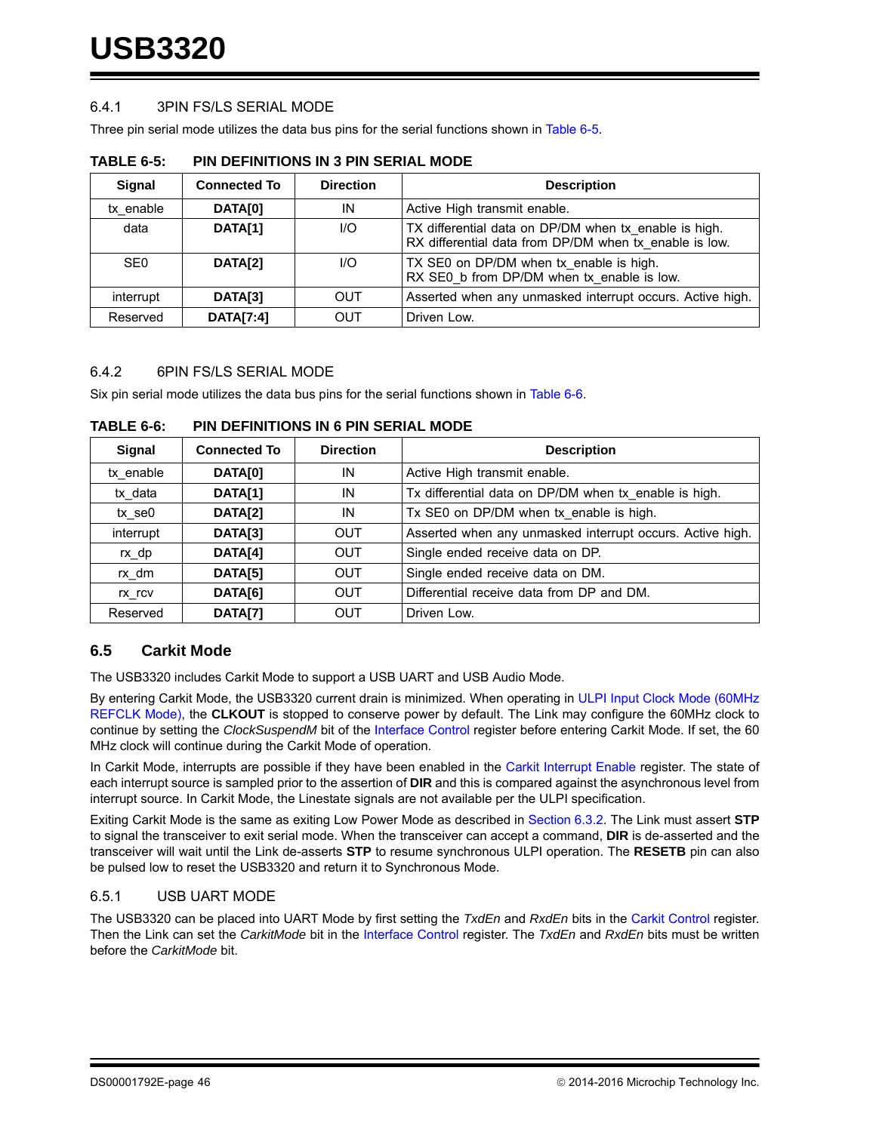#### 6.4.1 3PIN FS/LS SERIAL MODE

Three pin serial mode utilizes the data bus pins for the serial functions shown in [Table 6-5.](#page-45-3)

| <b>Signal</b>   | <b>Connected To</b> | <b>Direction</b> | <b>Description</b>                                                                                              |
|-----------------|---------------------|------------------|-----------------------------------------------------------------------------------------------------------------|
| tx enable       | DATA[0]             | IN               | Active High transmit enable.                                                                                    |
| data            | DATA[1]             | $II$             | TX differential data on DP/DM when tx enable is high.<br>RX differential data from DP/DM when tx_enable is low. |
| SE <sub>0</sub> | DATA[2]             | $II$             | TX SE0 on DP/DM when tx enable is high.<br>RX SE0_b from DP/DM when tx_enable is low.                           |
| interrupt       | DATA[3]             | OUT              | Asserted when any unmasked interrupt occurs. Active high.                                                       |
| Reserved        | <b>DATA[7:4]</b>    | OUT              | Driven Low.                                                                                                     |

#### <span id="page-45-3"></span>**TABLE 6-5: PIN DEFINITIONS IN 3 PIN SERIAL MODE**

#### 6.4.2 6PIN FS/LS SERIAL MODE

Six pin serial mode utilizes the data bus pins for the serial functions shown in [Table 6-6.](#page-45-4)

| Signal    | <b>Connected To</b> | <b>Direction</b> | <b>Description</b>                                        |
|-----------|---------------------|------------------|-----------------------------------------------------------|
| tx enable | DATA[0]             | IN               | Active High transmit enable.                              |
| tx data   | DATA[1]             | IN               | Tx differential data on DP/DM when tx enable is high.     |
| tx se0    | DATA[2]             | IN               | Tx SE0 on DP/DM when tx enable is high.                   |
| interrupt | DATA[3]             | OUT              | Asserted when any unmasked interrupt occurs. Active high. |
| rx_dp     | DATA[4]             | OUT              | Single ended receive data on DP.                          |
| rx_dm     | DATA[5]             | <b>OUT</b>       | Single ended receive data on DM.                          |
| rx rcv    | DATA[6]             | <b>OUT</b>       | Differential receive data from DP and DM.                 |
| Reserved  | DATA[7]             | OUT              | Driven Low.                                               |

<span id="page-45-4"></span>**TABLE 6-6: PIN DEFINITIONS IN 6 PIN SERIAL MODE**

#### <span id="page-45-2"></span><span id="page-45-1"></span>**6.5 Carkit Mode**

The USB3320 includes Carkit Mode to support a USB UART and USB Audio Mode.

By entering Carkit Mode, the USB3320 current drain is minimized. When operating in [ULPI Input Clock Mode \(60MHz](#page-19-5) [REFCLK Mode\),](#page-19-5) the **CLKOUT** is stopped to conserve power by default. The Link may configure the 60MHz clock to continue by setting the *ClockSuspendM* bit of the [Interface Control](#page-50-1) register before entering Carkit Mode. If set, the 60 MHz clock will continue during the Carkit Mode of operation.

In Carkit Mode, interrupts are possible if they have been enabled in the [Carkit Interrupt Enable](#page-53-1) register. The state of each interrupt source is sampled prior to the assertion of **DIR** and this is compared against the asynchronous level from interrupt source. In Carkit Mode, the Linestate signals are not available per the ULPI specification.

Exiting Carkit Mode is the same as exiting Low Power Mode as described in [Section 6.3.2.](#page-43-0) The Link must assert **STP** to signal the transceiver to exit serial mode. When the transceiver can accept a command, **DIR** is de-asserted and the transceiver will wait until the Link de-asserts **STP** to resume synchronous ULPI operation. The **RESETB** pin can also be pulsed low to reset the USB3320 and return it to Synchronous Mode.

#### <span id="page-45-0"></span>6.5.1 USB UART MODE

The USB3320 can be placed into UART Mode by first setting the *TxdEn* and *RxdEn* bits in the [Carkit Control](#page-53-0) register. Then the Link can set the *CarkitMode* bit in the [Interface Control](#page-50-1) register. The *TxdEn* and *RxdEn* bits must be written before the *CarkitMode* bit.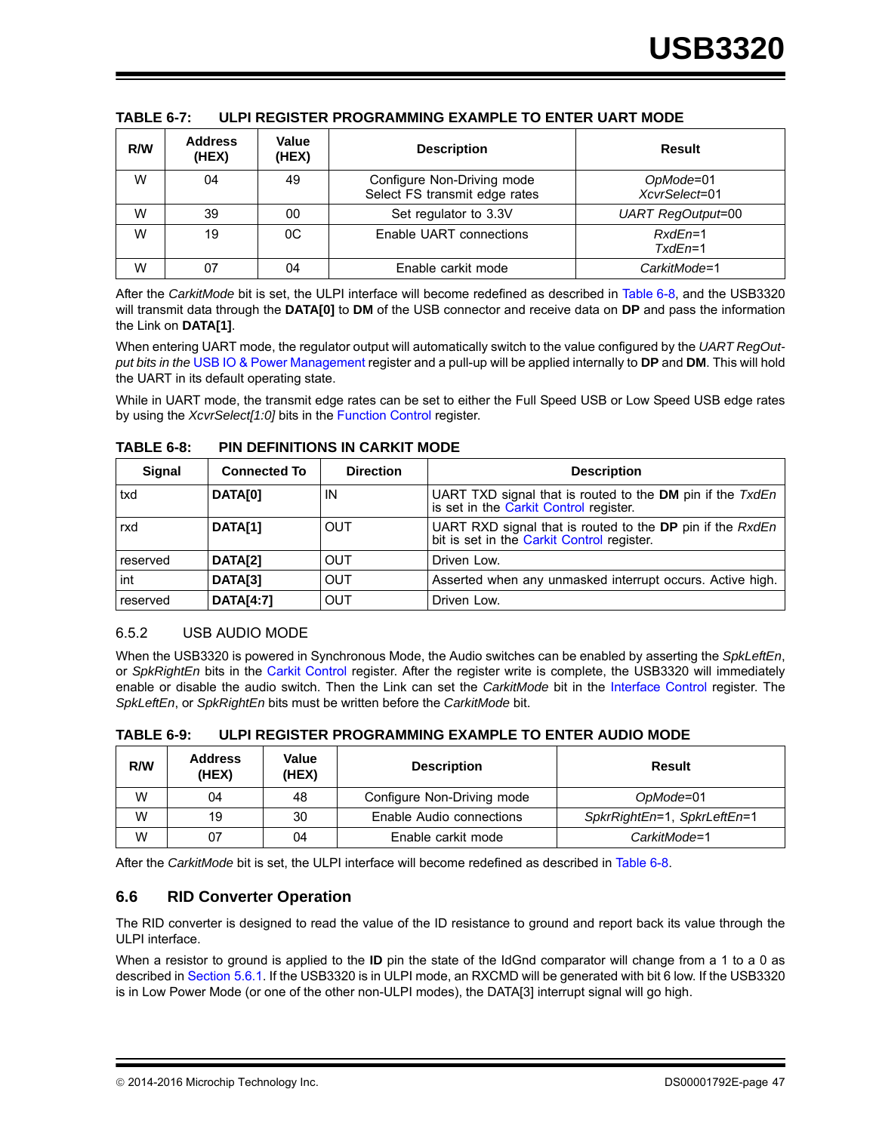| R/W | <b>Address</b><br>(HEX) | Value<br>(HEX) | <b>Description</b>                                          | Result                     |
|-----|-------------------------|----------------|-------------------------------------------------------------|----------------------------|
| w   | 04                      | 49             | Configure Non-Driving mode<br>Select FS transmit edge rates | OpMode=01<br>XcvrSelect=01 |
| W   | 39                      | 00             | Set regulator to 3.3V                                       | <b>UART RegOutput=00</b>   |
| w   | 19                      | 0C             | Enable UART connections                                     | $RxdEn=1$<br>$TxdEn=1$     |
| w   | 07                      | 04             | Enable carkit mode                                          | CarkitMode=1               |

|  | TABLE 6-7: ULPI REGISTER PROGRAMMING EXAMPLE TO ENTER UART MODE |
|--|-----------------------------------------------------------------|
|--|-----------------------------------------------------------------|

After the *CarkitMode* bit is set, the ULPI interface will become redefined as described in [Table 6-8](#page-46-3), and the USB3320 will transmit data through the **DATA[0]** to **DM** of the USB connector and receive data on **DP** and pass the information the Link on **DATA[1]**.

When entering UART mode, the regulator output will automatically switch to the value configured by the *UART RegOutput bits in the* [USB IO & Power Management](#page-56-0) register and a pull-up will be applied internally to **DP** and **DM**. This will hold the UART in its default operating state.

While in UART mode, the transmit edge rates can be set to either the Full Speed USB or Low Speed USB edge rates by using the *XcvrSelect[1:0]* bits in the [Function Control](#page-49-0) register.

| Signal   | <b>Connected To</b> | <b>Direction</b> | <b>Description</b>                                                                                      |  |
|----------|---------------------|------------------|---------------------------------------------------------------------------------------------------------|--|
| txd      | DATA[0]             | IN               | UART TXD signal that is routed to the DM pin if the TxdEn<br>is set in the Carkit Control register.     |  |
| rxd      | DATA[1]             | OUT              | UART RXD signal that is routed to the DP pin if the RxdEn<br>bit is set in the Carkit Control register. |  |
| reserved | DATA[2]             | OUT              | Driven Low.                                                                                             |  |
| int      | DATA[3]             | OUT              | Asserted when any unmasked interrupt occurs. Active high.                                               |  |
| reserved | <b>DATA[4:7]</b>    | OUT              | Driven Low.                                                                                             |  |

<span id="page-46-3"></span>**TABLE 6-8: PIN DEFINITIONS IN CARKIT MODE** 

#### <span id="page-46-0"></span>6.5.2 USB AUDIO MODE

When the USB3320 is powered in Synchronous Mode, the Audio switches can be enabled by asserting the *SpkLeftEn*, or *SpkRightEn* bits in the [Carkit Control](#page-53-0) register. After the register write is complete, the USB3320 will immediately enable or disable the audio switch. Then the Link can set the *CarkitMode* bit in the [Interface Control](#page-50-1) register. The *SpkLeftEn*, or *SpkRightEn* bits must be written before the *CarkitMode* bit.

| <b>TABLE 6-9:</b> | ULPI REGISTER PROGRAMMING EXAMPLE TO ENTER AUDIO MODE |
|-------------------|-------------------------------------------------------|
|-------------------|-------------------------------------------------------|

| R/W | <b>Address</b><br>(HEX) | Value<br>(HEX) | <b>Description</b>         | Result                      |
|-----|-------------------------|----------------|----------------------------|-----------------------------|
| W   | 04                      | 48             | Configure Non-Driving mode | OpMode=01                   |
| W   | 19                      | 30             | Enable Audio connections   | SpkrRightEn=1, SpkrLeftEn=1 |
| W   | 07                      | 04             | Enable carkit mode         | CarkitMode=1                |

After the *CarkitMode* bit is set, the ULPI interface will become redefined as described in [Table 6-8.](#page-46-3)

#### <span id="page-46-2"></span><span id="page-46-1"></span>**6.6 RID Converter Operation**

The RID converter is designed to read the value of the ID resistance to ground and report back its value through the ULPI interface.

When a resistor to ground is applied to the **ID** pin the state of the IdGnd comparator will change from a 1 to a 0 as described in [Section 5.6.1.](#page-25-1) If the USB3320 is in ULPI mode, an RXCMD will be generated with bit 6 low. If the USB3320 is in Low Power Mode (or one of the other non-ULPI modes), the DATA[3] interrupt signal will go high.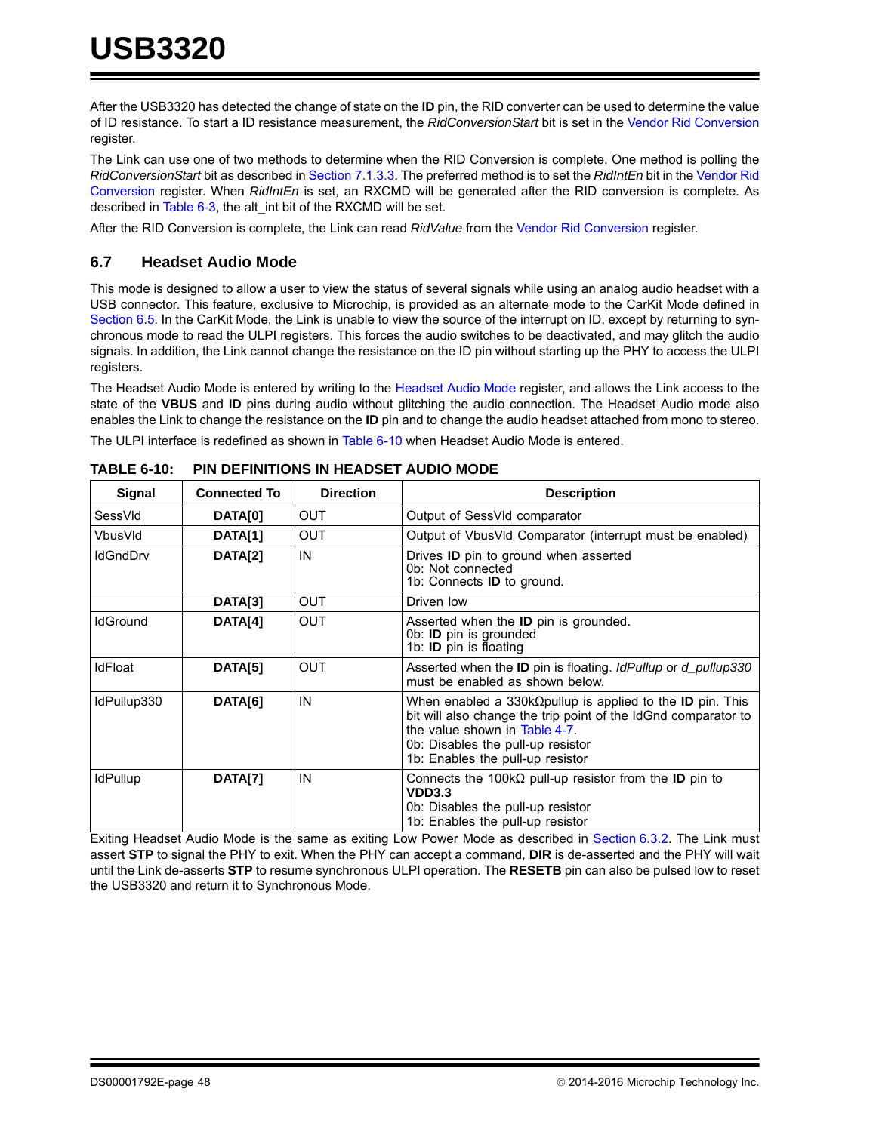After the USB3320 has detected the change of state on the **ID** pin, the RID converter can be used to determine the value of ID resistance. To start a ID resistance measurement, the *RidConversionStart* bit is set in the [Vendor Rid Conversion](#page-55-1) register.

The Link can use one of two methods to determine when the RID Conversion is complete. One method is polling the *RidConversionStart* bit as described in [Section 7.1.3.3.](#page-55-1) The preferred method is to set the *RidIntEn* bit in the [Vendor Rid](#page-55-1) [Conversion](#page-55-1) register. When *RidIntEn* is set, an RXCMD will be generated after the RID conversion is complete. As described in [Table 6-3,](#page-38-0) the alt int bit of the RXCMD will be set.

After the RID Conversion is complete, the Link can read *RidValue* from the [Vendor Rid Conversion](#page-55-1) register.

#### <span id="page-47-1"></span>**6.7 Headset Audio Mode**

This mode is designed to allow a user to view the status of several signals while using an analog audio headset with a USB connector. This feature, exclusive to Microchip, is provided as an alternate mode to the CarKit Mode defined in [Section 6.5.](#page-45-2) In the CarKit Mode, the Link is unable to view the source of the interrupt on ID, except by returning to synchronous mode to read the ULPI registers. This forces the audio switches to be deactivated, and may glitch the audio signals. In addition, the Link cannot change the resistance on the ID pin without starting up the PHY to access the ULPI registers.

The Headset Audio Mode is entered by writing to the [Headset Audio Mode](#page-55-2) register, and allows the Link access to the state of the **VBUS** and **ID** pins during audio without glitching the audio connection. The Headset Audio mode also enables the Link to change the resistance on the **ID** pin and to change the audio headset attached from mono to stereo.

The ULPI interface is redefined as shown in [Table 6-10](#page-47-0) when Headset Audio Mode is entered.

| Signal          | <b>Connected To</b> | <b>Direction</b> | <b>Description</b>                                                                                                                                                                                                                                    |
|-----------------|---------------------|------------------|-------------------------------------------------------------------------------------------------------------------------------------------------------------------------------------------------------------------------------------------------------|
| SessVld         | DATA[0]             | <b>OUT</b>       | Output of SessVId comparator                                                                                                                                                                                                                          |
| VbusVld         | DATA[1]             | <b>OUT</b>       | Output of VbusVId Comparator (interrupt must be enabled)                                                                                                                                                                                              |
| <b>IdGndDrv</b> | DATA[2]             | IN               | Drives <b>ID</b> pin to ground when asserted<br>0b: Not connected<br>1b: Connects <b>ID</b> to ground.                                                                                                                                                |
|                 | DATA[3]             | <b>OUT</b>       | Driven low                                                                                                                                                                                                                                            |
| <b>IdGround</b> | DATA[4]             | <b>OUT</b>       | Asserted when the <b>ID</b> pin is grounded.<br>0b: ID pin is grounded<br>1b: <b>ID</b> pin is floating                                                                                                                                               |
| <b>IdFloat</b>  | DATA[5]             | <b>OUT</b>       | Asserted when the <b>ID</b> pin is floating. IdPullup or d_pullup330<br>must be enabled as shown below.                                                                                                                                               |
| IdPullup330     | DATA[6]             | IN               | When enabled a 330k $\Omega$ pullup is applied to the <b>ID</b> pin. This<br>bit will also change the trip point of the IdGnd comparator to<br>the value shown in Table 4-7.<br>0b: Disables the pull-up resistor<br>1b: Enables the pull-up resistor |
| <b>IdPullup</b> | DATA[7]             | IN               | Connects the 100k $\Omega$ pull-up resistor from the ID pin to<br><b>VDD3.3</b><br>Ob: Disables the pull-up resistor<br>1b: Enables the pull-up resistor                                                                                              |

<span id="page-47-0"></span>**TABLE 6-10: PIN DEFINITIONS IN HEADSET AUDIO MODE**

Exiting Headset Audio Mode is the same as exiting Low Power Mode as described in [Section 6.3.2](#page-43-0). The Link must assert **STP** to signal the PHY to exit. When the PHY can accept a command, **DIR** is de-asserted and the PHY will wait until the Link de-asserts **STP** to resume synchronous ULPI operation. The **RESETB** pin can also be pulsed low to reset the USB3320 and return it to Synchronous Mode.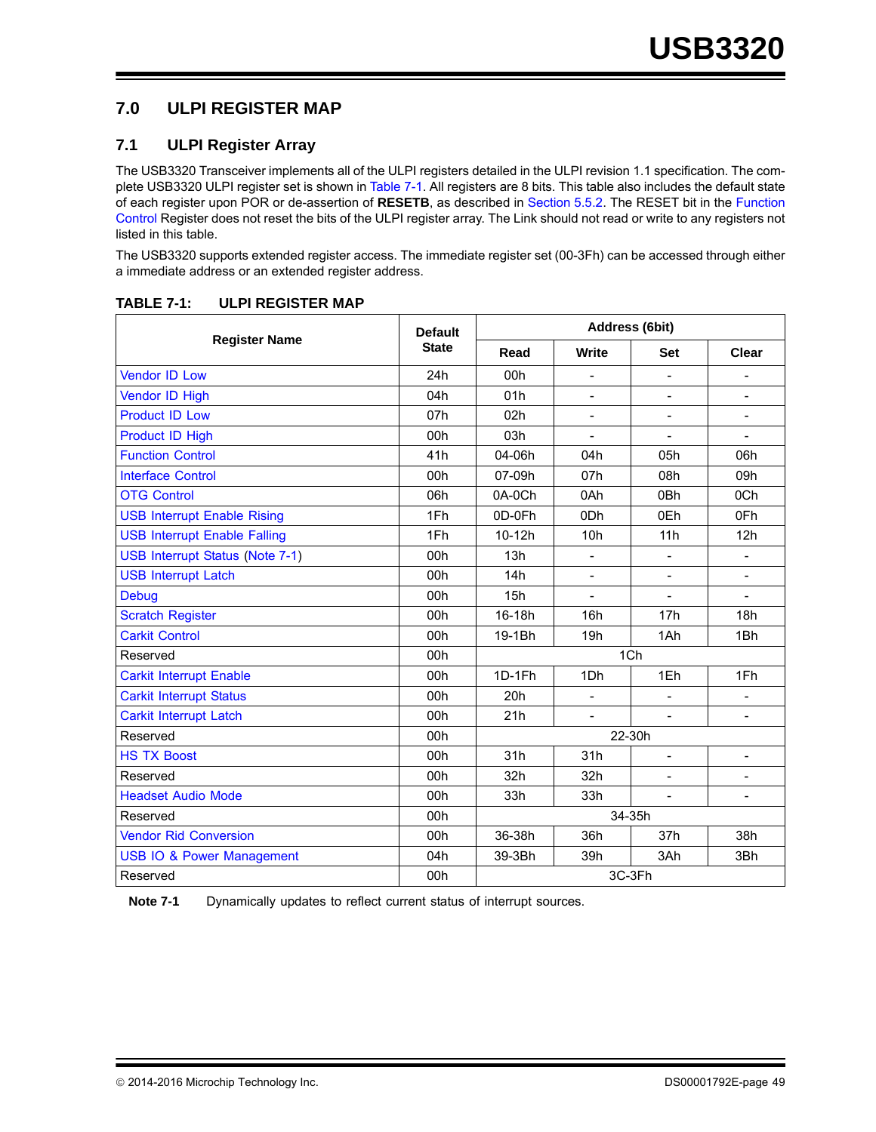## <span id="page-48-0"></span>**7.0 ULPI REGISTER MAP**

#### **7.1 ULPI Register Array**

The USB3320 Transceiver implements all of the ULPI registers detailed in the ULPI revision 1.1 specification. The complete USB3320 ULPI register set is shown in [Table 7-1.](#page-48-3) All registers are 8 bits. This table also includes the default state of each register upon POR or de-assertion of **RESETB**, as described in [Section 5.5.2.](#page-23-0) The RESET bit in the [Function](#page-49-5) [Control](#page-49-5) Register does not reset the bits of the ULPI register array. The Link should not read or write to any registers not listed in this table.

The USB3320 supports extended register access. The immediate register set (00-3Fh) can be accessed through either a immediate address or an extended register address.

|                                        | <b>Default</b> | Address (6bit) |                          |                              |                          |
|----------------------------------------|----------------|----------------|--------------------------|------------------------------|--------------------------|
| <b>Register Name</b>                   | <b>State</b>   | Read           | Write                    | <b>Set</b>                   | Clear                    |
| Vendor ID Low                          | 24h            | 00h            |                          |                              |                          |
| Vendor ID High                         | 04h            | 01h            | $\overline{\phantom{0}}$ | $\overline{\phantom{a}}$     | $\overline{\phantom{a}}$ |
| <b>Product ID Low</b>                  | 07h            | 02h            | $\overline{a}$           |                              | Ξ.                       |
| Product ID High                        | 00h            | 03h            | $\equiv$                 | $\overline{a}$               |                          |
| <b>Function Control</b>                | 41h            | 04-06h         | 04h                      | 05h                          | 06h                      |
| <b>Interface Control</b>               | 00h            | 07-09h         | 07h                      | 08h                          | 09h                      |
| <b>OTG Control</b>                     | 06h            | 0A-0Ch         | 0Ah                      | 0 <sub>Bh</sub>              | 0Ch                      |
| <b>USB Interrupt Enable Rising</b>     | 1Fh            | 0D-0Fh         | 0 <sub>Dh</sub>          | 0Eh                          | 0Fh                      |
| <b>USB Interrupt Enable Falling</b>    | 1Fh            | 10-12h         | 10 <sub>h</sub>          | 11h                          | 12h                      |
| <b>USB Interrupt Status (Note 7-1)</b> | 00h            | 13h            | $\blacksquare$           | $\blacksquare$               | $\overline{\phantom{a}}$ |
| <b>USB Interrupt Latch</b>             | 00h            | 14h            | $\overline{\phantom{a}}$ | $\qquad \qquad \blacksquare$ | $\overline{\phantom{a}}$ |
| Debug                                  | 00h            | 15h            | $\overline{a}$           |                              |                          |
| <b>Scratch Register</b>                | 00h            | 16-18h         | 16h                      | 17h                          | 18h                      |
| <b>Carkit Control</b>                  | 00h            | 19-1Bh         | 19h                      | 1Ah                          | 1Bh                      |
| Reserved                               | 00h            | 1Ch            |                          |                              |                          |
| <b>Carkit Interrupt Enable</b>         | 00h            | 1D-1Fh         | 1Dh                      | 1Eh                          | 1Fh                      |
| <b>Carkit Interrupt Status</b>         | 00h            | 20h            |                          |                              |                          |
| <b>Carkit Interrupt Latch</b>          | 00h            | 21h            | $\overline{\phantom{0}}$ | $\overline{\phantom{a}}$     | $\overline{\phantom{a}}$ |
| Reserved                               | 00h            |                | 22-30h                   |                              |                          |
| <b>HS TX Boost</b>                     | 00h            | 31h            | 31h                      |                              | $\blacksquare$           |
| Reserved                               | 00h            | 32h            | 32 <sub>h</sub>          | $\overline{\phantom{a}}$     | $\overline{\phantom{a}}$ |
| <b>Headset Audio Mode</b>              | 00h            | 33h            | 33h                      |                              | $\overline{a}$           |
| Reserved                               | 00h            |                | 34-35h                   |                              |                          |
| <b>Vendor Rid Conversion</b>           | 00h            | 36-38h         | 36h                      | 37h                          | 38h                      |
| <b>USB IO &amp; Power Management</b>   | 04h            | 39-3Bh         | 39h                      | 3Ah                          | 3Bh                      |
| Reserved                               | 00h            |                | 3C-3Fh                   |                              |                          |

#### <span id="page-48-3"></span><span id="page-48-1"></span>**TABLE 7-1: ULPI REGISTER MAP**

<span id="page-48-2"></span>**Note 7-1** Dynamically updates to reflect current status of interrupt sources.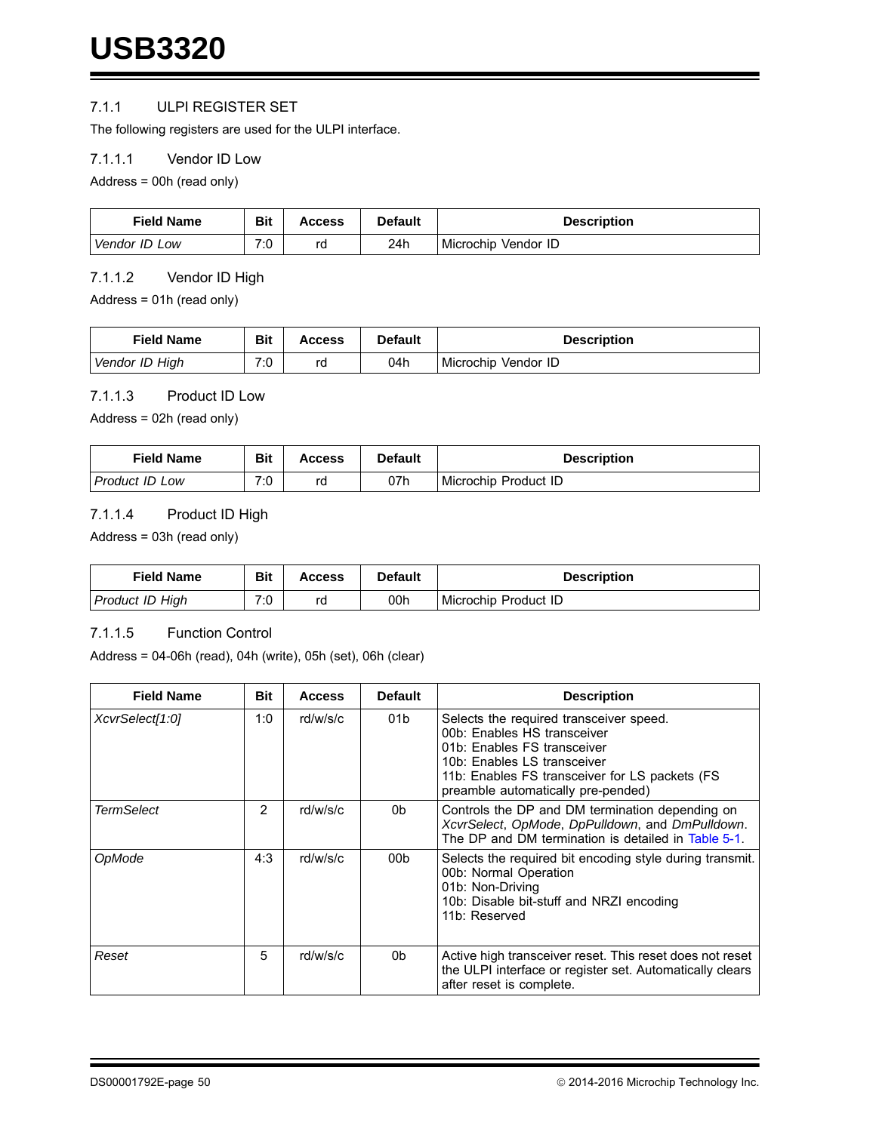#### 7.1.1 ULPI REGISTER SET

The following registers are used for the ULPI interface.

#### <span id="page-49-1"></span>7.1.1.1 Vendor ID Low

Address = 00h (read only)

| <b>Field Name</b>    | <b>Bit</b> | Access | <b>Default</b> | <b>Description</b>  |
|----------------------|------------|--------|----------------|---------------------|
| <b>Vendor ID Low</b> | 7.0<br>.v  | rd     | 24h            | Microchip Vendor ID |

## <span id="page-49-2"></span>7.1.1.2 Vendor ID High

Address = 01h (read only)

| <b>Field Name</b> | <b>Bit</b> | Access | Default | <b>Description</b>  |
|-------------------|------------|--------|---------|---------------------|
| Vendor ID High    | 7.0<br>.v  | rd     | 04h     | Microchip Vendor ID |

#### <span id="page-49-3"></span>7.1.1.3 Product ID Low

Address = 02h (read only)

| <b>Field Name</b> | <b>Bit</b> | Access | <b>Default</b> | <b>Description</b>   |
|-------------------|------------|--------|----------------|----------------------|
| Product ID Low    | 7:0        | rd     | 07h            | Microchip Product ID |

#### <span id="page-49-4"></span>7.1.1.4 Product ID High

Address = 03h (read only)

| <b>Field Name</b> | <b>Bit</b> | Access | Default | <b>Description</b>   |
|-------------------|------------|--------|---------|----------------------|
| Product ID High   | 7:0        | rd     | 00h     | Microchip Product ID |

#### <span id="page-49-5"></span><span id="page-49-0"></span>7.1.1.5 Function Control

Address = 04-06h (read), 04h (write), 05h (set), 06h (clear)

| <b>Field Name</b> | <b>Bit</b> | <b>Access</b> | <b>Default</b>  | <b>Description</b>                                                                                                                                                                                                           |
|-------------------|------------|---------------|-----------------|------------------------------------------------------------------------------------------------------------------------------------------------------------------------------------------------------------------------------|
| XcvrSelect[1:0]   | 1:0        | rd/w/s/c      | 01b             | Selects the required transceiver speed.<br>00b: Enables HS transceiver<br>01b: Enables FS transceiver<br>10b: Enables LS transceiver<br>11b: Enables FS transceiver for LS packets (FS<br>preamble automatically pre-pended) |
| <b>TermSelect</b> | 2          | rd/w/s/c      | 0b              | Controls the DP and DM termination depending on<br>XcvrSelect, OpMode, DpPulldown, and DmPulldown.<br>The DP and DM termination is detailed in Table 5-1.                                                                    |
| OpMode            | 4:3        | rd/w/s/c      | 00 <sub>b</sub> | Selects the required bit encoding style during transmit.<br>00b: Normal Operation<br>01b: Non-Driving<br>10b: Disable bit-stuff and NRZI encoding<br>11b: Reserved                                                           |
| Reset             | 5          | rd/w/s/c      | 0b              | Active high transceiver reset. This reset does not reset<br>the ULPI interface or register set. Automatically clears<br>after reset is complete.                                                                             |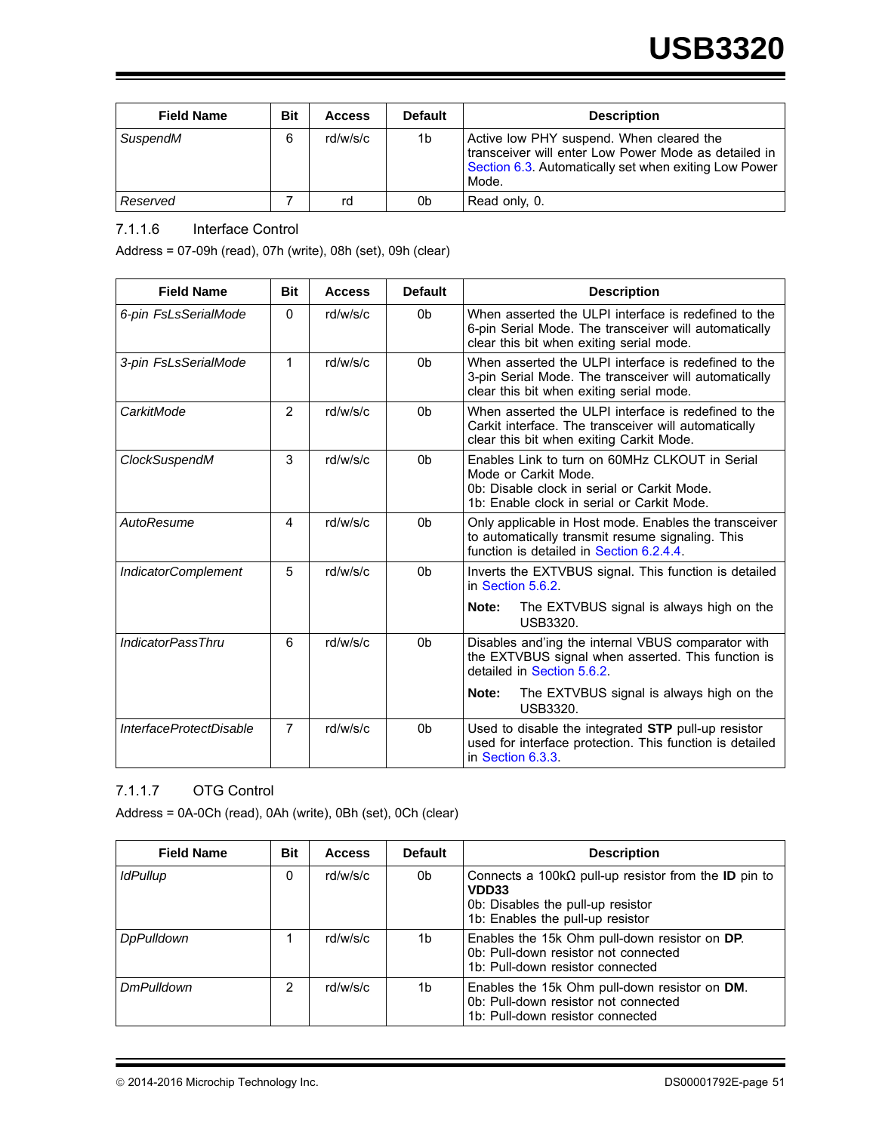| <b>Field Name</b> | <b>Bit</b> | <b>Access</b> | <b>Default</b> | <b>Description</b>                                                                                                                                                 |
|-------------------|------------|---------------|----------------|--------------------------------------------------------------------------------------------------------------------------------------------------------------------|
| SuspendM          | 6          | rd/w/s/c      | 1 <sub>b</sub> | Active low PHY suspend. When cleared the<br>transceiver will enter Low Power Mode as detailed in<br>Section 6.3. Automatically set when exiting Low Power<br>Mode. |
| Reserved          |            | rd            | 0 <sub>b</sub> | Read only, 0.                                                                                                                                                      |

<span id="page-50-2"></span><span id="page-50-1"></span>7.1.1.6 Interface Control

Address = 07-09h (read), 07h (write), 08h (set), 09h (clear)

| <b>Field Name</b>          | <b>Bit</b>     | <b>Access</b> | <b>Default</b> | <b>Description</b>                                                                                                                                                  |
|----------------------------|----------------|---------------|----------------|---------------------------------------------------------------------------------------------------------------------------------------------------------------------|
| 6-pin FsLsSerialMode       | $\Omega$       | rd/w/s/c      | 0 <sub>b</sub> | When asserted the ULPI interface is redefined to the<br>6-pin Serial Mode. The transceiver will automatically<br>clear this bit when exiting serial mode.           |
| 3-pin FsLsSerialMode       | 1              | rd/w/s/c      | 0 <sub>b</sub> | When asserted the ULPI interface is redefined to the<br>3-pin Serial Mode. The transceiver will automatically<br>clear this bit when exiting serial mode.           |
| CarkitMode                 | $\overline{2}$ | rd/w/s/c      | 0 <sub>b</sub> | When asserted the ULPI interface is redefined to the<br>Carkit interface. The transceiver will automatically<br>clear this bit when exiting Carkit Mode.            |
| ClockSuspendM              | 3              | rd/w/s/c      | 0 <sub>b</sub> | Enables Link to turn on 60MHz CLKOUT in Serial<br>Mode or Carkit Mode.<br>Ob: Disable clock in serial or Carkit Mode.<br>1b: Enable clock in serial or Carkit Mode. |
| AutoResume                 | 4              | rd/w/s/c      | 0 <sub>b</sub> | Only applicable in Host mode. Enables the transceiver<br>to automatically transmit resume signaling. This<br>function is detailed in Section 6.2.4.4.               |
| <b>IndicatorComplement</b> | 5              | rd/w/s/c      | 0 <sub>b</sub> | Inverts the EXTVBUS signal. This function is detailed<br>in Section 5.6.2.                                                                                          |
|                            |                |               |                | The EXTVBUS signal is always high on the<br>Note:<br><b>USB3320.</b>                                                                                                |
| <b>IndicatorPassThru</b>   | 6              | rd/w/s/c      | 0b             | Disables and ing the internal VBUS comparator with<br>the EXTVBUS signal when asserted. This function is<br>detailed in Section 5.6.2.                              |
|                            |                |               |                | The EXTVBUS signal is always high on the<br>Note:<br>USB3320                                                                                                        |
| InterfaceProtectDisable    | $\overline{7}$ | rd/w/s/c      | 0 <sub>b</sub> | Used to disable the integrated <b>STP</b> pull-up resistor<br>used for interface protection. This function is detailed<br>in Section 6.3.3.                         |

#### <span id="page-50-3"></span><span id="page-50-0"></span>7.1.1.7 OTG Control

Address = 0A-0Ch (read), 0Ah (write), 0Bh (set), 0Ch (clear)

| <b>Field Name</b> | Bit            | <b>Access</b> | <b>Default</b> | <b>Description</b>                                                                                                                                    |
|-------------------|----------------|---------------|----------------|-------------------------------------------------------------------------------------------------------------------------------------------------------|
| <b>IdPullup</b>   | 0              | rd/w/s/c      | 0b             | Connects a 100k $\Omega$ pull-up resistor from the <b>ID</b> pin to<br>VDD33<br>Ob: Disables the pull-up resistor<br>1b: Enables the pull-up resistor |
| DpPulldown        |                | rd/w/s/c      | 1b             | Enables the 15k Ohm pull-down resistor on DP.<br>0b: Pull-down resistor not connected<br>1b: Pull-down resistor connected                             |
| <b>DmPulldown</b> | $\overline{2}$ | rd/w/s/c      | 1 <sub>b</sub> | Enables the 15k Ohm pull-down resistor on DM.<br>0b: Pull-down resistor not connected<br>1b: Pull-down resistor connected                             |

© 2014-2016 Microchip Technology Inc. COMEXANDED SOUND THE DS00001792E-page 51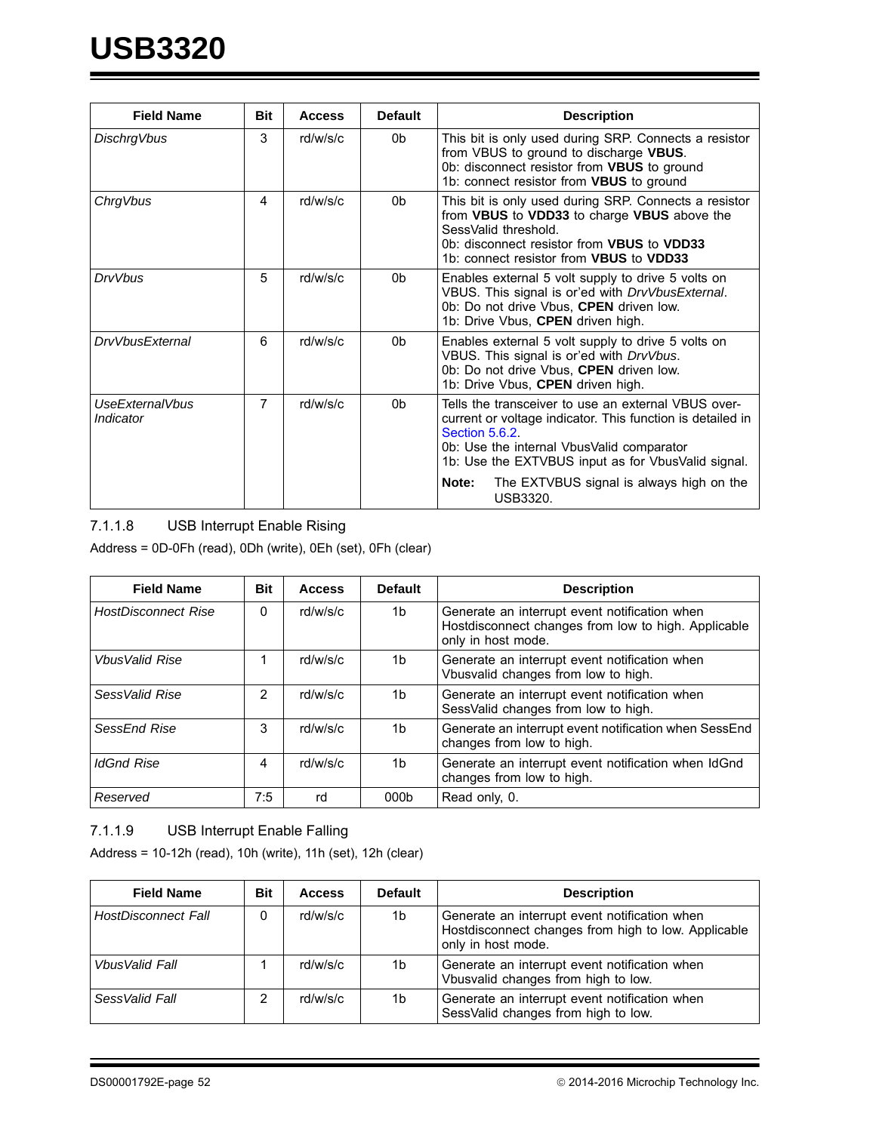| <b>Field Name</b>                   | <b>Bit</b>     | <b>Access</b> | <b>Default</b> | <b>Description</b>                                                                                                                                                                                                                     |
|-------------------------------------|----------------|---------------|----------------|----------------------------------------------------------------------------------------------------------------------------------------------------------------------------------------------------------------------------------------|
| DischrgVbus                         | 3              | rd/w/s/c      | 0b             | This bit is only used during SRP. Connects a resistor<br>from VBUS to ground to discharge VBUS.<br>0b: disconnect resistor from VBUS to ground<br>1b: connect resistor from VBUS to ground                                             |
| <b>ChrgVbus</b>                     | 4              | rd/w/s/c      | 0 <sub>b</sub> | This bit is only used during SRP. Connects a resistor<br>from VBUS to VDD33 to charge VBUS above the<br>SessValid threshold.<br>Ob: disconnect resistor from VBUS to VDD33<br>1b: connect resistor from VBUS to VDD33                  |
| <b>DrvVbus</b>                      | 5              | rd/w/s/c      | 0b             | Enables external 5 volt supply to drive 5 volts on<br>VBUS. This signal is or'ed with DrvVbusExternal.<br>0b: Do not drive Vbus, CPEN driven low.<br>1b: Drive Vbus, CPEN driven high.                                                 |
| <b>DrvVbusFxternal</b>              | 6              | rd/w/s/c      | 0b             | Enables external 5 volt supply to drive 5 volts on<br>VBUS. This signal is or'ed with DrvVbus.<br>0b: Do not drive Vbus, CPEN driven low.<br>1b: Drive Vbus, CPEN driven high.                                                         |
| <b>UseExternalVbus</b><br>Indicator | $\overline{7}$ | rd/w/s/c      | 0b             | Tells the transceiver to use an external VBUS over-<br>current or voltage indicator. This function is detailed in<br>Section 5.6.2.<br>0b: Use the internal VbusValid comparator<br>1b: Use the EXTVBUS input as for VbusValid signal. |
|                                     |                |               |                | The EXTVBUS signal is always high on the<br>Note:<br><b>USB3320.</b>                                                                                                                                                                   |

## <span id="page-51-2"></span><span id="page-51-0"></span>7.1.1.8 USB Interrupt Enable Rising

Address = 0D-0Fh (read), 0Dh (write), 0Eh (set), 0Fh (clear)

| <b>Field Name</b>          | <b>Bit</b> | <b>Access</b> | <b>Default</b> | <b>Description</b>                                                                                                         |
|----------------------------|------------|---------------|----------------|----------------------------------------------------------------------------------------------------------------------------|
| <b>HostDisconnect Rise</b> | 0          | rd/w/s/c      | 1 <sub>b</sub> | Generate an interrupt event notification when<br>Hostdisconnect changes from low to high. Applicable<br>only in host mode. |
| <b>VbusValid Rise</b>      |            | rd/w/s/c      | 1 <sub>b</sub> | Generate an interrupt event notification when<br>Vbusvalid changes from low to high.                                       |
| SessValid Rise             | 2          | rd/w/s/c      | 1 <sub>b</sub> | Generate an interrupt event notification when<br>SessValid changes from low to high.                                       |
| SessEnd Rise               | 3          | rd/w/s/c      | 1 <sub>b</sub> | Generate an interrupt event notification when SessEnd<br>changes from low to high.                                         |
| <b>IdGnd Rise</b>          | 4          | rd/w/s/c      | 1 <sub>b</sub> | Generate an interrupt event notification when IdGnd<br>changes from low to high.                                           |
| Reserved                   | 7:5        | rd            | 000b           | Read only, 0.                                                                                                              |

## <span id="page-51-3"></span><span id="page-51-1"></span>7.1.1.9 USB Interrupt Enable Falling

Address = 10-12h (read), 10h (write), 11h (set), 12h (clear)

| <b>Field Name</b>          | Bit      | <b>Access</b> | <b>Default</b> | <b>Description</b>                                                                                                         |
|----------------------------|----------|---------------|----------------|----------------------------------------------------------------------------------------------------------------------------|
| <b>HostDisconnect Fall</b> | $\Omega$ | rd/w/s/c      | 1b             | Generate an interrupt event notification when<br>Hostdisconnect changes from high to low. Applicable<br>only in host mode. |
| <b>VbusValid Fall</b>      |          | rd/w/s/c      | 1b             | Generate an interrupt event notification when<br>Vbusvalid changes from high to low.                                       |
| SessValid Fall             | ◠        | rd/w/s/c      | 1b             | Generate an interrupt event notification when<br>SessValid changes from high to low.                                       |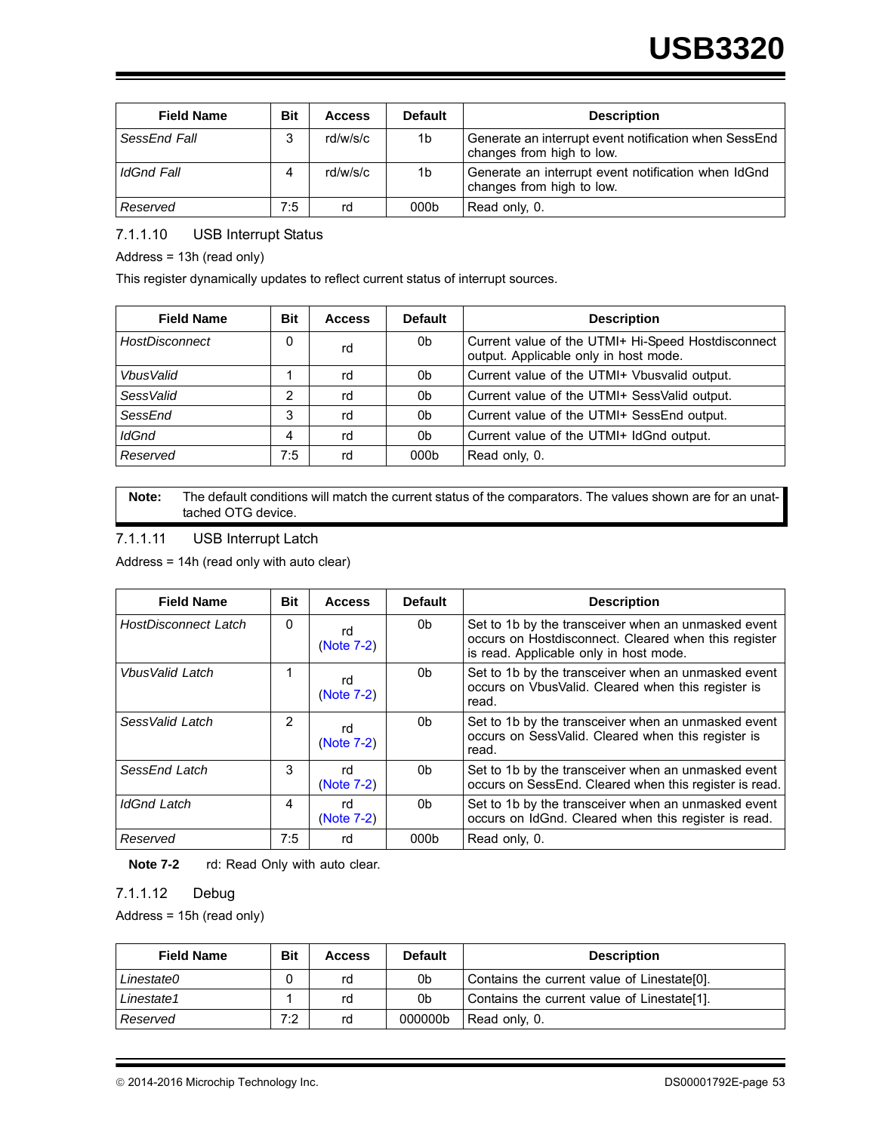| <b>Field Name</b> | <b>Bit</b> | <b>Access</b> | <b>Default</b> | <b>Description</b>                                                                 |
|-------------------|------------|---------------|----------------|------------------------------------------------------------------------------------|
| SessEnd Fall      | 3          | rd/w/s/c      | 1 <sub>b</sub> | Generate an interrupt event notification when SessEnd<br>changes from high to low. |
| IdGnd Fall        | 4          | rd/w/s/c      | 1 <sub>b</sub> | Generate an interrupt event notification when IdGnd<br>changes from high to low.   |
| Reserved          | 7:5        | rd            | 000b           | Read only, 0.                                                                      |

#### <span id="page-52-1"></span><span id="page-52-0"></span>7.1.1.10 USB Interrupt Status

Address = 13h (read only)

This register dynamically updates to reflect current status of interrupt sources.

| <b>Field Name</b> | <b>Bit</b> | <b>Access</b> | <b>Default</b> | <b>Description</b>                                                                          |
|-------------------|------------|---------------|----------------|---------------------------------------------------------------------------------------------|
| HostDisconnect    | 0          | rd            | 0b             | Current value of the UTMI+ Hi-Speed Hostdisconnect<br>output. Applicable only in host mode. |
| Vbus Valid        |            | rd            | 0b             | Current value of the UTMI+ Vbusvalid output.                                                |
| Sess Valid        | 2          | rd            | 0b             | Current value of the UTMI+ SessValid output.                                                |
| SessEnd           | 3          | rd            | 0b             | Current value of the UTMI+ SessEnd output.                                                  |
| <b>IdGnd</b>      | 4          | rd            | 0b             | Current value of the UTMI+ IdGnd output.                                                    |
| Reserved          | 7:5        | rd            | 000b           | Read only, 0.                                                                               |

**Note:** The default conditions will match the current status of the comparators. The values shown are for an unattached OTG device.

#### <span id="page-52-2"></span>7.1.1.11 USB Interrupt Latch

Address = 14h (read only with auto clear)

| <b>Field Name</b>           | <b>Bit</b> | <b>Access</b>    | <b>Default</b> | <b>Description</b>                                                                                                                                    |
|-----------------------------|------------|------------------|----------------|-------------------------------------------------------------------------------------------------------------------------------------------------------|
| <b>HostDisconnect Latch</b> | $\Omega$   | rd<br>(Note 7-2) | 0b             | Set to 1b by the transceiver when an unmasked event<br>occurs on Hostdisconnect. Cleared when this register<br>is read. Applicable only in host mode. |
| <b>VbusValid Latch</b>      |            | rd<br>(Note 7-2) | 0b             | Set to 1b by the transceiver when an unmasked event<br>occurs on VbusValid. Cleared when this register is<br>read.                                    |
| SessValid Latch             | 2          | rd<br>(Note 7-2) | 0b             | Set to 1b by the transceiver when an unmasked event<br>occurs on SessValid. Cleared when this register is<br>read.                                    |
| SessEnd Latch               | 3          | rd<br>(Note 7-2) | 0b             | Set to 1b by the transceiver when an unmasked event<br>occurs on SessEnd. Cleared when this register is read.                                         |
| <b>IdGnd Latch</b>          | 4          | rd<br>(Note 7-2) | 0b             | Set to 1b by the transceiver when an unmasked event<br>occurs on IdGnd. Cleared when this register is read.                                           |
| Reserved                    | 7:5        | rd               | 000b           | Read only, 0.                                                                                                                                         |

<span id="page-52-4"></span>**Note 7-2** rd: Read Only with auto clear.

#### <span id="page-52-3"></span>7.1.1.12 Debug

Address = 15h (read only)

| <b>Field Name</b> | <b>Bit</b> | <b>Access</b> | <b>Default</b> | <b>Description</b>                                       |
|-------------------|------------|---------------|----------------|----------------------------------------------------------|
| Linestate0        |            | rd            | 0 <sub>b</sub> | Contains the current value of Linestate[0].              |
| Linestate1        |            | rd            | 0 <sub>b</sub> | Contains the current value of Linestate <sup>[1]</sup> . |
| Reserved          | 7:2        | rd            | 000000b        | Read only, 0.                                            |

2014-2016 Microchip Technology Inc. DS00001792E-page 53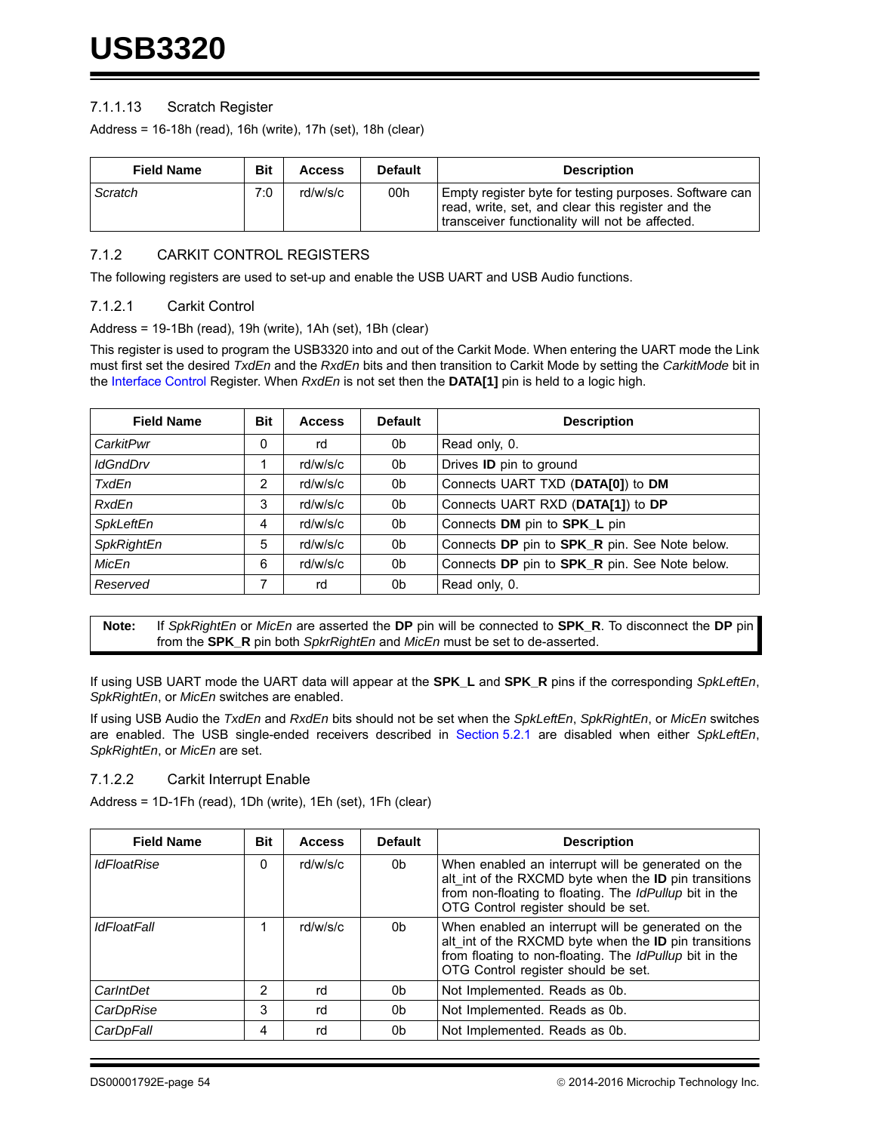#### <span id="page-53-2"></span>7.1.1.13 Scratch Register

Address = 16-18h (read), 16h (write), 17h (set), 18h (clear)

| <b>Field Name</b> | Bit | <b>Access</b> | <b>Default</b> | <b>Description</b>                                                                                                                                             |
|-------------------|-----|---------------|----------------|----------------------------------------------------------------------------------------------------------------------------------------------------------------|
| Scratch           | 7:0 | rd/w/s/c      | 00h            | Empty register byte for testing purposes. Software can<br>read, write, set, and clear this register and the<br>transceiver functionality will not be affected. |

#### 7.1.2 CARKIT CONTROL REGISTERS

The following registers are used to set-up and enable the USB UART and USB Audio functions.

#### <span id="page-53-3"></span><span id="page-53-0"></span>7.1.2.1 Carkit Control

Address = 19-1Bh (read), 19h (write), 1Ah (set), 1Bh (clear)

This register is used to program the USB3320 into and out of the Carkit Mode. When entering the UART mode the Link must first set the desired *TxdEn* and the *RxdEn* bits and then transition to Carkit Mode by setting the *CarkitMode* bit in the [Interface Control](#page-50-2) Register. When *RxdEn* is not set then the **DATA[1]** pin is held to a logic high.

| <b>Field Name</b> | Bit | <b>Access</b> | <b>Default</b> | <b>Description</b>                            |
|-------------------|-----|---------------|----------------|-----------------------------------------------|
| CarkitPwr         | 0   | rd            | 0b             | Read only, 0.                                 |
| <b>IdGndDrv</b>   |     | rd/w/s/c      | 0b             | Drives ID pin to ground                       |
| <b>TxdEn</b>      | 2   | rd/w/s/c      | 0b             | Connects UART TXD (DATA[0]) to DM             |
| <b>RxdEn</b>      | 3   | rd/w/s/c      | 0b             | Connects UART RXD (DATA[1]) to DP             |
| <b>SpkLeftEn</b>  | 4   | rd/w/s/c      | 0b             | Connects DM pin to SPK_L pin                  |
| <b>SpkRightEn</b> | 5   | rd/w/s/c      | 0b             | Connects DP pin to SPK_R pin. See Note below. |
| MicEn             | 6   | rd/w/s/c      | 0b             | Connects DP pin to SPK_R pin. See Note below. |
| Reserved          | 7   | rd            | 0b             | Read only, 0.                                 |

**Note:** If *SpkRightEn* or *MicEn* are asserted the **DP** pin will be connected to **SPK\_R**. To disconnect the **DP** pin from the **SPK\_R** pin both *SpkrRightEn* and *MicEn* must be set to de-asserted.

If using USB UART mode the UART data will appear at the **SPK\_L** and **SPK\_R** pins if the corresponding *SpkLeftEn*, *SpkRightEn*, or *MicEn* switches are enabled.

If using USB Audio the *TxdEn* and *RxdEn* bits should not be set when the *SpkLeftEn*, *SpkRightEn*, or *MicEn* switches are enabled. The USB single-ended receivers described in [Section 5.2.1](#page-16-4) are disabled when either *SpkLeftEn*, *SpkRightEn*, or *MicEn* are set.

#### <span id="page-53-4"></span><span id="page-53-1"></span>7.1.2.2 Carkit Interrupt Enable

Address = 1D-1Fh (read), 1Dh (write), 1Eh (set), 1Fh (clear)

| <b>Field Name</b>         | <b>Bit</b> | <b>Access</b> | <b>Default</b> | <b>Description</b>                                                                                                                                                                                           |
|---------------------------|------------|---------------|----------------|--------------------------------------------------------------------------------------------------------------------------------------------------------------------------------------------------------------|
| <i><b>IdFloatRise</b></i> | 0          | rd/w/s/c      | 0b             | When enabled an interrupt will be generated on the<br>alt int of the RXCMD byte when the ID pin transitions<br>from non-floating to floating. The IdPullup bit in the<br>OTG Control register should be set. |
| <b>IdFloatFall</b>        |            | rd/w/s/c      | 0b             | When enabled an interrupt will be generated on the<br>alt int of the RXCMD byte when the ID pin transitions<br>from floating to non-floating. The IdPullup bit in the<br>OTG Control register should be set. |
| CarlntDet                 | 2          | rd            | 0b             | Not Implemented. Reads as 0b.                                                                                                                                                                                |
| CarDpRise                 | 3          | rd            | 0b             | Not Implemented. Reads as 0b.                                                                                                                                                                                |
| CarDpFall                 | 4          | rd            | 0b             | Not Implemented. Reads as 0b.                                                                                                                                                                                |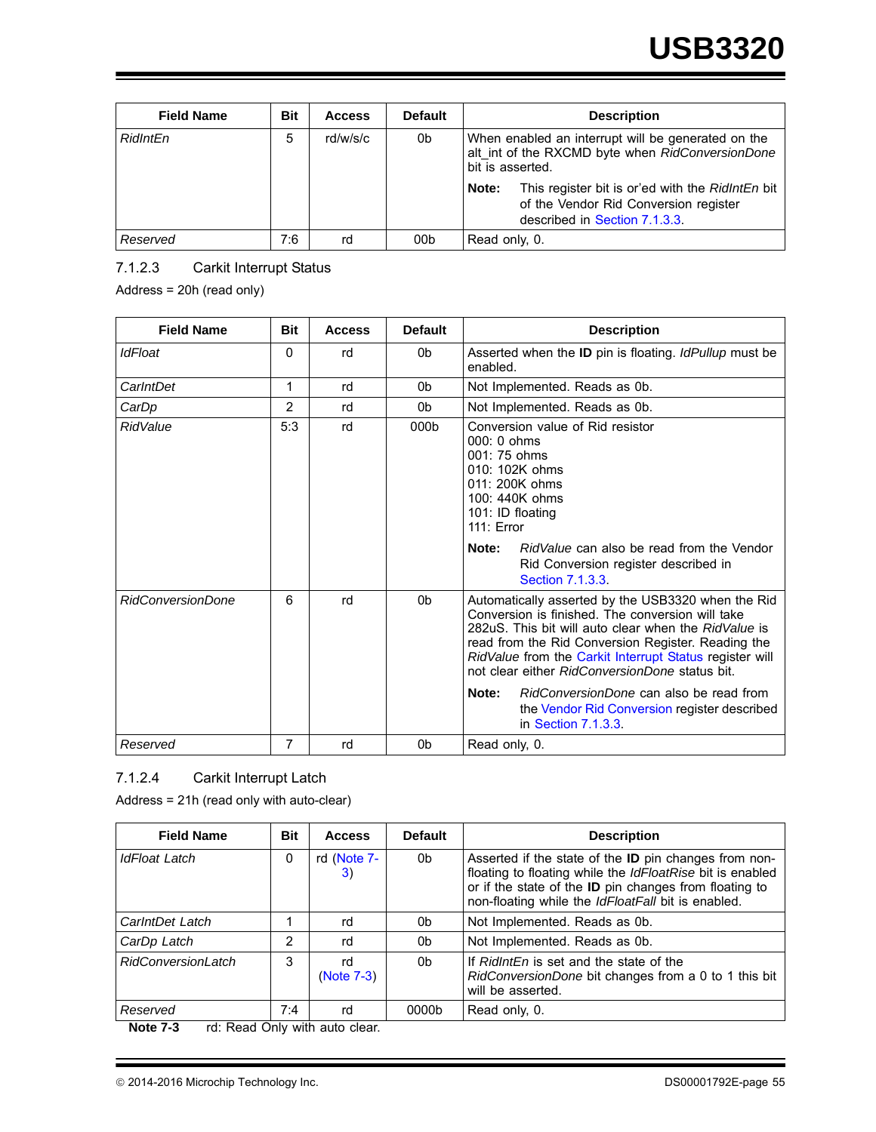| <b>Field Name</b> | Bit | <b>Access</b> | <b>Default</b> | <b>Description</b>                                                                                                                                                                                                                      |
|-------------------|-----|---------------|----------------|-----------------------------------------------------------------------------------------------------------------------------------------------------------------------------------------------------------------------------------------|
| <b>RidIntEn</b>   | 5   | rd/w/s/c      | 0 <sub>b</sub> | When enabled an interrupt will be generated on the<br>alt int of the RXCMD byte when RidConversionDone<br>bit is asserted.<br>This register bit is or'ed with the RidIntEn bit<br><b>Note:</b><br>of the Vendor Rid Conversion register |
|                   |     |               |                | described in Section 7.1.3.3.                                                                                                                                                                                                           |
| Reserved          | 7:6 | rd            | 00b            | Read only, 0.                                                                                                                                                                                                                           |

## <span id="page-54-2"></span><span id="page-54-0"></span>7.1.2.3 Carkit Interrupt Status

Address = 20h (read only)

| <b>Field Name</b>        | <b>Bit</b>     | <b>Access</b> | <b>Default</b>   | <b>Description</b>                                                                                                                                                                                                                                                                                                                                                                                                                                                               |
|--------------------------|----------------|---------------|------------------|----------------------------------------------------------------------------------------------------------------------------------------------------------------------------------------------------------------------------------------------------------------------------------------------------------------------------------------------------------------------------------------------------------------------------------------------------------------------------------|
| <i><b>IdFloat</b></i>    | $\Omega$       | rd            | 0 <sub>b</sub>   | Asserted when the <b>ID</b> pin is floating. <i>IdPullup</i> must be<br>enabled.                                                                                                                                                                                                                                                                                                                                                                                                 |
| CarIntDet                | 1              | rd            | 0b               | Not Implemented. Reads as 0b.                                                                                                                                                                                                                                                                                                                                                                                                                                                    |
| CarDp                    | $\overline{2}$ | rd            | 0b               | Not Implemented. Reads as 0b.                                                                                                                                                                                                                                                                                                                                                                                                                                                    |
| RidValue                 | 5:3            | rd            | 000 <sub>b</sub> | Conversion value of Rid resistor<br>$000:0$ ohms<br>001: 75 ohms<br>010: 102K ohms<br>$011:200K$ ohms<br>100: 440K ohms<br>101: ID floating<br>111: Frror<br>Note:<br>RidValue can also be read from the Vendor<br>Rid Conversion register described in                                                                                                                                                                                                                          |
| <b>RidConversionDone</b> | 6              | rd            | 0b               | Section 7.1.3.3.<br>Automatically asserted by the USB3320 when the Rid<br>Conversion is finished. The conversion will take<br>282uS. This bit will auto clear when the RidValue is<br>read from the Rid Conversion Register. Reading the<br>RidValue from the Carkit Interrupt Status register will<br>not clear either RidConversionDone status bit.<br>Note:<br>RidConversionDone can also be read from<br>the Vendor Rid Conversion register described<br>in Section 7.1.3.3. |
| Reserved                 | 7              | rd            | 0b               | Read only, 0.                                                                                                                                                                                                                                                                                                                                                                                                                                                                    |

#### <span id="page-54-3"></span><span id="page-54-1"></span>7.1.2.4 Carkit Interrupt Latch

Address = 21h (read only with auto-clear)

| <b>Field Name</b>           | Bit | <b>Access</b>                       | <b>Default</b> | <b>Description</b>                                                                                                                                                                                                                        |
|-----------------------------|-----|-------------------------------------|----------------|-------------------------------------------------------------------------------------------------------------------------------------------------------------------------------------------------------------------------------------------|
| <i><b>IdFloat Latch</b></i> | 0   | rd (Note 7-<br>3)                   | 0b             | Asserted if the state of the <b>ID</b> pin changes from non-<br>floating to floating while the IdFloatRise bit is enabled<br>or if the state of the ID pin changes from floating to<br>non-floating while the IdFloatFall bit is enabled. |
| CarlntDet Latch             |     | rd                                  | 0b             | Not Implemented. Reads as 0b.                                                                                                                                                                                                             |
| CarDp Latch                 | 2   | rd                                  | 0b             | Not Implemented. Reads as 0b.                                                                                                                                                                                                             |
| RidConversionLatch          | 3   | rd<br>(Note 7-3)                    | 0b             | If RidlntEn is set and the state of the<br>RidConversionDone bit changes from a 0 to 1 this bit<br>will be asserted.                                                                                                                      |
| Reserved<br>$N = 1272$      | 7:4 | rd<br>rd: Dood Only with outo oloor | 0000b          | Read only, 0.                                                                                                                                                                                                                             |

<span id="page-54-4"></span>**Note 7-3** rd: Read Only with auto clear.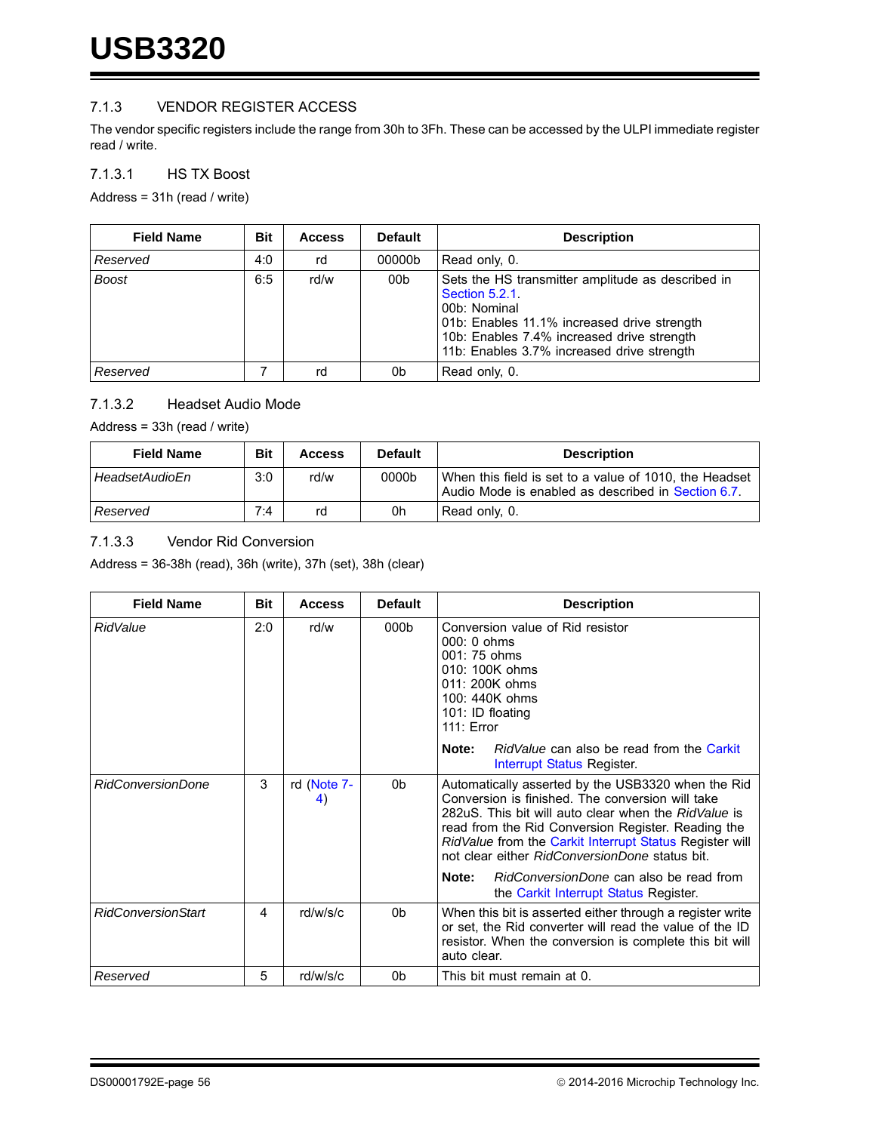#### 7.1.3 VENDOR REGISTER ACCESS

The vendor specific registers include the range from 30h to 3Fh. These can be accessed by the ULPI immediate register read / write.

#### <span id="page-55-4"></span><span id="page-55-0"></span>7.1.3.1 HS TX Boost

Address = 31h (read / write)

| <b>Field Name</b> | Bit | <b>Access</b> | <b>Default</b>  | <b>Description</b>                                                                                                                                                                                                             |
|-------------------|-----|---------------|-----------------|--------------------------------------------------------------------------------------------------------------------------------------------------------------------------------------------------------------------------------|
| Reserved          | 4:0 | rd            | 00000b          | Read only, 0.                                                                                                                                                                                                                  |
| <b>Boost</b>      | 6:5 | rd/w          | 00 <sub>b</sub> | Sets the HS transmitter amplitude as described in<br>Section 5.2.1.<br>00b: Nominal<br>01b: Enables 11.1% increased drive strength<br>10b: Enables 7.4% increased drive strength<br>11b: Enables 3.7% increased drive strength |
| Reserved          |     | rd            | 0b              | Read only, 0.                                                                                                                                                                                                                  |

#### <span id="page-55-5"></span><span id="page-55-2"></span>7.1.3.2 Headset Audio Mode

Address = 33h (read / write)

| <b>Field Name</b> | Bit | <b>Access</b> | <b>Default</b> | <b>Description</b>                                                                                           |
|-------------------|-----|---------------|----------------|--------------------------------------------------------------------------------------------------------------|
| HeadsetAudioEn    | 3:0 | rd/w          | 0000b          | When this field is set to a value of 1010, the Headset<br>Audio Mode is enabled as described in Section 6.7. |
| Reserved          | 7:4 | rd            | 0h             | Read only, 0.                                                                                                |

#### <span id="page-55-3"></span><span id="page-55-1"></span>7.1.3.3 Vendor Rid Conversion

Address = 36-38h (read), 36h (write), 37h (set), 38h (clear)

| <b>Field Name</b>         | Bit | <b>Access</b>     | <b>Default</b> | <b>Description</b>                                                                                                                                                                                                                                                                                                                |  |
|---------------------------|-----|-------------------|----------------|-----------------------------------------------------------------------------------------------------------------------------------------------------------------------------------------------------------------------------------------------------------------------------------------------------------------------------------|--|
| RidValue                  | 2:0 | rd/w              | 000b           | Conversion value of Rid resistor<br>$000:0$ ohms<br>001: 75 ohms<br>$010:100K$ ohms<br>011: 200K ohms<br>100: 440K ohms<br>101: ID floating<br>$111:$ Frror                                                                                                                                                                       |  |
|                           |     |                   |                | <i>RidValue</i> can also be read from the Carkit<br>Note:<br>Interrupt Status Register.                                                                                                                                                                                                                                           |  |
| <b>RidConversionDone</b>  | 3   | rd (Note 7-<br>4) | 0b             | Automatically asserted by the USB3320 when the Rid<br>Conversion is finished. The conversion will take<br>282uS. This bit will auto clear when the RidValue is<br>read from the Rid Conversion Register. Reading the<br>RidValue from the Carkit Interrupt Status Register will<br>not clear either RidConversionDone status bit. |  |
|                           |     |                   |                | RidConversionDone can also be read from<br>Note:<br>the Carkit Interrupt Status Register.                                                                                                                                                                                                                                         |  |
| <b>RidConversionStart</b> | 4   | rd/w/s/c          | 0b             | When this bit is asserted either through a register write<br>or set, the Rid converter will read the value of the ID<br>resistor. When the conversion is complete this bit will<br>auto clear.                                                                                                                                    |  |
| Reserved                  | 5   | rd/w/s/c          | 0b             | This bit must remain at 0.                                                                                                                                                                                                                                                                                                        |  |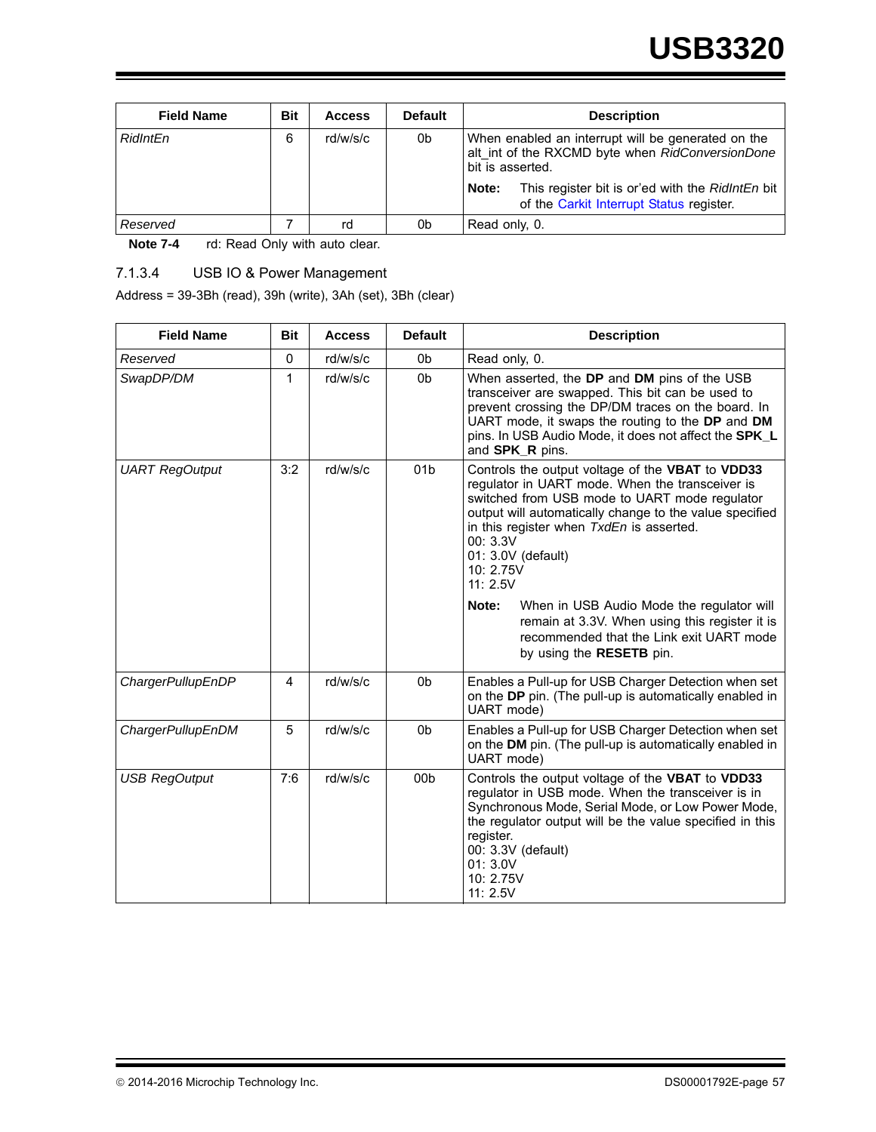| <b>Field Name</b> | Bit | <b>Access</b> | <b>Default</b> | <b>Description</b>                                                                                                         |  |
|-------------------|-----|---------------|----------------|----------------------------------------------------------------------------------------------------------------------------|--|
| <b>RidIntEn</b>   | 6   | rd/w/s/c      | 0 <sub>b</sub> | When enabled an interrupt will be generated on the<br>alt int of the RXCMD byte when RidConversionDone<br>bit is asserted. |  |
|                   |     |               |                | This register bit is or'ed with the RidlntEn bit<br>Note:<br>of the Carkit Interrupt Status register.                      |  |
| Reserved          |     | rd            | 0b             | Read only, 0.                                                                                                              |  |

<span id="page-56-2"></span><span id="page-56-0"></span>**Note 7-4** rd: Read Only with auto clear.

## <span id="page-56-1"></span>7.1.3.4 USB IO & Power Management

Address = 39-3Bh (read), 39h (write), 3Ah (set), 3Bh (clear)

| <b>Field Name</b>     | <b>Bit</b> | <b>Access</b> | <b>Default</b>  | <b>Description</b>                                                                                                                                                                                                                                                                                                                                                                                                                                                       |
|-----------------------|------------|---------------|-----------------|--------------------------------------------------------------------------------------------------------------------------------------------------------------------------------------------------------------------------------------------------------------------------------------------------------------------------------------------------------------------------------------------------------------------------------------------------------------------------|
| Reserved              | 0          | rd/w/s/c      | 0 <sub>b</sub>  | Read only, 0.                                                                                                                                                                                                                                                                                                                                                                                                                                                            |
| SwapDP/DM             | 1          | rd/w/s/c      | 0b              | When asserted, the DP and DM pins of the USB<br>transceiver are swapped. This bit can be used to<br>prevent crossing the DP/DM traces on the board. In<br>UART mode, it swaps the routing to the DP and DM<br>pins. In USB Audio Mode, it does not affect the SPK_L<br>and SPK_R pins.                                                                                                                                                                                   |
| <b>UART RegOutput</b> | 3:2        | rd/w/s/c      | 01 <sub>b</sub> | Controls the output voltage of the VBAT to VDD33<br>regulator in UART mode. When the transceiver is<br>switched from USB mode to UART mode regulator<br>output will automatically change to the value specified<br>in this register when TxdEn is asserted.<br>00:3.3V<br>01: 3.0V (default)<br>10: 2.75V<br>11:2.5V<br>Note:<br>When in USB Audio Mode the regulator will<br>remain at 3.3V. When using this register it is<br>recommended that the Link exit UART mode |
|                       |            |               |                 | by using the RESETB pin.                                                                                                                                                                                                                                                                                                                                                                                                                                                 |
| ChargerPullupEnDP     | 4          | rd/w/s/c      | 0 <sub>b</sub>  | Enables a Pull-up for USB Charger Detection when set<br>on the DP pin. (The pull-up is automatically enabled in<br>UART mode)                                                                                                                                                                                                                                                                                                                                            |
| ChargerPullupEnDM     | 5          | rd/w/s/c      | 0 <sub>b</sub>  | Enables a Pull-up for USB Charger Detection when set<br>on the DM pin. (The pull-up is automatically enabled in<br>UART mode)                                                                                                                                                                                                                                                                                                                                            |
| <b>USB RegOutput</b>  | 7:6        | rd/w/s/c      | 00 <sub>b</sub> | Controls the output voltage of the VBAT to VDD33<br>regulator in USB mode. When the transceiver is in<br>Synchronous Mode, Serial Mode, or Low Power Mode,<br>the regulator output will be the value specified in this<br>register.<br>00: 3.3V (default)<br>01: 3.0V<br>10: 2.75V<br>11: 2.5V                                                                                                                                                                           |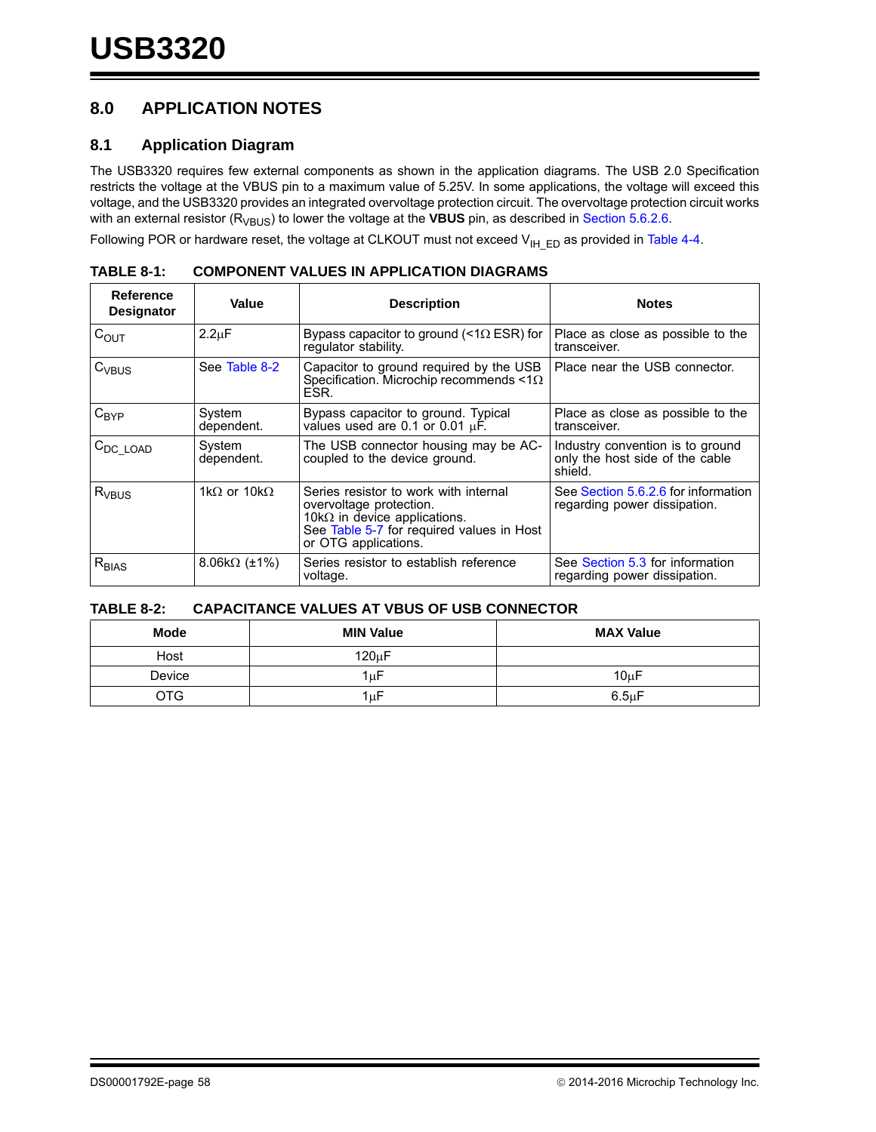## <span id="page-57-0"></span>**8.0 APPLICATION NOTES**

#### **8.1 Application Diagram**

The USB3320 requires few external components as shown in the application diagrams. The USB 2.0 Specification restricts the voltage at the VBUS pin to a maximum value of 5.25V. In some applications, the voltage will exceed this voltage, and the USB3320 provides an integrated overvoltage protection circuit. The overvoltage protection circuit works with an external resistor (R<sub>VBUS</sub>) to lower the voltage at the VBUS pin, as described in [Section 5.6.2.6](#page-29-3).

Following POR or hardware reset, the voltage at CLKOUT must not exceed  $V_{IH\_ED}$  as provided in [Table 4-4.](#page-11-0)

| Reference<br><b>Designator</b> | Value                | <b>Description</b>                                                                                                                                                            | <b>Notes</b>                                                                   |
|--------------------------------|----------------------|-------------------------------------------------------------------------------------------------------------------------------------------------------------------------------|--------------------------------------------------------------------------------|
| $C_{OUT}$                      | $2.2 \mu F$          | Bypass capacitor to ground ( $\leq 1\Omega$ ESR) for<br>requiator stability.                                                                                                  | Place as close as possible to the<br>transceiver.                              |
| $C_{VBUS}$                     | See Table 8-2        | Capacitor to ground required by the USB<br>Specification. Microchip recommends < $1\Omega$<br>ESR.                                                                            | Place near the USB connector.                                                  |
| $C_{BYP}$                      | System<br>dependent. | Bypass capacitor to ground. Typical<br>values used are 0.1 or 0.01 $\mu$ F.                                                                                                   | Place as close as possible to the<br>transceiver.                              |
| $C_{DC\_LOAD}$                 | System<br>dependent. | The USB connector housing may be AC-<br>coupled to the device ground.                                                                                                         | Industry convention is to ground<br>only the host side of the cable<br>shield. |
| $R_{VBUS}$                     | 1k $O$ or 10k $O$    | Series resistor to work with internal<br>overvoltage protection.<br>10k $\Omega$ in device applications.<br>See Table 5-7 for required values in Host<br>or OTG applications. | See Section 5.6.2.6 for information<br>regarding power dissipation.            |
| $R_{BIAS}$                     | 8.06k $\Omega$ (±1%) | Series resistor to establish reference<br>voltage.                                                                                                                            | See Section 5.3 for information<br>regarding power dissipation.                |

**TABLE 8-1: COMPONENT VALUES IN APPLICATION DIAGRAMS**

#### <span id="page-57-1"></span>**TABLE 8-2: CAPACITANCE VALUES AT VBUS OF USB CONNECTOR**

| <b>Mode</b> | <b>MIN Value</b>   | <b>MAX Value</b> |
|-------------|--------------------|------------------|
| Host        | 120 <sub>u</sub> F |                  |
| Device      | 1 <sub>u</sub> F   | $10\mu F$        |
| <b>OTC</b>  | 1uF                | $6.5\mu F$       |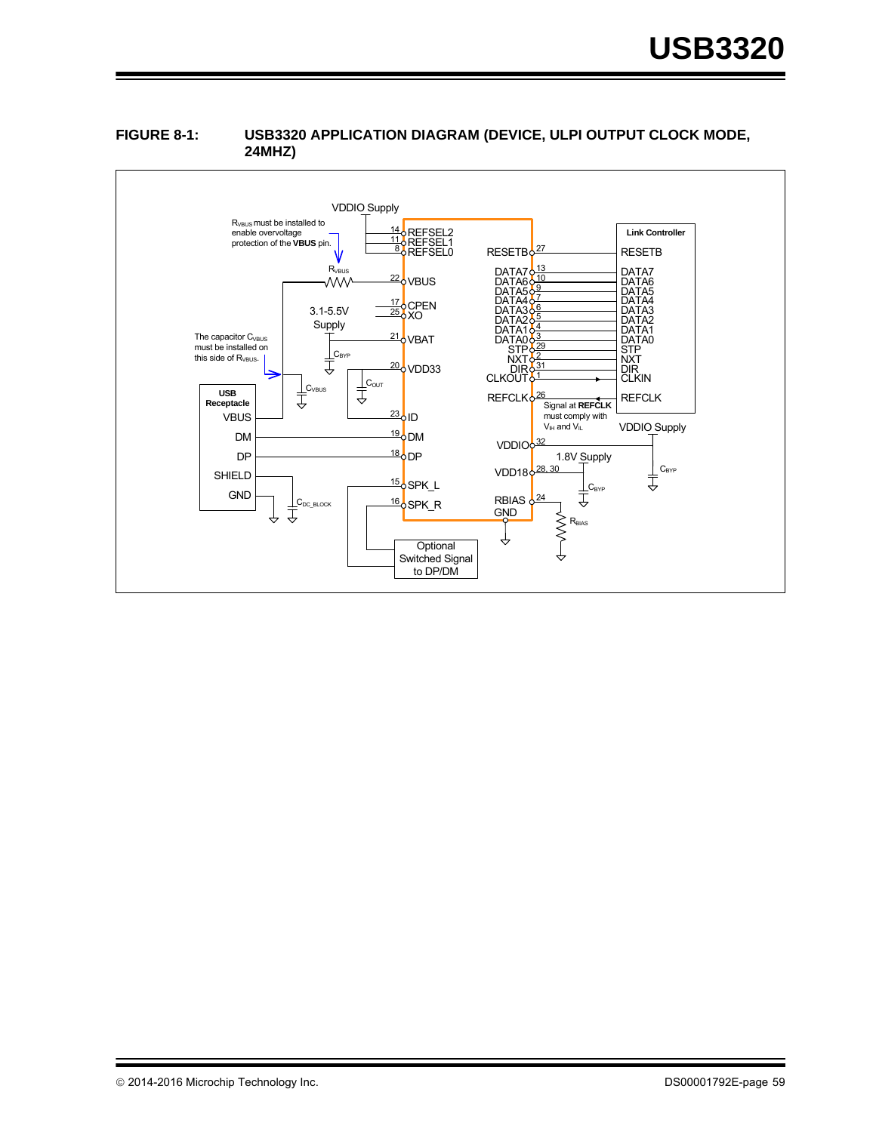#### <span id="page-58-0"></span>**FIGURE 8-1: USB3320 APPLICATION DIAGRAM (DEVICE, ULPI OUTPUT CLOCK MODE, 24MHZ)**

![](_page_58_Figure_2.jpeg)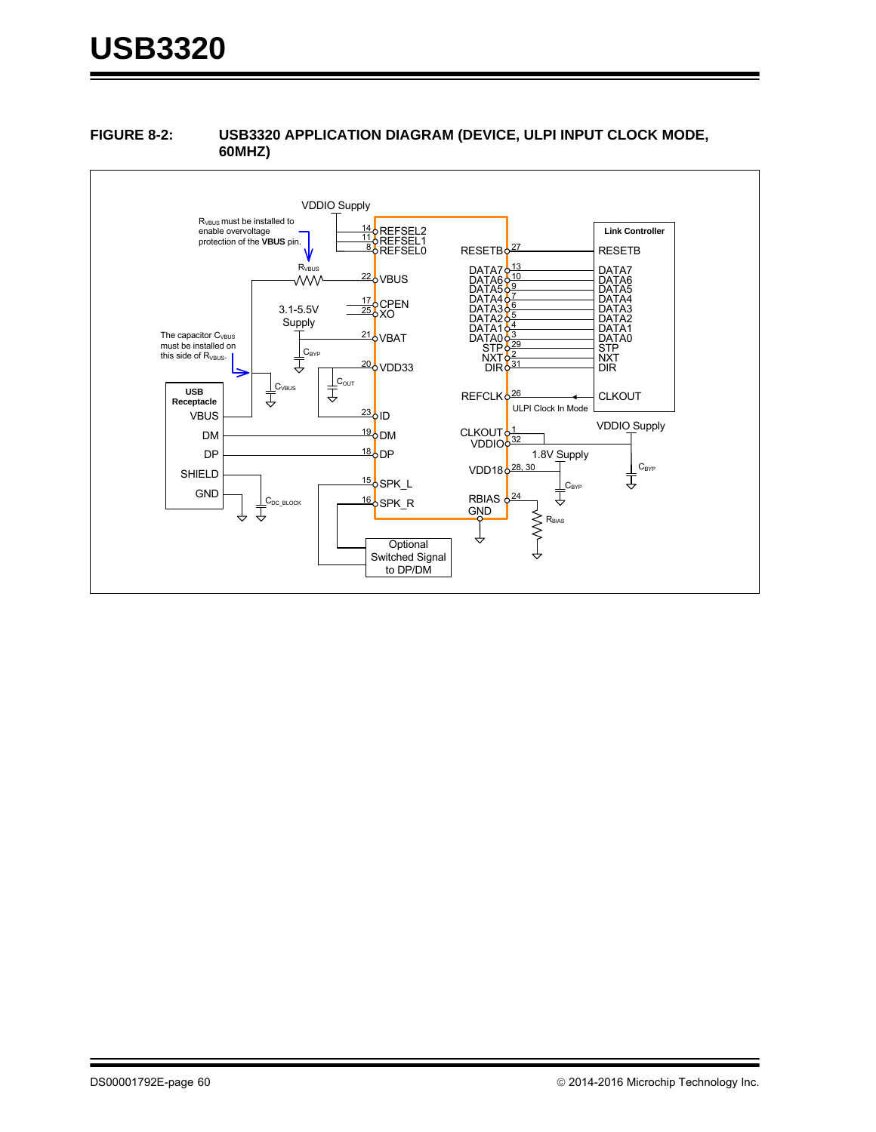![](_page_59_Figure_1.jpeg)

#### <span id="page-59-0"></span>**FIGURE 8-2: USB3320 APPLICATION DIAGRAM (DEVICE, ULPI INPUT CLOCK MODE, 60MHZ)**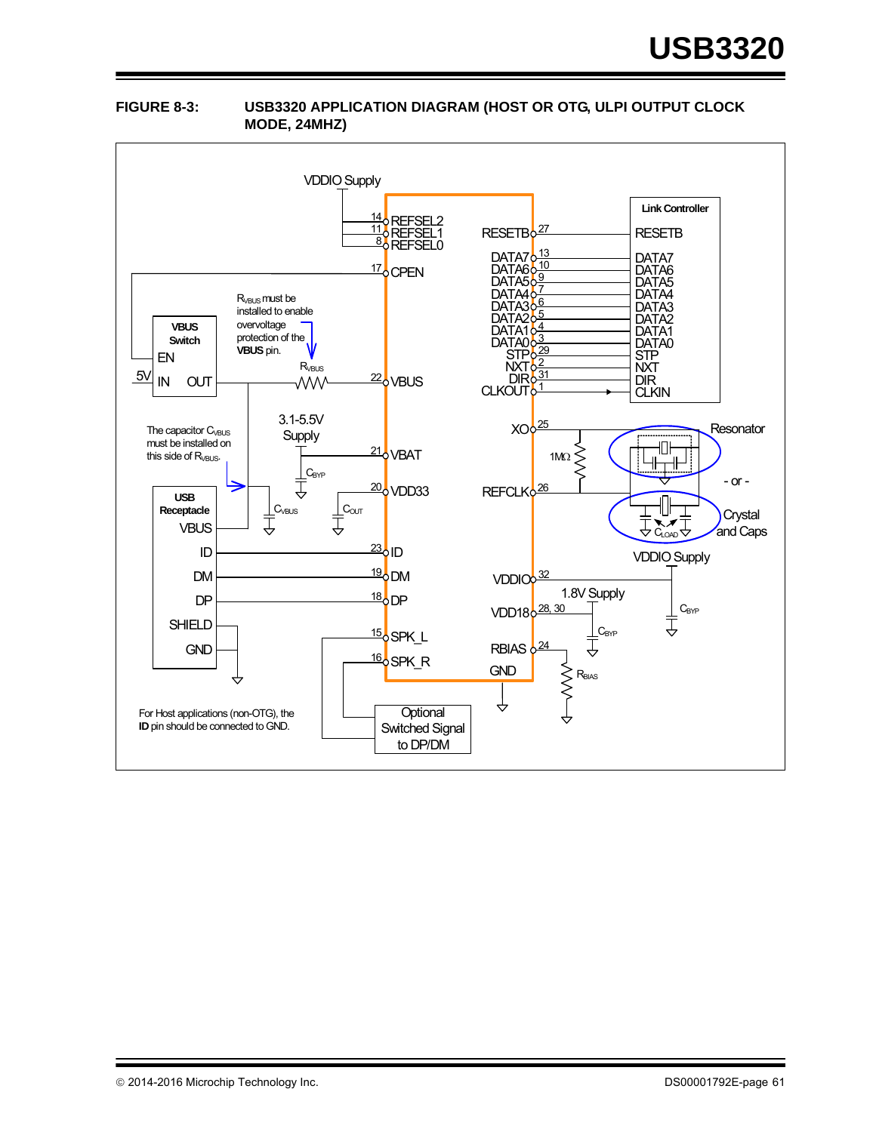#### <span id="page-60-0"></span>**FIGURE 8-3: USB3320 APPLICATION DIAGRAM (HOST OR OTG, ULPI OUTPUT CLOCK MODE, 24MHZ)**

![](_page_60_Figure_2.jpeg)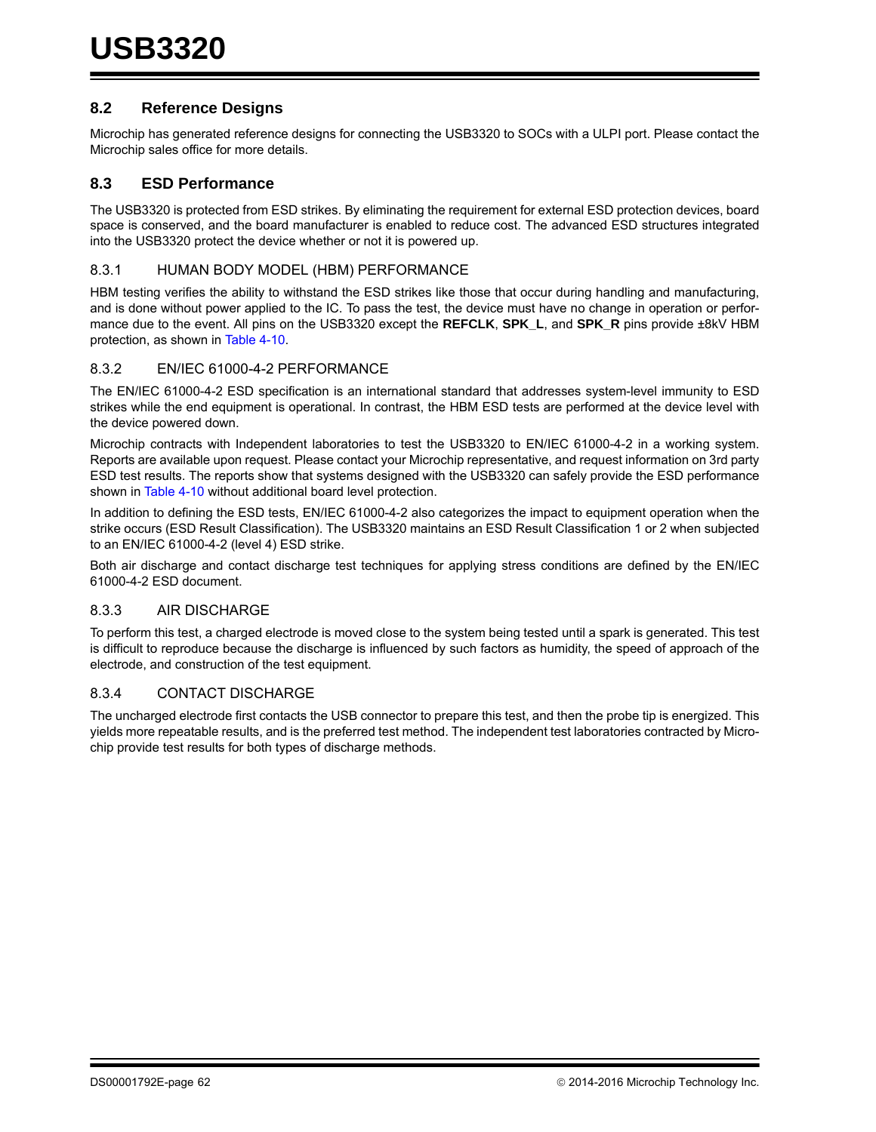#### **8.2 Reference Designs**

Microchip has generated reference designs for connecting the USB3320 to SOCs with a ULPI port. Please contact the Microchip sales office for more details.

#### **8.3 ESD Performance**

The USB3320 is protected from ESD strikes. By eliminating the requirement for external ESD protection devices, board space is conserved, and the board manufacturer is enabled to reduce cost. The advanced ESD structures integrated into the USB3320 protect the device whether or not it is powered up.

#### 8.3.1 HUMAN BODY MODEL (HBM) PERFORMANCE

HBM testing verifies the ability to withstand the ESD strikes like those that occur during handling and manufacturing, and is done without power applied to the IC. To pass the test, the device must have no change in operation or performance due to the event. All pins on the USB3320 except the **REFCLK**, **SPK\_L**, and **SPK\_R** pins provide ±8kV HBM protection, as shown in [Table 4-10](#page-14-4).

#### 8.3.2 EN/IEC 61000-4-2 PERFORMANCE

The EN/IEC 61000-4-2 ESD specification is an international standard that addresses system-level immunity to ESD strikes while the end equipment is operational. In contrast, the HBM ESD tests are performed at the device level with the device powered down.

Microchip contracts with Independent laboratories to test the USB3320 to EN/IEC 61000-4-2 in a working system. Reports are available upon request. Please contact your Microchip representative, and request information on 3rd party ESD test results. The reports show that systems designed with the USB3320 can safely provide the ESD performance shown in [Table 4-10](#page-14-4) without additional board level protection.

In addition to defining the ESD tests, EN/IEC 61000-4-2 also categorizes the impact to equipment operation when the strike occurs (ESD Result Classification). The USB3320 maintains an ESD Result Classification 1 or 2 when subjected to an EN/IEC 61000-4-2 (level 4) ESD strike.

Both air discharge and contact discharge test techniques for applying stress conditions are defined by the EN/IEC 61000-4-2 ESD document.

#### 8.3.3 AIR DISCHARGE

To perform this test, a charged electrode is moved close to the system being tested until a spark is generated. This test is difficult to reproduce because the discharge is influenced by such factors as humidity, the speed of approach of the electrode, and construction of the test equipment.

#### 8.3.4 CONTACT DISCHARGE

The uncharged electrode first contacts the USB connector to prepare this test, and then the probe tip is energized. This yields more repeatable results, and is the preferred test method. The independent test laboratories contracted by Microchip provide test results for both types of discharge methods.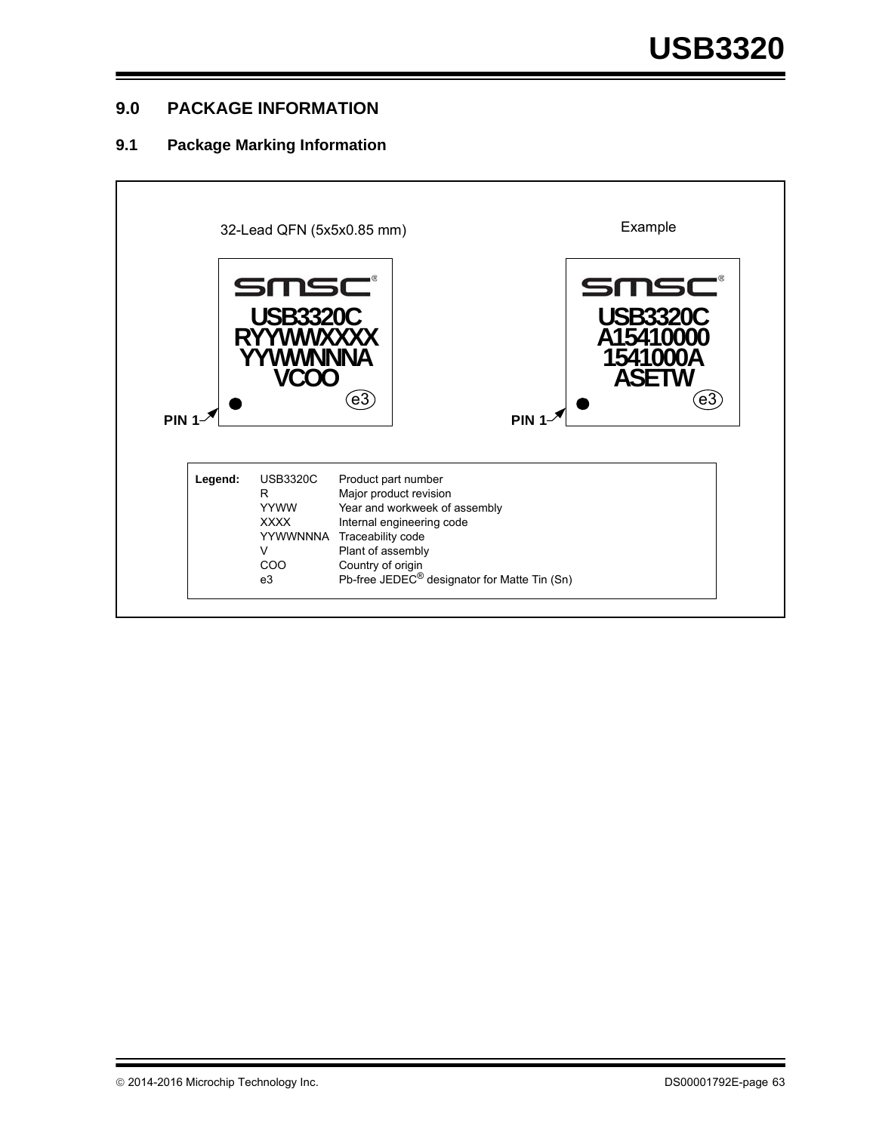## <span id="page-62-0"></span>**9.0 PACKAGE INFORMATION**

#### <span id="page-62-1"></span>**9.1 Package Marking Information**

![](_page_62_Figure_3.jpeg)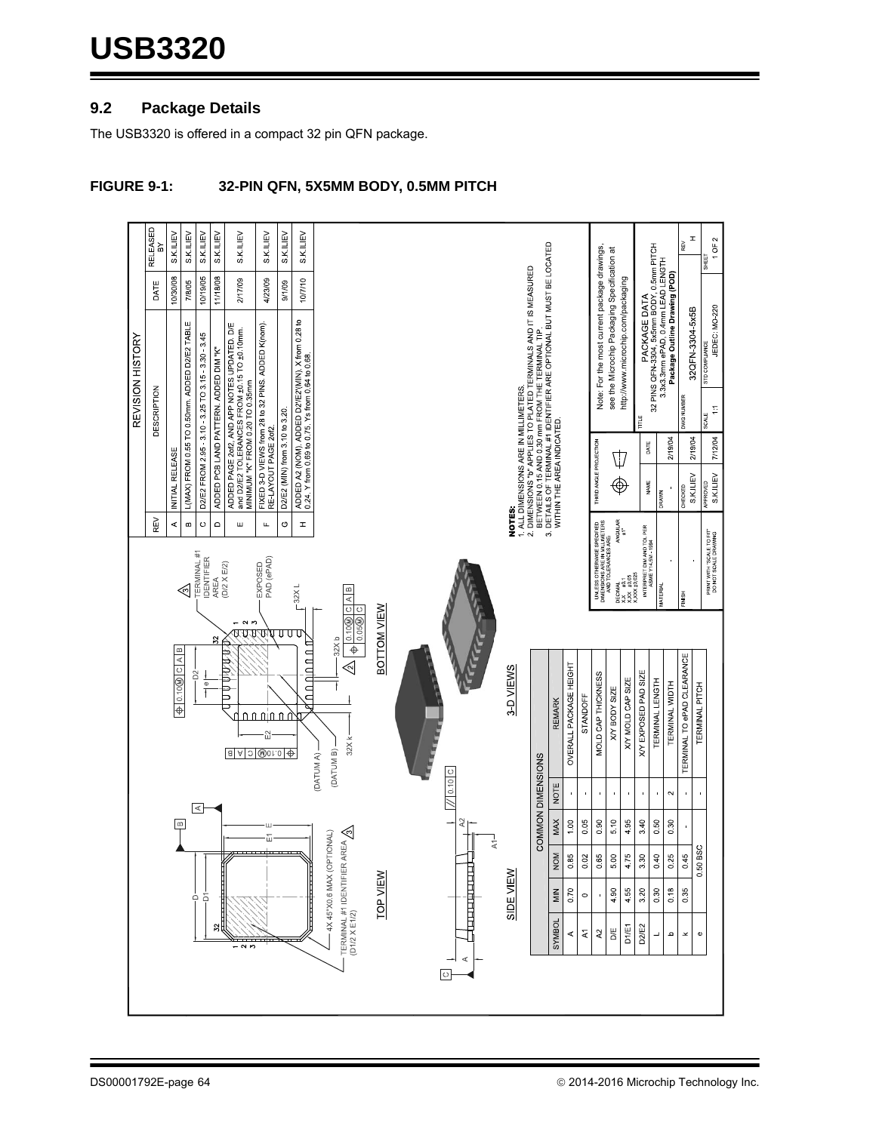#### **9.2 Package Details**

The USB3320 is offered in a compact 32 pin QFN package.

![](_page_63_Figure_3.jpeg)

#### **FIGURE 9-1: 32-PIN QFN, 5X5MM BODY, 0.5MM PITCH**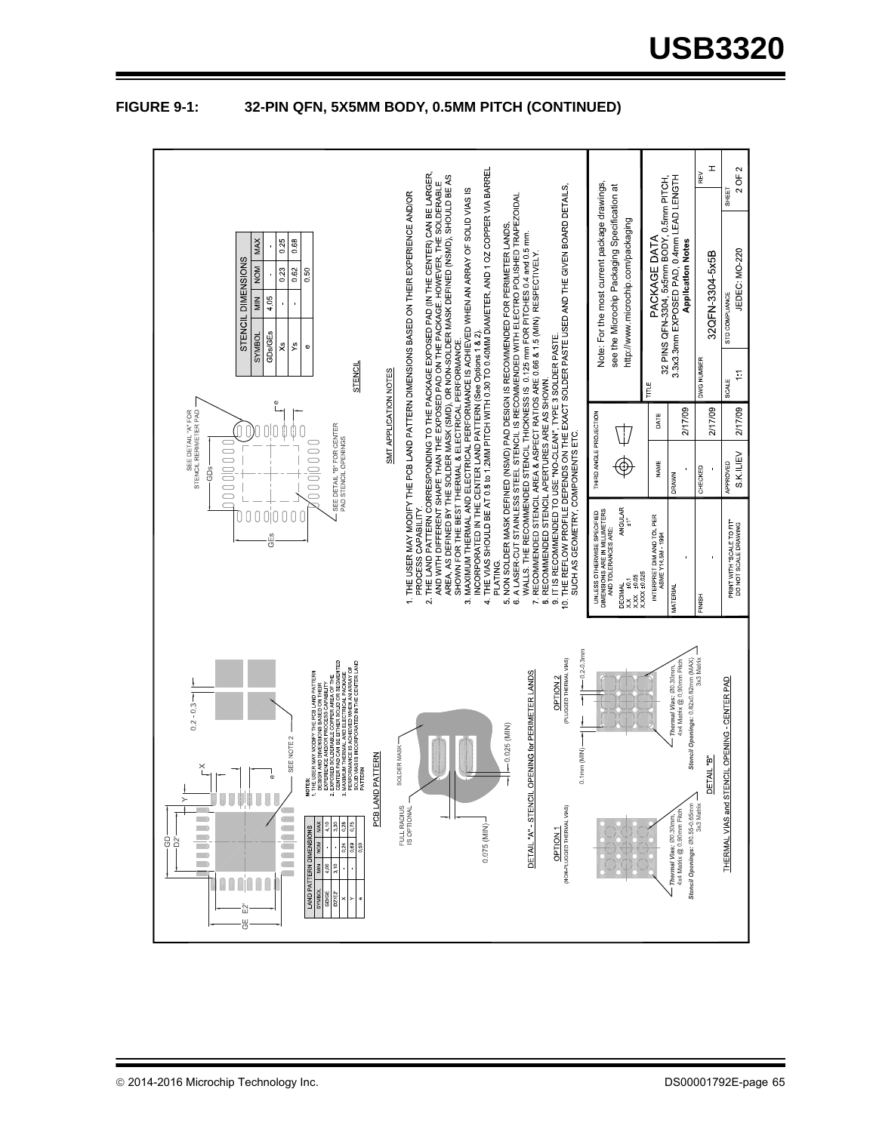![](_page_64_Figure_0.jpeg)

#### **FIGURE 9-1: 32-PIN QFN, 5X5MM BODY, 0.5MM PITCH (CONTINUED)**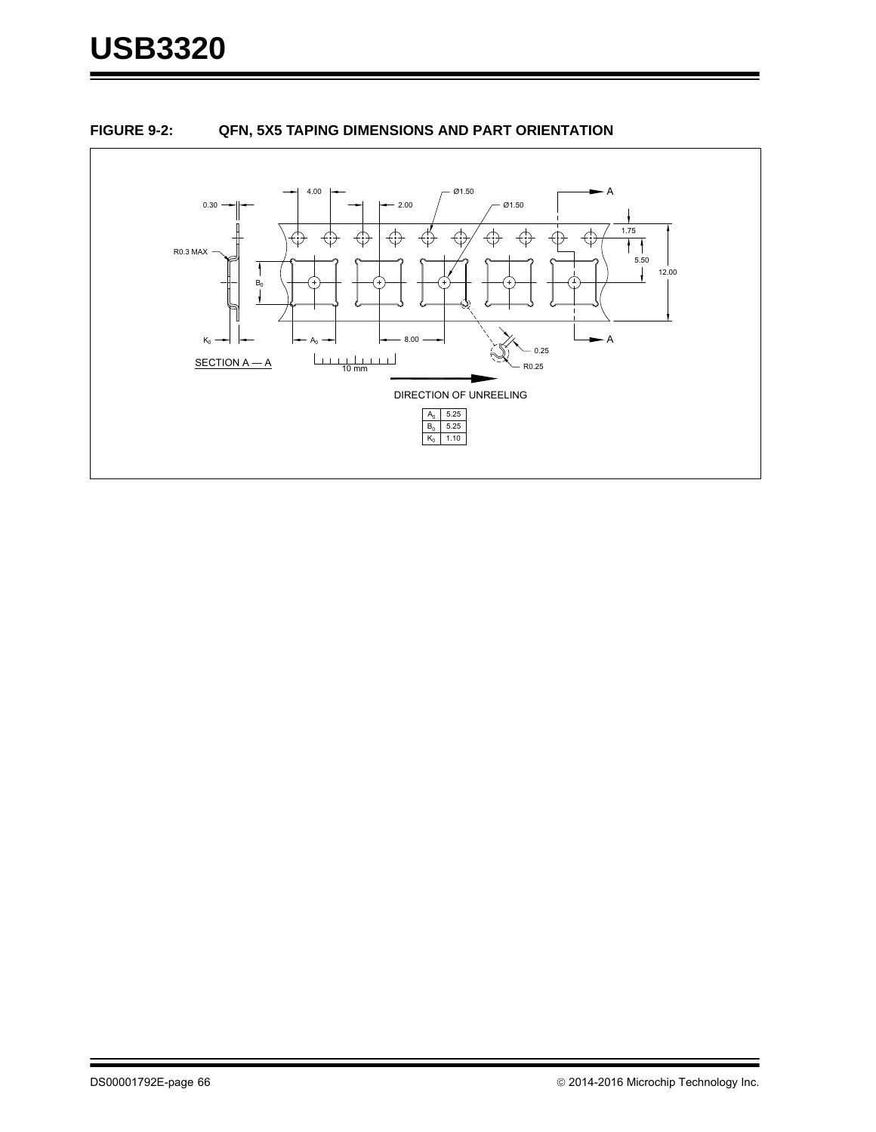![](_page_65_Figure_1.jpeg)

#### **FIGURE 9-2: QFN, 5X5 TAPING DIMENSIONS AND PART ORIENTATION**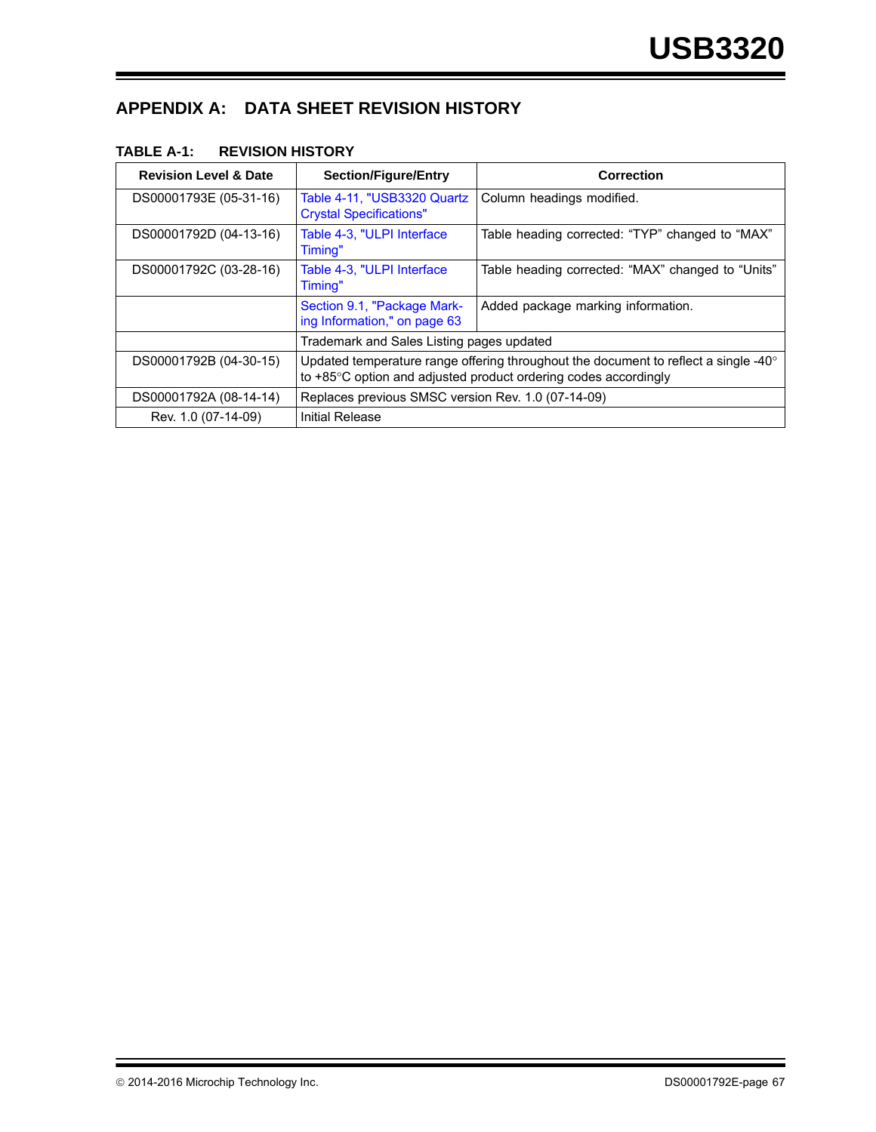## <span id="page-66-0"></span>**APPENDIX A: DATA SHEET REVISION HISTORY**

| <b>Revision Level &amp; Date</b> | <b>Section/Figure/Entry</b>                                                                                                                                     | <b>Correction</b>                                 |  |  |
|----------------------------------|-----------------------------------------------------------------------------------------------------------------------------------------------------------------|---------------------------------------------------|--|--|
| DS00001793E (05-31-16)           | Table 4-11, "USB3320 Quartz<br><b>Crystal Specifications"</b>                                                                                                   | Column headings modified.                         |  |  |
| DS00001792D (04-13-16)           | Table 4-3, "ULPI Interface<br>Timing"                                                                                                                           | Table heading corrected: "TYP" changed to "MAX"   |  |  |
| DS00001792C (03-28-16)           | Table 4-3, "ULPI Interface<br>Timing"                                                                                                                           | Table heading corrected: "MAX" changed to "Units" |  |  |
|                                  | Section 9.1, "Package Mark-<br>ing Information," on page 63                                                                                                     | Added package marking information.                |  |  |
|                                  | Trademark and Sales Listing pages updated                                                                                                                       |                                                   |  |  |
| DS00001792B (04-30-15)           | Updated temperature range offering throughout the document to reflect a single -40 $\degree$<br>to +85°C option and adjusted product ordering codes accordingly |                                                   |  |  |
| DS00001792A (08-14-14)           | Replaces previous SMSC version Rev. 1.0 (07-14-09)                                                                                                              |                                                   |  |  |
| Rev. 1.0 (07-14-09)              | <b>Initial Release</b>                                                                                                                                          |                                                   |  |  |

#### **TABLE A-1: REVISION HISTORY**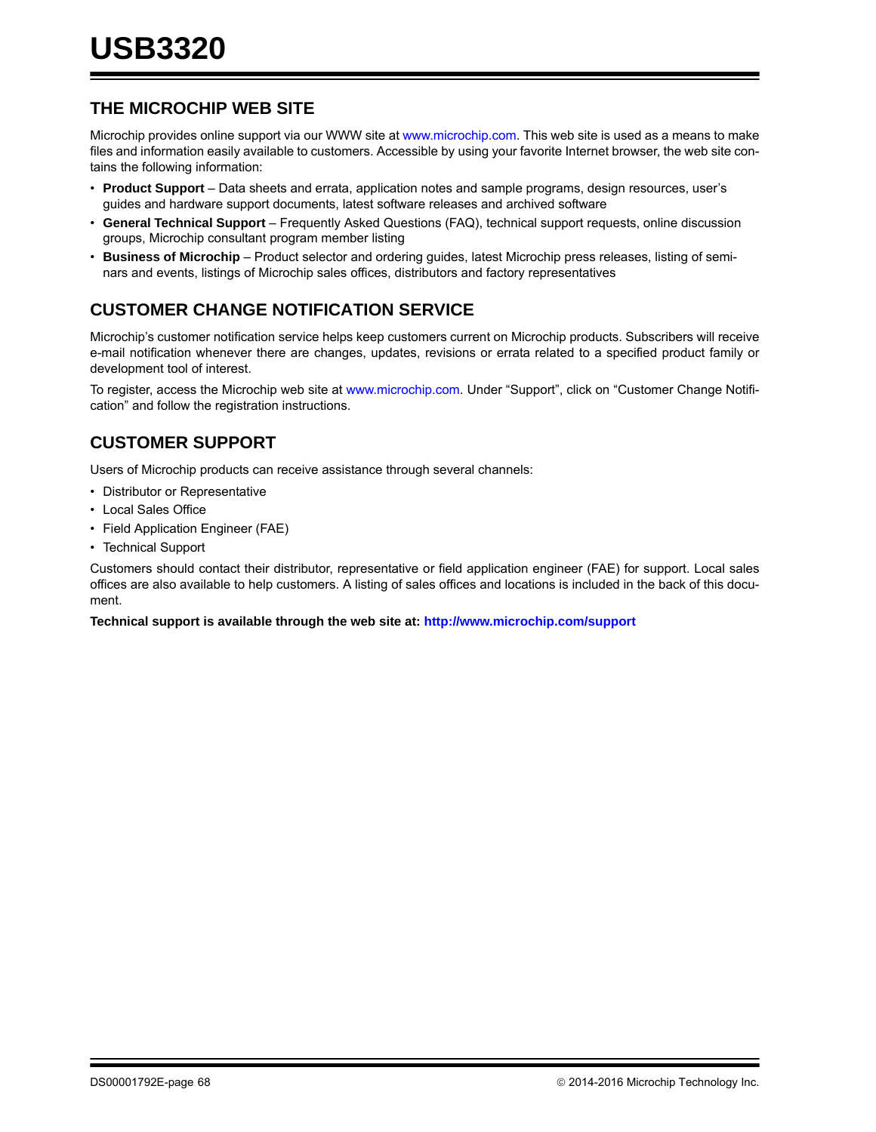## <span id="page-67-0"></span>**THE MICROCHIP WEB SITE**

[Microchip provides online support via our WWW site at w](http://www.microchip.com)ww.microchip.com. This web site is used as a means to make files and information easily available to customers. Accessible by using your favorite Internet browser, the web site contains the following information:

- **Product Support** Data sheets and errata, application notes and sample programs, design resources, user's guides and hardware support documents, latest software releases and archived software
- **General Technical Support** Frequently Asked Questions (FAQ), technical support requests, online discussion groups, Microchip consultant program member listing
- **Business of Microchip** Product selector and ordering guides, latest Microchip press releases, listing of seminars and events, listings of Microchip sales offices, distributors and factory representatives

## <span id="page-67-1"></span>**CUSTOMER CHANGE NOTIFICATION SERVICE**

Microchip's customer notification service helps keep customers current on Microchip products. Subscribers will receive e-mail notification whenever there are changes, updates, revisions or errata related to a specified product family or development tool of interest.

[To register, access the Microchip web site at](http://www.microchip.com) www.microchip.com. Under "Support", click on "Customer Change Notification" and follow the registration instructions.

## <span id="page-67-2"></span>**CUSTOMER SUPPORT**

Users of Microchip products can receive assistance through several channels:

- Distributor or Representative
- Local Sales Office
- Field Application Engineer (FAE)
- Technical Support

Customers should contact their distributor, representative or field application engineer (FAE) for support. Local sales offices are also available to help customers. A listing of sales offices and locations is included in the back of this document.

#### **[Technical support is available through the web site at: h](http://www.microchip.com)ttp://www.microchip.com/support**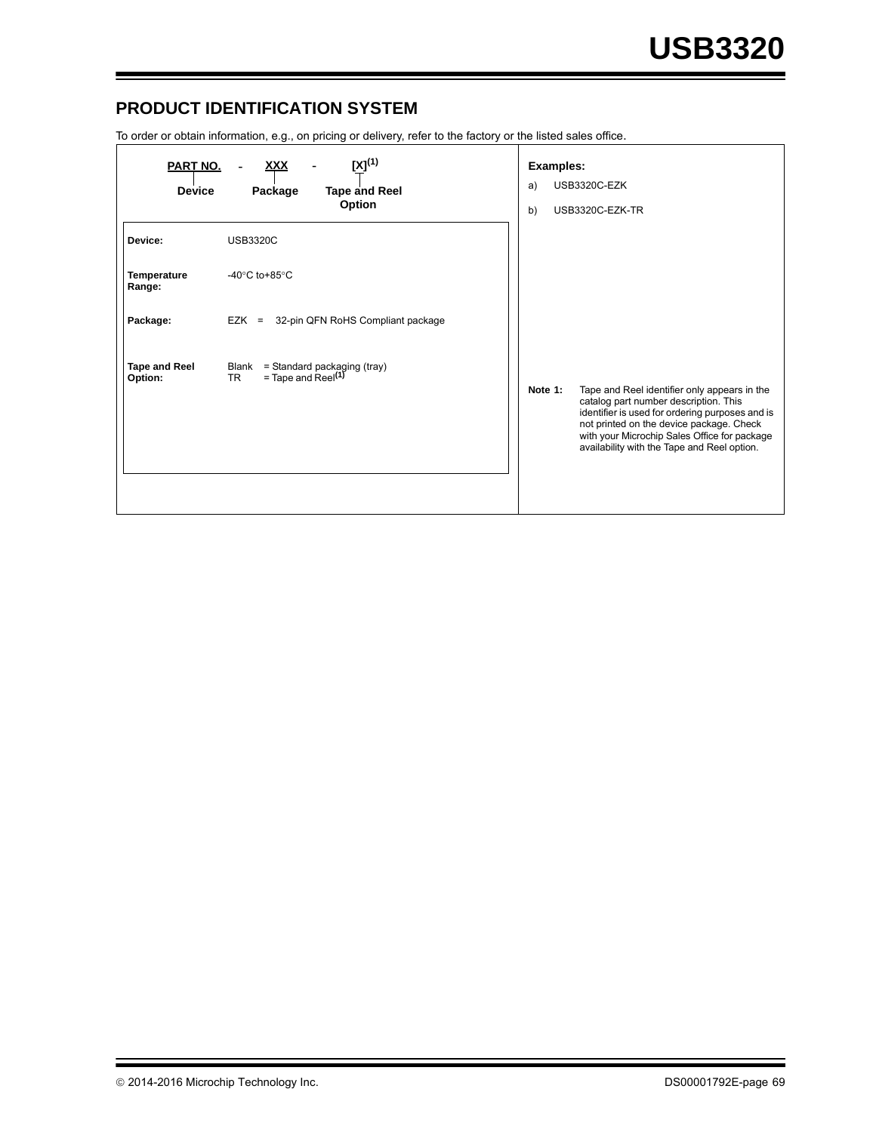## <span id="page-68-0"></span>**PRODUCT IDENTIFICATION SYSTEM**

To order or obtain information, e.g., on pricing or delivery, refer to the factory or the listed sales office.

| <b>PART NO.</b><br><b>Device</b> | $[X]^{(1)}$<br><u>XXX</u><br>Package<br><b>Tape and Reel</b><br>Option              | <b>Examples:</b><br>USB3320C-EZK<br>a)<br>b)<br>USB3320C-EZK-TR                                                                                                                                                                                                                                |
|----------------------------------|-------------------------------------------------------------------------------------|------------------------------------------------------------------------------------------------------------------------------------------------------------------------------------------------------------------------------------------------------------------------------------------------|
| Device:                          | <b>USB3320C</b>                                                                     |                                                                                                                                                                                                                                                                                                |
| <b>Temperature</b><br>Range:     | -40 $^{\circ}$ C to+85 $^{\circ}$ C                                                 |                                                                                                                                                                                                                                                                                                |
| Package:                         | 32-pin QFN RoHS Compliant package<br>$EXK =$                                        |                                                                                                                                                                                                                                                                                                |
| <b>Tape and Reel</b><br>Option:  | = Standard packaging (tray)<br>= Tape and Reel <sup>(1)</sup><br>Blank<br><b>TR</b> | Note 1:<br>Tape and Reel identifier only appears in the<br>catalog part number description. This<br>identifier is used for ordering purposes and is<br>not printed on the device package. Check<br>with your Microchip Sales Office for package<br>availability with the Tape and Reel option. |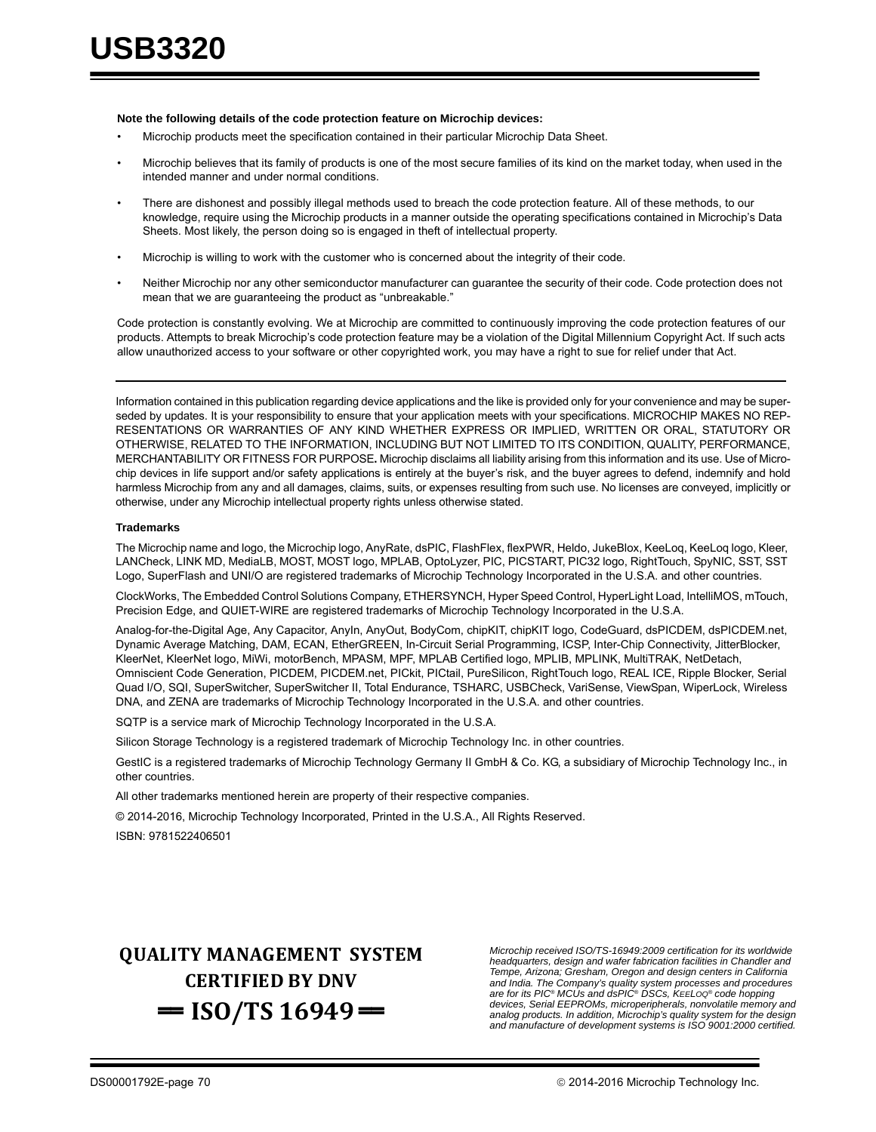**Note the following details of the code protection feature on Microchip devices:**

- Microchip products meet the specification contained in their particular Microchip Data Sheet.
- Microchip believes that its family of products is one of the most secure families of its kind on the market today, when used in the intended manner and under normal conditions.
- There are dishonest and possibly illegal methods used to breach the code protection feature. All of these methods, to our knowledge, require using the Microchip products in a manner outside the operating specifications contained in Microchip's Data Sheets. Most likely, the person doing so is engaged in theft of intellectual property.
- Microchip is willing to work with the customer who is concerned about the integrity of their code.
- Neither Microchip nor any other semiconductor manufacturer can guarantee the security of their code. Code protection does not mean that we are guaranteeing the product as "unbreakable."

Code protection is constantly evolving. We at Microchip are committed to continuously improving the code protection features of our products. Attempts to break Microchip's code protection feature may be a violation of the Digital Millennium Copyright Act. If such acts allow unauthorized access to your software or other copyrighted work, you may have a right to sue for relief under that Act.

Information contained in this publication regarding device applications and the like is provided only for your convenience and may be superseded by updates. It is your responsibility to ensure that your application meets with your specifications. MICROCHIP MAKES NO REP-RESENTATIONS OR WARRANTIES OF ANY KIND WHETHER EXPRESS OR IMPLIED, WRITTEN OR ORAL, STATUTORY OR OTHERWISE, RELATED TO THE INFORMATION, INCLUDING BUT NOT LIMITED TO ITS CONDITION, QUALITY, PERFORMANCE, MERCHANTABILITY OR FITNESS FOR PURPOSE**.** Microchip disclaims all liability arising from this information and its use. Use of Microchip devices in life support and/or safety applications is entirely at the buyer's risk, and the buyer agrees to defend, indemnify and hold harmless Microchip from any and all damages, claims, suits, or expenses resulting from such use. No licenses are conveyed, implicitly or otherwise, under any Microchip intellectual property rights unless otherwise stated.

#### **Trademarks**

The Microchip name and logo, the Microchip logo, AnyRate, dsPIC, FlashFlex, flexPWR, Heldo, JukeBlox, KeeLoq, KeeLoq logo, Kleer, LANCheck, LINK MD, MediaLB, MOST, MOST logo, MPLAB, OptoLyzer, PIC, PICSTART, PIC32 logo, RightTouch, SpyNIC, SST, SST Logo, SuperFlash and UNI/O are registered trademarks of Microchip Technology Incorporated in the U.S.A. and other countries.

ClockWorks, The Embedded Control Solutions Company, ETHERSYNCH, Hyper Speed Control, HyperLight Load, IntelliMOS, mTouch, Precision Edge, and QUIET-WIRE are registered trademarks of Microchip Technology Incorporated in the U.S.A.

Analog-for-the-Digital Age, Any Capacitor, AnyIn, AnyOut, BodyCom, chipKIT, chipKIT logo, CodeGuard, dsPICDEM, dsPICDEM.net, Dynamic Average Matching, DAM, ECAN, EtherGREEN, In-Circuit Serial Programming, ICSP, Inter-Chip Connectivity, JitterBlocker, KleerNet, KleerNet logo, MiWi, motorBench, MPASM, MPF, MPLAB Certified logo, MPLIB, MPLINK, MultiTRAK, NetDetach, Omniscient Code Generation, PICDEM, PICDEM.net, PICkit, PICtail, PureSilicon, RightTouch logo, REAL ICE, Ripple Blocker, Serial Quad I/O, SQI, SuperSwitcher, SuperSwitcher II, Total Endurance, TSHARC, USBCheck, VariSense, ViewSpan, WiperLock, Wireless DNA, and ZENA are trademarks of Microchip Technology Incorporated in the U.S.A. and other countries.

SQTP is a service mark of Microchip Technology Incorporated in the U.S.A.

Silicon Storage Technology is a registered trademark of Microchip Technology Inc. in other countries.

GestIC is a registered trademarks of Microchip Technology Germany II GmbH & Co. KG, a subsidiary of Microchip Technology Inc., in other countries.

All other trademarks mentioned herein are property of their respective companies.

© 2014-2016, Microchip Technology Incorporated, Printed in the U.S.A., All Rights Reserved.

ISBN: 9781522406501

## **QUALITY MANAGEMENT SYSTEM CERTIFIED BY DNV**  $=$  **ISO/TS** 16949 $=$

*Microchip received ISO/TS-16949:2009 certification for its worldwide headquarters, design and wafer fabrication facilities in Chandler and Tempe, Arizona; Gresham, Oregon and design centers in California and India. The Company's quality system processes and procedures are for its PIC® MCUs and dsPIC® DSCs, KEELOQ® code hopping devices, Serial EEPROMs, microperipherals, nonvolatile memory and analog products. In addition, Microchip's quality system for the design and manufacture of development systems is ISO 9001:2000 certified.*